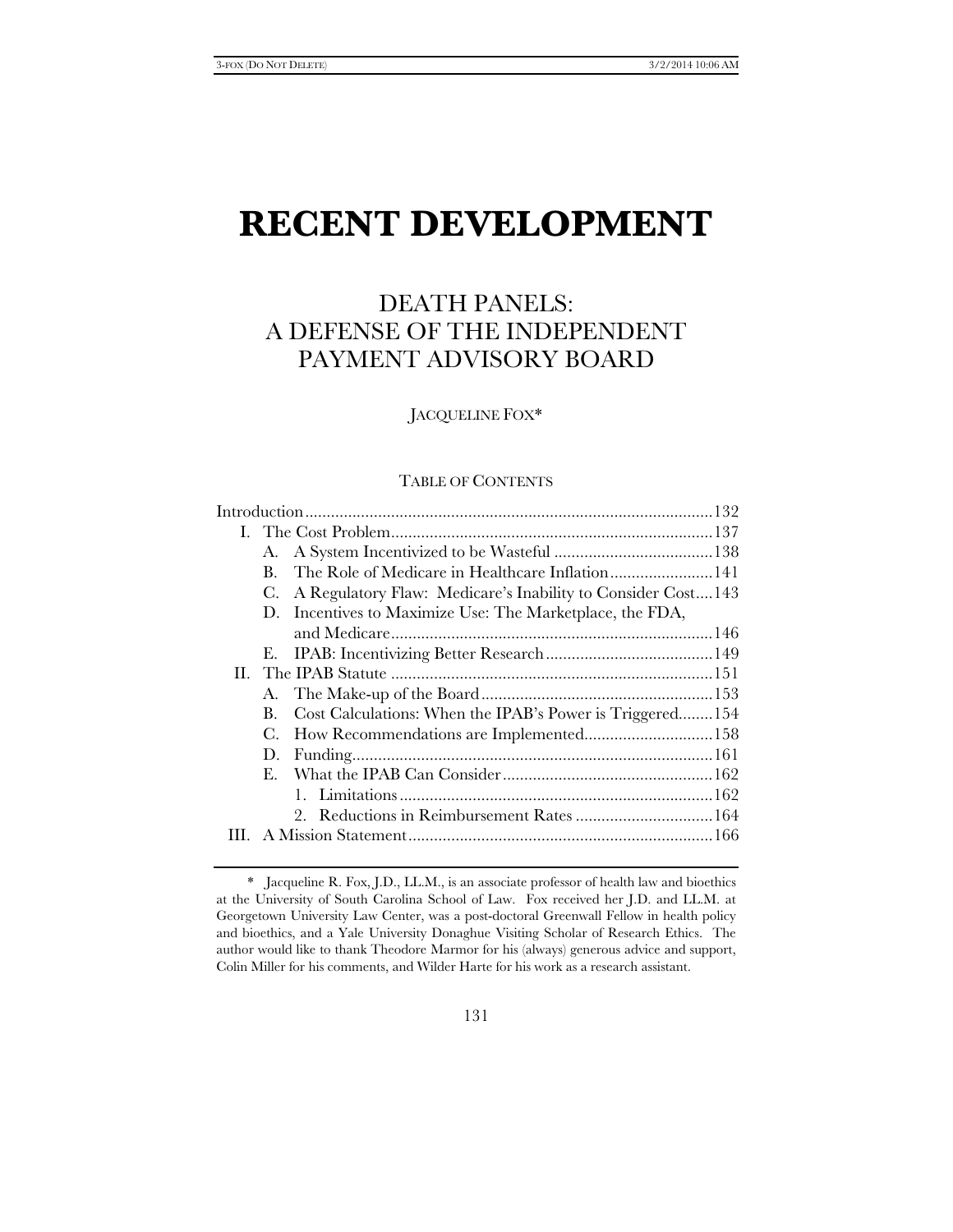# **RECENT DEVELOPMENT**

# DEATH PANELS: A DEFENSE OF THE INDEPENDENT PAYMENT ADVISORY BOARD

JACQUELINE FOX\*

# TABLE OF CONTENTS

|  | А.             |                                                             |  |  |
|--|----------------|-------------------------------------------------------------|--|--|
|  | B.             | The Role of Medicare in Healthcare Inflation 141            |  |  |
|  | C.             | A Regulatory Flaw: Medicare's Inability to Consider Cost143 |  |  |
|  |                | D. Incentives to Maximize Use: The Marketplace, the FDA,    |  |  |
|  |                |                                                             |  |  |
|  |                |                                                             |  |  |
|  |                |                                                             |  |  |
|  |                |                                                             |  |  |
|  | B.             | Cost Calculations: When the IPAB's Power is Triggered154    |  |  |
|  | C.             | How Recommendations are Implemented158                      |  |  |
|  | D.             |                                                             |  |  |
|  | $E_{\rm{eff}}$ |                                                             |  |  |
|  |                |                                                             |  |  |
|  |                |                                                             |  |  |
|  |                |                                                             |  |  |
|  |                |                                                             |  |  |

 <sup>\*</sup> Jacqueline R. Fox, J.D., LL.M., is an associate professor of health law and bioethics at the University of South Carolina School of Law. Fox received her J.D. and LL.M. at Georgetown University Law Center, was a post-doctoral Greenwall Fellow in health policy and bioethics, and a Yale University Donaghue Visiting Scholar of Research Ethics. The author would like to thank Theodore Marmor for his (always) generous advice and support, Colin Miller for his comments, and Wilder Harte for his work as a research assistant.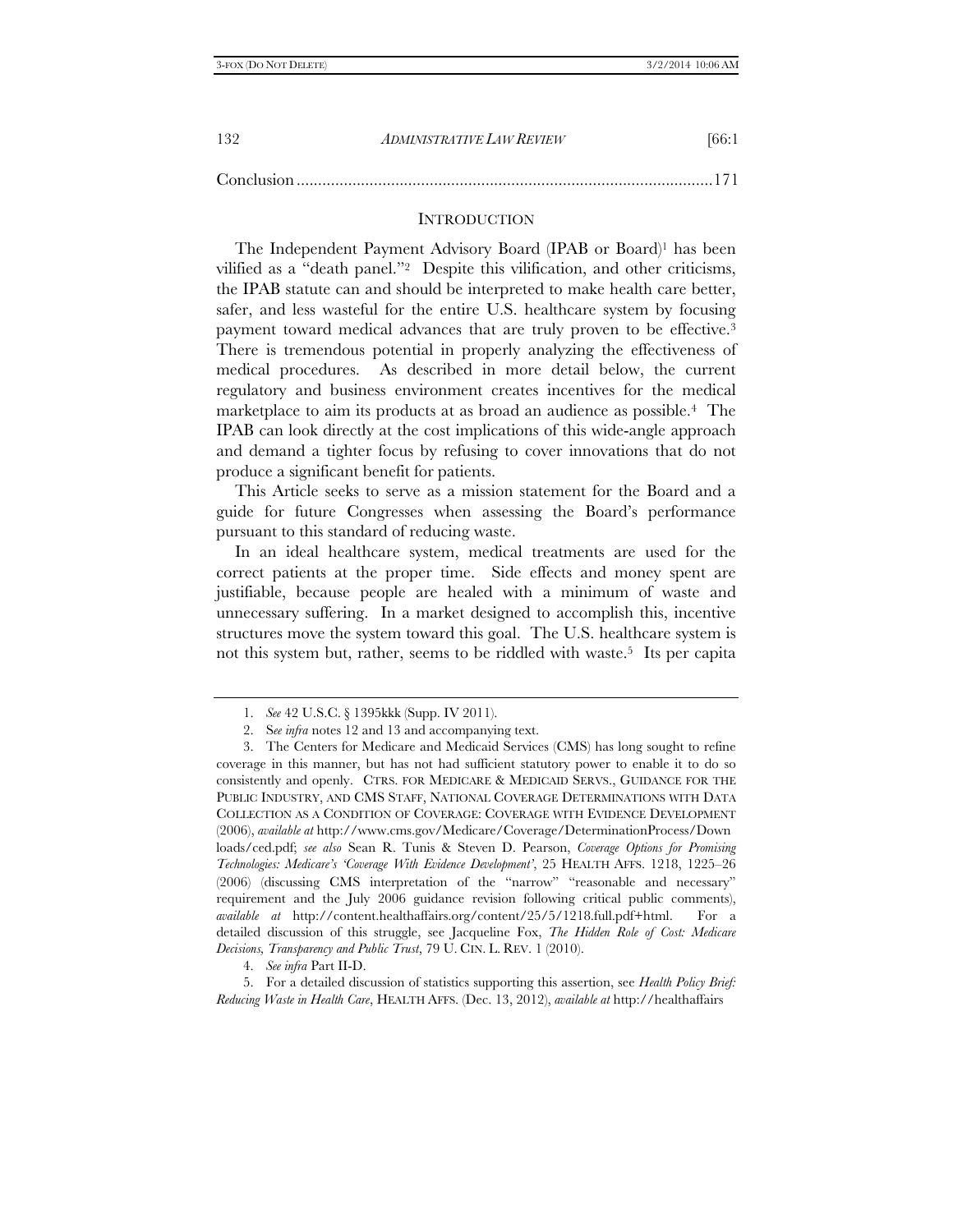| -132 | <i>ADMINISTRATIVE LAW REVIEW</i> | [66:1] |
|------|----------------------------------|--------|
|      |                                  |        |

Conclusion ................................................................................................. 171

#### **INTRODUCTION**

The Independent Payment Advisory Board (IPAB or Board)1 has been vilified as a "death panel."2 Despite this vilification, and other criticisms, the IPAB statute can and should be interpreted to make health care better, safer, and less wasteful for the entire U.S. healthcare system by focusing payment toward medical advances that are truly proven to be effective.<sup>3</sup> There is tremendous potential in properly analyzing the effectiveness of medical procedures. As described in more detail below, the current regulatory and business environment creates incentives for the medical marketplace to aim its products at as broad an audience as possible.4 The IPAB can look directly at the cost implications of this wide-angle approach and demand a tighter focus by refusing to cover innovations that do not produce a significant benefit for patients.

This Article seeks to serve as a mission statement for the Board and a guide for future Congresses when assessing the Board's performance pursuant to this standard of reducing waste.

In an ideal healthcare system, medical treatments are used for the correct patients at the proper time. Side effects and money spent are justifiable, because people are healed with a minimum of waste and unnecessary suffering. In a market designed to accomplish this, incentive structures move the system toward this goal. The U.S. healthcare system is not this system but, rather, seems to be riddled with waste.<sup>5</sup> Its per capita

 5. For a detailed discussion of statistics supporting this assertion, see *Health Policy Brief: Reducing Waste in Health Care*, HEALTH AFFS. (Dec. 13, 2012), *available at* http://healthaffairs

 <sup>1.</sup> *See* 42 U.S.C. § 1395kkk (Supp. IV 2011).

 <sup>2.</sup> S*ee infra* notes 12 and 13 and accompanying text.

 <sup>3.</sup> The Centers for Medicare and Medicaid Services (CMS) has long sought to refine coverage in this manner, but has not had sufficient statutory power to enable it to do so consistently and openly. CTRS. FOR MEDICARE & MEDICAID SERVS., GUIDANCE FOR THE PUBLIC INDUSTRY, AND CMS STAFF, NATIONAL COVERAGE DETERMINATIONS WITH DATA COLLECTION AS A CONDITION OF COVERAGE: COVERAGE WITH EVIDENCE DEVELOPMENT (2006), *available at* http://www.cms.gov/Medicare/Coverage/DeterminationProcess/Down loads/ced.pdf; *see also* Sean R. Tunis & Steven D. Pearson, *Coverage Options for Promising Technologies: Medicare's 'Coverage With Evidence Development'*, 25 HEALTH AFFS. 1218, 1225–26 (2006) (discussing CMS interpretation of the "narrow" "reasonable and necessary" requirement and the July 2006 guidance revision following critical public comments), *available at* http://content.healthaffairs.org/content/25/5/1218.full.pdf+html. For a detailed discussion of this struggle, see Jacqueline Fox, *The Hidden Role of Cost: Medicare Decisions, Transparency and Public Trust*, 79 U. CIN. L. REV. 1 (2010).

 <sup>4.</sup> *See infra* Part II-D.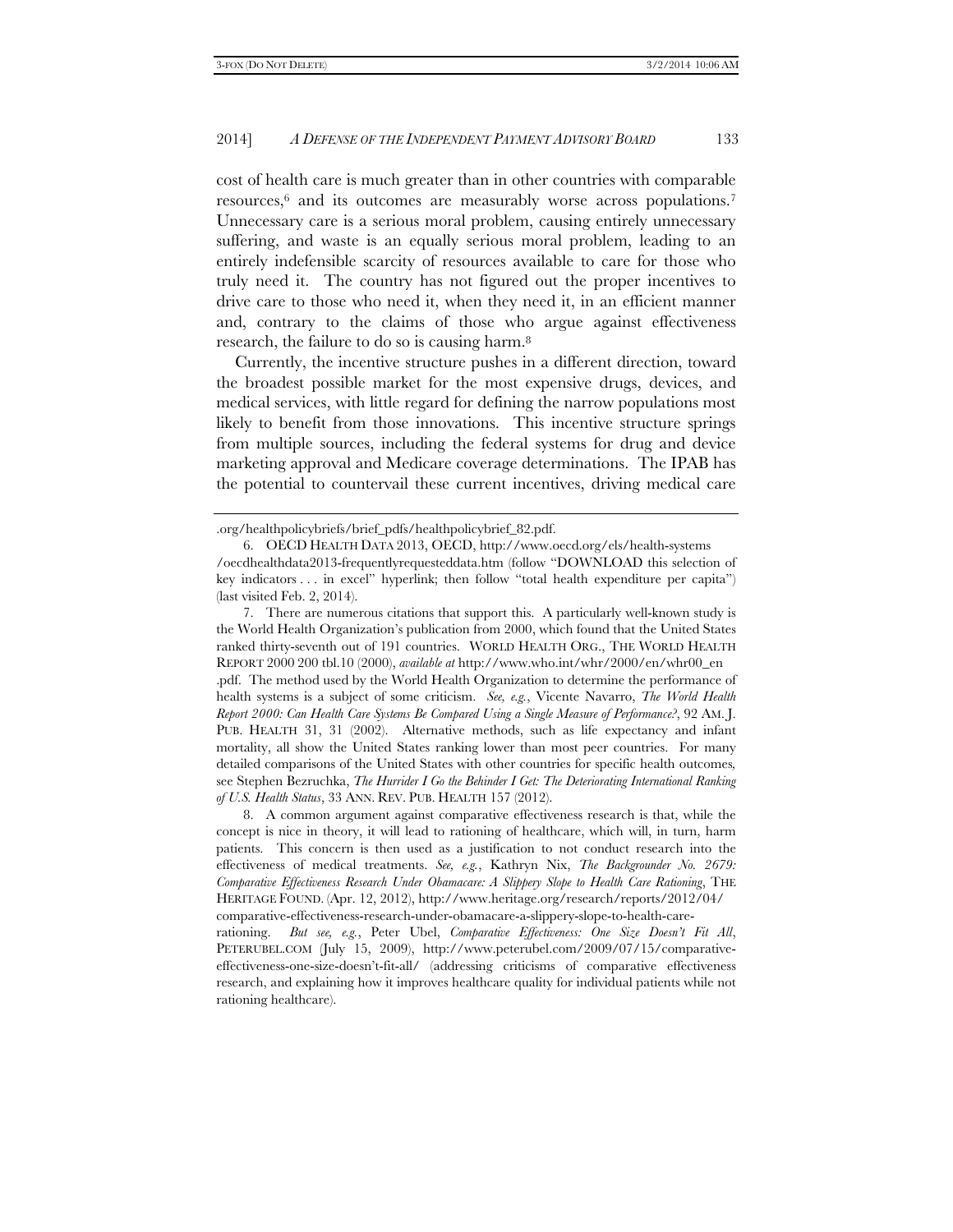cost of health care is much greater than in other countries with comparable resources,6 and its outcomes are measurably worse across populations.7 Unnecessary care is a serious moral problem, causing entirely unnecessary suffering, and waste is an equally serious moral problem, leading to an entirely indefensible scarcity of resources available to care for those who truly need it. The country has not figured out the proper incentives to drive care to those who need it, when they need it, in an efficient manner and, contrary to the claims of those who argue against effectiveness research, the failure to do so is causing harm.8

Currently, the incentive structure pushes in a different direction, toward the broadest possible market for the most expensive drugs, devices, and medical services, with little regard for defining the narrow populations most likely to benefit from those innovations. This incentive structure springs from multiple sources, including the federal systems for drug and device marketing approval and Medicare coverage determinations. The IPAB has the potential to countervail these current incentives, driving medical care

 7. There are numerous citations that support this. A particularly well-known study is the World Health Organization's publication from 2000, which found that the United States ranked thirty-seventh out of 191 countries. WORLD HEALTH ORG., THE WORLD HEALTH REPORT 2000 200 tbl.10 (2000), *available at* http://www.who.int/whr/2000/en/whr00\_en .pdf. The method used by the World Health Organization to determine the performance of health systems is a subject of some criticism. *See, e.g.*, Vicente Navarro, *The World Health Report 2000: Can Health Care Systems Be Compared Using a Single Measure of Performance?*, 92 AM. J. PUB. HEALTH 31, 31 (2002). Alternative methods, such as life expectancy and infant mortality, all show the United States ranking lower than most peer countries. For many detailed comparisons of the United States with other countries for specific health outcomes*,*  see Stephen Bezruchka, *The Hurrider I Go the Behinder I Get: The Deteriorating International Ranking of U.S. Health Status*, 33 ANN. REV. PUB. HEALTH 157 (2012).

 8. A common argument against comparative effectiveness research is that, while the concept is nice in theory, it will lead to rationing of healthcare, which will, in turn, harm patients. This concern is then used as a justification to not conduct research into the effectiveness of medical treatments. *See, e.g.*, Kathryn Nix, *The Backgrounder No. 2679: Comparative Effectiveness Research Under Obamacare: A Slippery Slope to Health Care Rationing*, THE HERITAGE FOUND. (Apr. 12, 2012), http://www.heritage.org/research/reports/2012/04/ comparative-effectiveness-research-under-obamacare-a-slippery-slope-to-health-care-

rationing. *But see, e.g.*, Peter Ubel, *Comparative Effectiveness: One Size Doesn't Fit All*, PETERUBEL.COM (July 15, 2009), http://www.peterubel.com/2009/07/15/comparativeeffectiveness-one-size-doesn't-fit-all/ (addressing criticisms of comparative effectiveness research, and explaining how it improves healthcare quality for individual patients while not rationing healthcare).

<sup>.</sup>org/healthpolicybriefs/brief\_pdfs/healthpolicybrief\_82.pdf.

 <sup>6.</sup> OECD HEALTH DATA 2013, OECD, http://www.oecd.org/els/health-systems /oecdhealthdata2013-frequentlyrequesteddata.htm (follow "DOWNLOAD this selection of key indicators . . . in excel" hyperlink; then follow "total health expenditure per capita") (last visited Feb. 2, 2014).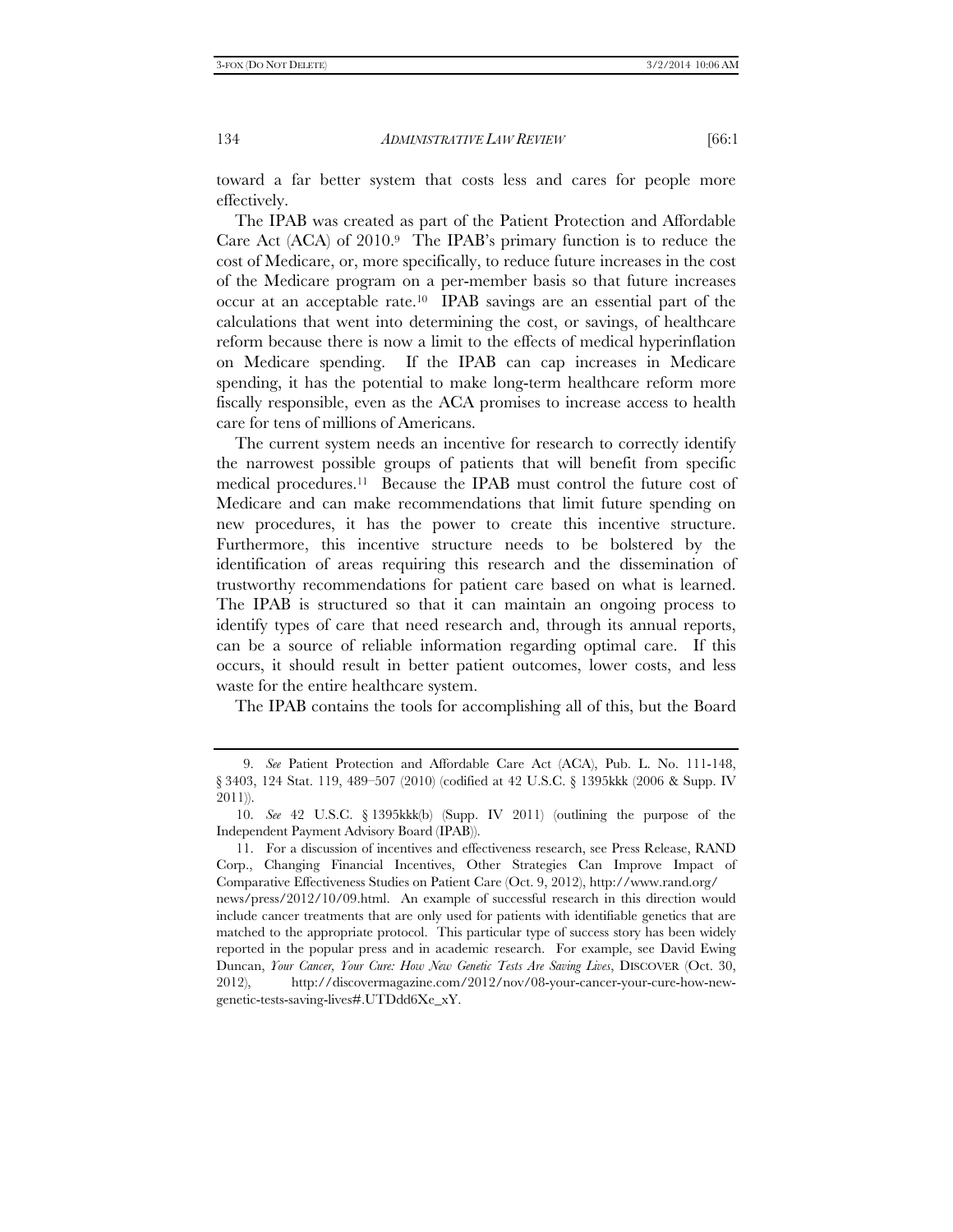toward a far better system that costs less and cares for people more effectively.

The IPAB was created as part of the Patient Protection and Affordable Care Act (ACA) of 2010.9 The IPAB's primary function is to reduce the cost of Medicare, or, more specifically, to reduce future increases in the cost of the Medicare program on a per-member basis so that future increases occur at an acceptable rate.10 IPAB savings are an essential part of the calculations that went into determining the cost, or savings, of healthcare reform because there is now a limit to the effects of medical hyperinflation on Medicare spending. If the IPAB can cap increases in Medicare spending, it has the potential to make long-term healthcare reform more fiscally responsible, even as the ACA promises to increase access to health care for tens of millions of Americans.

The current system needs an incentive for research to correctly identify the narrowest possible groups of patients that will benefit from specific medical procedures.11 Because the IPAB must control the future cost of Medicare and can make recommendations that limit future spending on new procedures, it has the power to create this incentive structure. Furthermore, this incentive structure needs to be bolstered by the identification of areas requiring this research and the dissemination of trustworthy recommendations for patient care based on what is learned. The IPAB is structured so that it can maintain an ongoing process to identify types of care that need research and, through its annual reports, can be a source of reliable information regarding optimal care. If this occurs, it should result in better patient outcomes, lower costs, and less waste for the entire healthcare system.

The IPAB contains the tools for accomplishing all of this, but the Board

 <sup>9.</sup> *See* Patient Protection and Affordable Care Act (ACA), Pub. L. No. 111-148, § 3403, 124 Stat. 119, 489–507 (2010) (codified at 42 U.S.C. § 1395kkk (2006 & Supp. IV 2011)).

 <sup>10.</sup> *See* 42 U.S.C. § 1395kkk(b) (Supp. IV 2011) (outlining the purpose of the Independent Payment Advisory Board (IPAB)).

 <sup>11.</sup> For a discussion of incentives and effectiveness research, see Press Release, RAND Corp., Changing Financial Incentives, Other Strategies Can Improve Impact of Comparative Effectiveness Studies on Patient Care (Oct. 9, 2012), http://www.rand.org/ news/press/2012/10/09.html. An example of successful research in this direction would include cancer treatments that are only used for patients with identifiable genetics that are matched to the appropriate protocol. This particular type of success story has been widely reported in the popular press and in academic research. For example, see David Ewing Duncan, *Your Cancer, Your Cure: How New Genetic Tests Are Saving Lives*, DISCOVER (Oct. 30, 2012), http://discovermagazine.com/2012/nov/08-your-cancer-your-cure-how-newgenetic-tests-saving-lives#.UTDdd6Xe\_xY.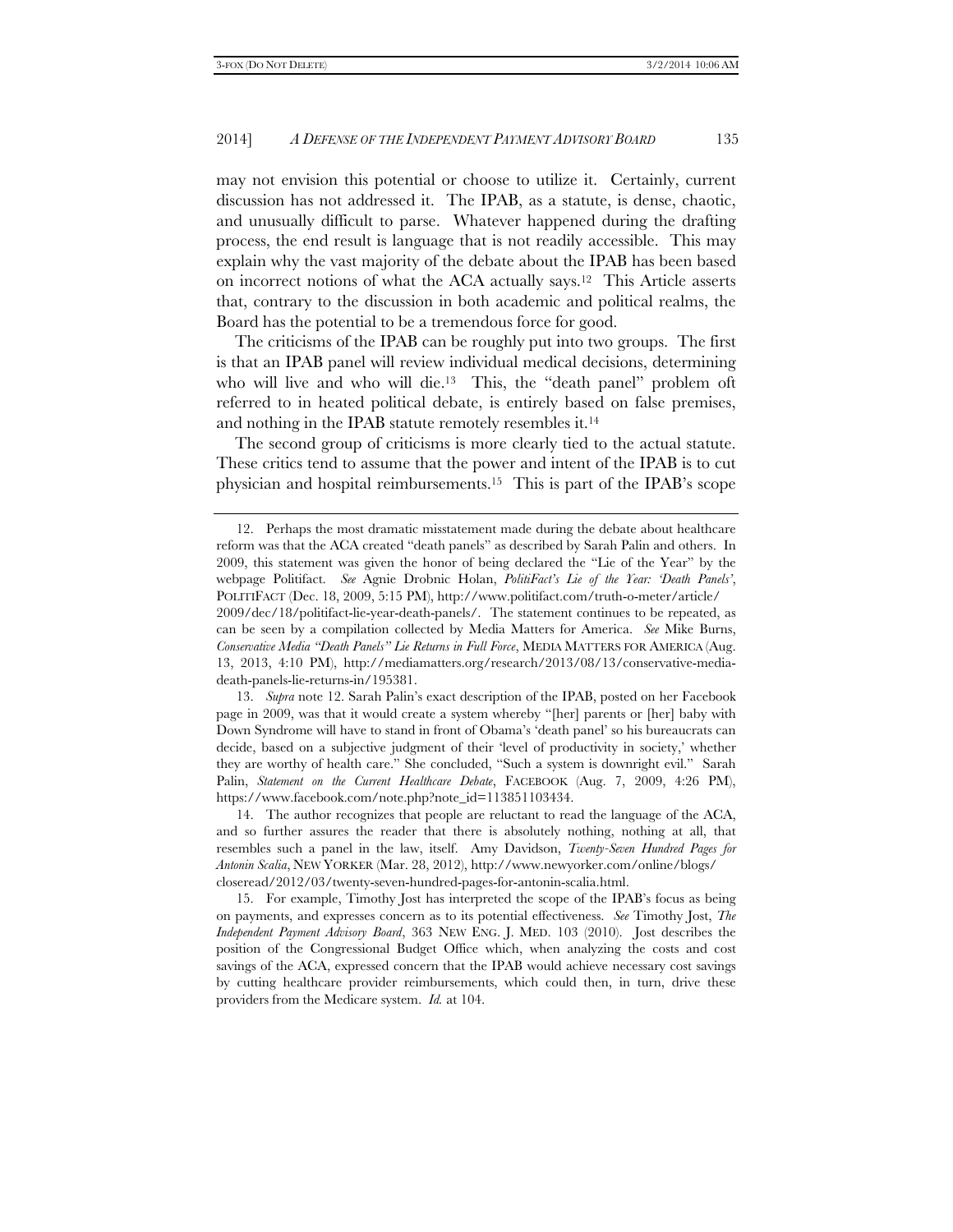may not envision this potential or choose to utilize it. Certainly, current discussion has not addressed it. The IPAB, as a statute, is dense, chaotic, and unusually difficult to parse. Whatever happened during the drafting process, the end result is language that is not readily accessible. This may explain why the vast majority of the debate about the IPAB has been based on incorrect notions of what the ACA actually says.12 This Article asserts that, contrary to the discussion in both academic and political realms, the Board has the potential to be a tremendous force for good.

The criticisms of the IPAB can be roughly put into two groups. The first is that an IPAB panel will review individual medical decisions, determining who will live and who will die.<sup>13</sup> This, the "death panel" problem oft referred to in heated political debate, is entirely based on false premises, and nothing in the IPAB statute remotely resembles it.14

The second group of criticisms is more clearly tied to the actual statute. These critics tend to assume that the power and intent of the IPAB is to cut physician and hospital reimbursements.15 This is part of the IPAB's scope

 13. *Supra* note 12. Sarah Palin's exact description of the IPAB, posted on her Facebook page in 2009, was that it would create a system whereby "[her] parents or [her] baby with Down Syndrome will have to stand in front of Obama's 'death panel' so his bureaucrats can decide, based on a subjective judgment of their 'level of productivity in society,' whether they are worthy of health care." She concluded, "Such a system is downright evil." Sarah Palin, *Statement on the Current Healthcare Debate*, FACEBOOK (Aug. 7, 2009, 4:26 PM), https://www.facebook.com/note.php?note\_id=113851103434.

 14. The author recognizes that people are reluctant to read the language of the ACA, and so further assures the reader that there is absolutely nothing, nothing at all, that resembles such a panel in the law, itself. Amy Davidson, *Twenty-Seven Hundred Pages for Antonin Scalia*, NEW YORKER (Mar. 28, 2012), http://www.newyorker.com/online/blogs/ closeread/2012/03/twenty-seven-hundred-pages-for-antonin-scalia.html.

 15. For example, Timothy Jost has interpreted the scope of the IPAB's focus as being on payments, and expresses concern as to its potential effectiveness. *See* Timothy Jost, *The Independent Payment Advisory Board*, 363 NEW ENG. J. MED. 103 (2010). Jost describes the position of the Congressional Budget Office which, when analyzing the costs and cost savings of the ACA, expressed concern that the IPAB would achieve necessary cost savings by cutting healthcare provider reimbursements, which could then, in turn, drive these providers from the Medicare system. *Id.* at 104.

 <sup>12.</sup> Perhaps the most dramatic misstatement made during the debate about healthcare reform was that the ACA created "death panels" as described by Sarah Palin and others. In 2009, this statement was given the honor of being declared the "Lie of the Year" by the webpage Politifact. *See* Agnie Drobnic Holan, *PolitiFact's Lie of the Year: 'Death Panels'*, POLITIFACT (Dec. 18, 2009, 5:15 PM), http://www.politifact.com/truth-o-meter/article/ 2009/dec/18/politifact-lie-year-death-panels/. The statement continues to be repeated, as can be seen by a compilation collected by Media Matters for America. *See* Mike Burns, *Conservative Media "Death Panels" Lie Returns in Full Force*, MEDIA MATTERS FOR AMERICA (Aug. 13, 2013, 4:10 PM), http://mediamatters.org/research/2013/08/13/conservative-mediadeath-panels-lie-returns-in/195381.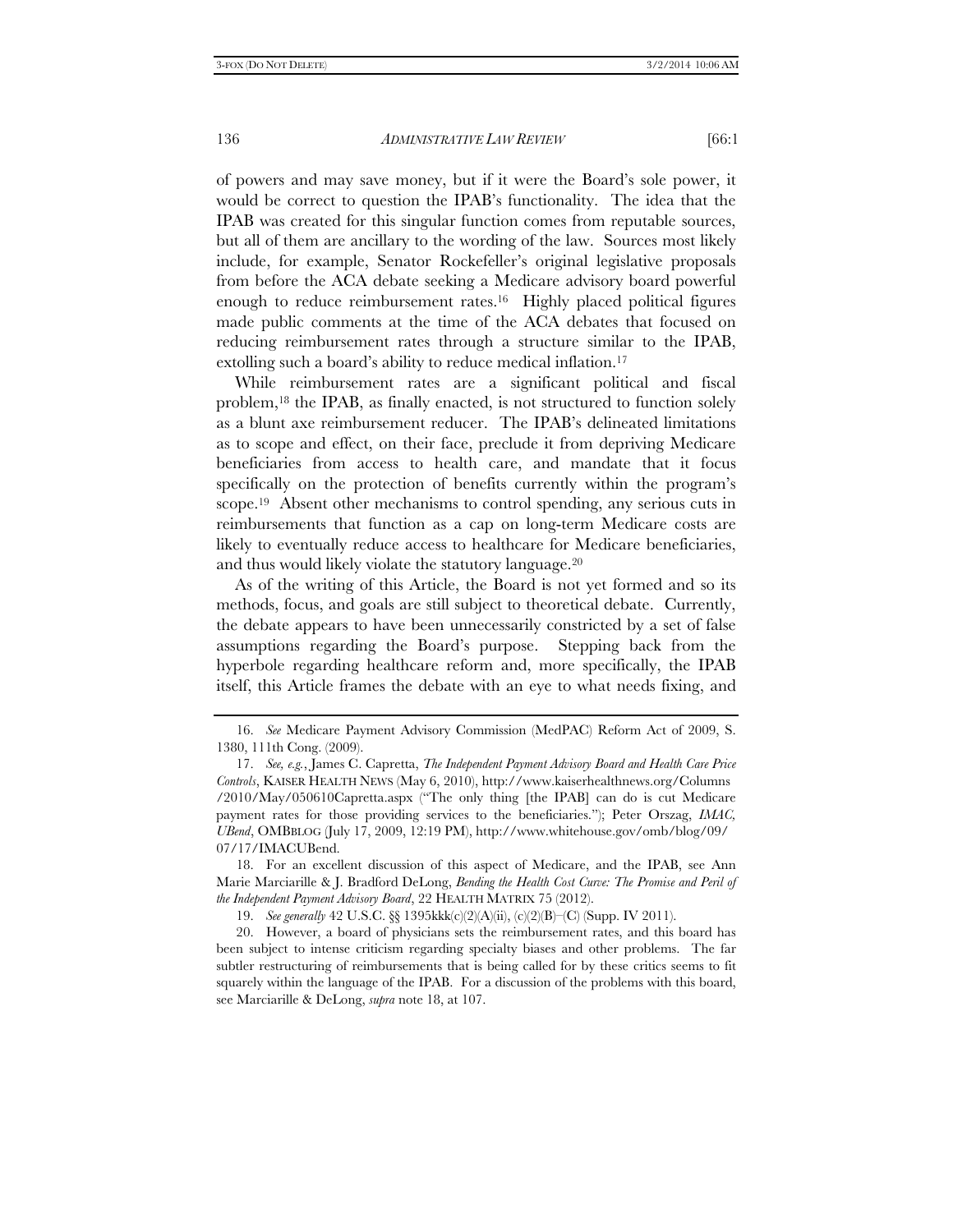of powers and may save money, but if it were the Board's sole power, it would be correct to question the IPAB's functionality. The idea that the IPAB was created for this singular function comes from reputable sources, but all of them are ancillary to the wording of the law. Sources most likely include, for example, Senator Rockefeller's original legislative proposals from before the ACA debate seeking a Medicare advisory board powerful enough to reduce reimbursement rates.16 Highly placed political figures made public comments at the time of the ACA debates that focused on reducing reimbursement rates through a structure similar to the IPAB, extolling such a board's ability to reduce medical inflation.<sup>17</sup>

While reimbursement rates are a significant political and fiscal problem,18 the IPAB, as finally enacted, is not structured to function solely as a blunt axe reimbursement reducer. The IPAB's delineated limitations as to scope and effect, on their face, preclude it from depriving Medicare beneficiaries from access to health care, and mandate that it focus specifically on the protection of benefits currently within the program's scope.<sup>19</sup> Absent other mechanisms to control spending, any serious cuts in reimbursements that function as a cap on long-term Medicare costs are likely to eventually reduce access to healthcare for Medicare beneficiaries, and thus would likely violate the statutory language.20

As of the writing of this Article, the Board is not yet formed and so its methods, focus, and goals are still subject to theoretical debate. Currently, the debate appears to have been unnecessarily constricted by a set of false assumptions regarding the Board's purpose. Stepping back from the hyperbole regarding healthcare reform and, more specifically, the IPAB itself, this Article frames the debate with an eye to what needs fixing, and

 18. For an excellent discussion of this aspect of Medicare, and the IPAB, see Ann Marie Marciarille & J. Bradford DeLong, *Bending the Health Cost Curve: The Promise and Peril of the Independent Payment Advisory Board*, 22 HEALTH MATRIX 75 (2012).

19. *See generally* 42 U.S.C. §§ 1395kkk(c)(2)(A)(ii), (c)(2)(B)–(C) (Supp. IV 2011).

 20. However, a board of physicians sets the reimbursement rates, and this board has been subject to intense criticism regarding specialty biases and other problems. The far subtler restructuring of reimbursements that is being called for by these critics seems to fit squarely within the language of the IPAB. For a discussion of the problems with this board, see Marciarille & DeLong, *supra* note 18, at 107.

 <sup>16.</sup> *See* Medicare Payment Advisory Commission (MedPAC) Reform Act of 2009, S. 1380, 111th Cong. (2009).

 <sup>17.</sup> *See, e.g.*, James C. Capretta, *The Independent Payment Advisory Board and Health Care Price Controls*, KAISER HEALTH NEWS (May 6, 2010), http://www.kaiserhealthnews.org/Columns /2010/May/050610Capretta.aspx ("The only thing [the IPAB] can do is cut Medicare payment rates for those providing services to the beneficiaries."); Peter Orszag, *IMAC, UBend*, OMBBLOG (July 17, 2009, 12:19 PM), http://www.whitehouse.gov/omb/blog/09/ 07/17/IMACUBend.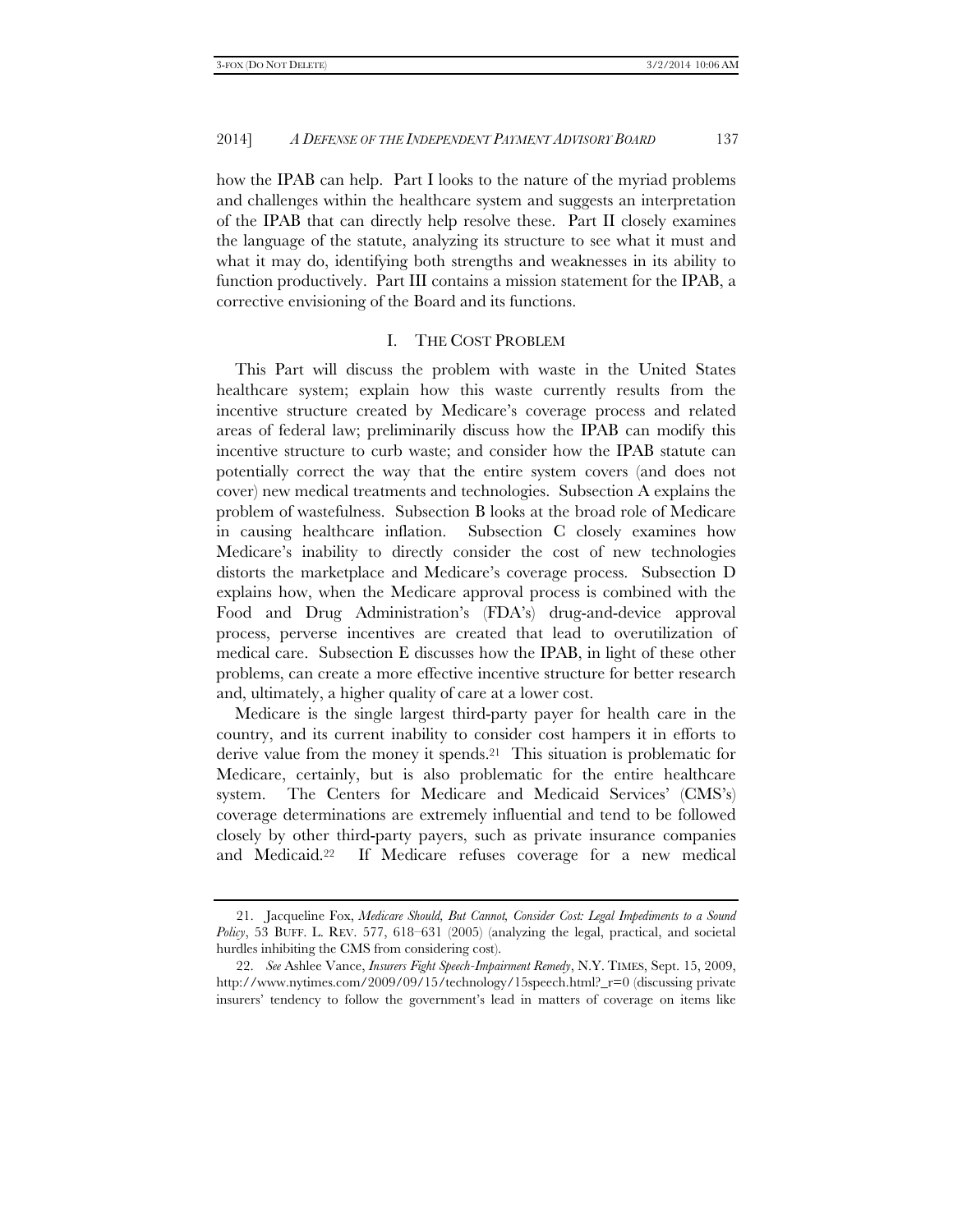how the IPAB can help. Part I looks to the nature of the myriad problems and challenges within the healthcare system and suggests an interpretation of the IPAB that can directly help resolve these. Part II closely examines the language of the statute, analyzing its structure to see what it must and what it may do, identifying both strengths and weaknesses in its ability to function productively. Part III contains a mission statement for the IPAB, a corrective envisioning of the Board and its functions.

#### I. THE COST PROBLEM

This Part will discuss the problem with waste in the United States healthcare system; explain how this waste currently results from the incentive structure created by Medicare's coverage process and related areas of federal law; preliminarily discuss how the IPAB can modify this incentive structure to curb waste; and consider how the IPAB statute can potentially correct the way that the entire system covers (and does not cover) new medical treatments and technologies. Subsection A explains the problem of wastefulness. Subsection B looks at the broad role of Medicare in causing healthcare inflation. Subsection C closely examines how Medicare's inability to directly consider the cost of new technologies distorts the marketplace and Medicare's coverage process. Subsection D explains how, when the Medicare approval process is combined with the Food and Drug Administration's (FDA's) drug-and-device approval process, perverse incentives are created that lead to overutilization of medical care. Subsection E discusses how the IPAB, in light of these other problems, can create a more effective incentive structure for better research and, ultimately, a higher quality of care at a lower cost.

Medicare is the single largest third-party payer for health care in the country, and its current inability to consider cost hampers it in efforts to derive value from the money it spends.21 This situation is problematic for Medicare, certainly, but is also problematic for the entire healthcare system. The Centers for Medicare and Medicaid Services' (CMS's) coverage determinations are extremely influential and tend to be followed closely by other third-party payers, such as private insurance companies and Medicaid.22 If Medicare refuses coverage for a new medical

 <sup>21.</sup> Jacqueline Fox, *Medicare Should, But Cannot, Consider Cost: Legal Impediments to a Sound Policy*, 53 BUFF. L. REV. 577, 618–631 (2005) (analyzing the legal, practical, and societal hurdles inhibiting the CMS from considering cost).

 <sup>22.</sup> *See* Ashlee Vance, *Insurers Fight Speech-Impairment Remedy*, N.Y. TIMES, Sept. 15, 2009, http://www.nytimes.com/2009/09/15/technology/15speech.html?\_r=0 (discussing private insurers' tendency to follow the government's lead in matters of coverage on items like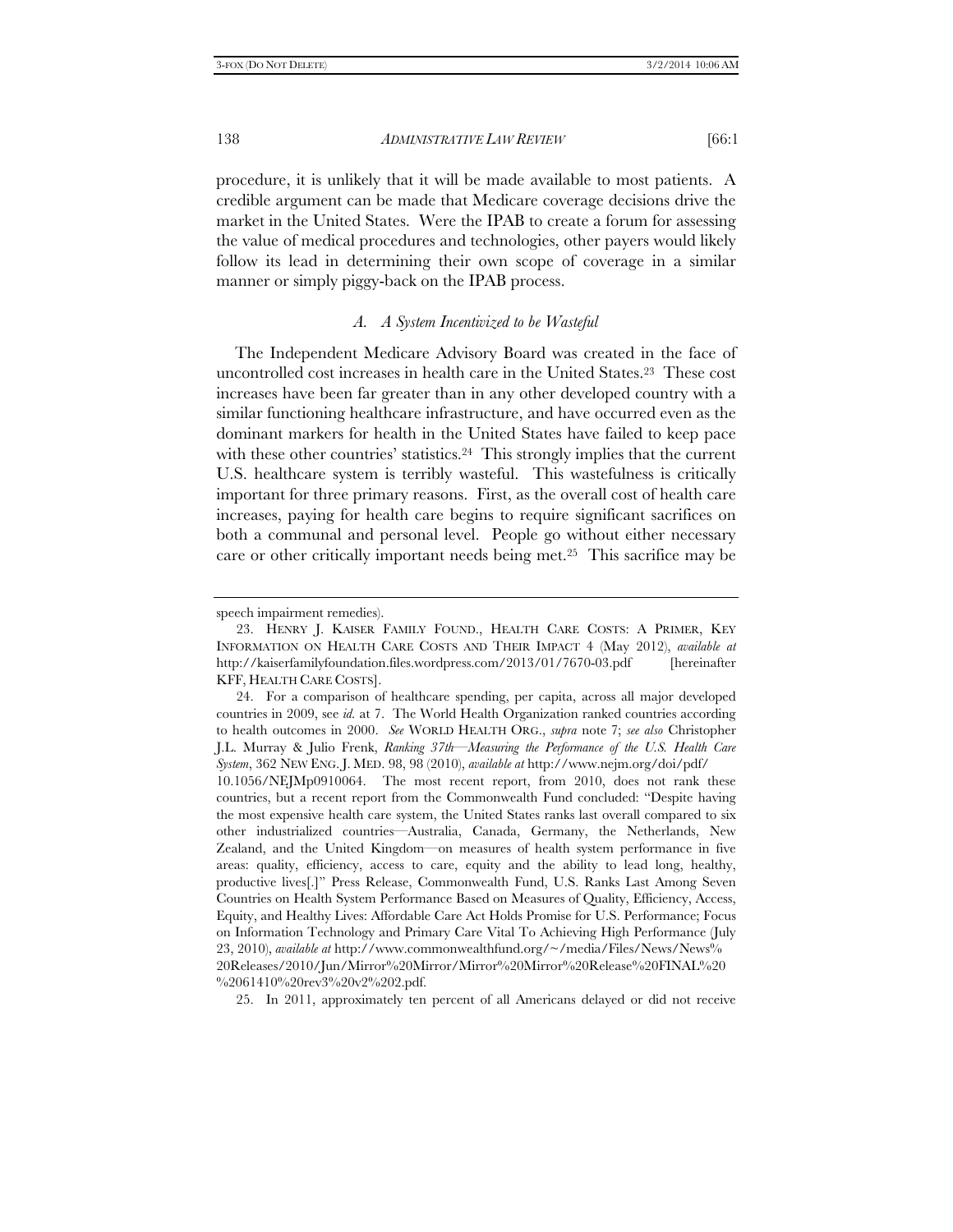procedure, it is unlikely that it will be made available to most patients. A credible argument can be made that Medicare coverage decisions drive the market in the United States. Were the IPAB to create a forum for assessing the value of medical procedures and technologies, other payers would likely follow its lead in determining their own scope of coverage in a similar manner or simply piggy-back on the IPAB process.

# *A. A System Incentivized to be Wasteful*

The Independent Medicare Advisory Board was created in the face of uncontrolled cost increases in health care in the United States.23 These cost increases have been far greater than in any other developed country with a similar functioning healthcare infrastructure, and have occurred even as the dominant markers for health in the United States have failed to keep pace with these other countries' statistics.<sup>24</sup> This strongly implies that the current U.S. healthcare system is terribly wasteful. This wastefulness is critically important for three primary reasons. First, as the overall cost of health care increases, paying for health care begins to require significant sacrifices on both a communal and personal level. People go without either necessary care or other critically important needs being met.25 This sacrifice may be

25. In 2011, approximately ten percent of all Americans delayed or did not receive

speech impairment remedies).

 <sup>23.</sup> HENRY J. KAISER FAMILY FOUND., HEALTH CARE COSTS: A PRIMER, KEY INFORMATION ON HEALTH CARE COSTS AND THEIR IMPACT 4 (May 2012), *available at* http://kaiserfamilyfoundation.files.wordpress.com/2013/01/7670-03.pdf [hereinafter KFF, HEALTH CARE COSTS].

 <sup>24.</sup> For a comparison of healthcare spending, per capita, across all major developed countries in 2009, see *id.* at 7. The World Health Organization ranked countries according to health outcomes in 2000. *See* WORLD HEALTH ORG., *supra* note 7; *see also* Christopher J.L. Murray & Julio Frenk, *Ranking 37th—Measuring the Performance of the U.S. Health Care System*, 362 NEW ENG. J. MED. 98, 98 (2010), *available at* http://www.nejm.org/doi/pdf/

<sup>10.1056/</sup>NEJMp0910064. The most recent report, from 2010, does not rank these countries, but a recent report from the Commonwealth Fund concluded: "Despite having the most expensive health care system, the United States ranks last overall compared to six other industrialized countries—Australia, Canada, Germany, the Netherlands, New Zealand, and the United Kingdom—on measures of health system performance in five areas: quality, efficiency, access to care, equity and the ability to lead long, healthy, productive lives[.]" Press Release, Commonwealth Fund, U.S. Ranks Last Among Seven Countries on Health System Performance Based on Measures of Quality, Efficiency, Access, Equity, and Healthy Lives: Affordable Care Act Holds Promise for U.S. Performance; Focus on Information Technology and Primary Care Vital To Achieving High Performance (July 23, 2010), *available at* http://www.commonwealthfund.org/~/media/Files/News/News% 20Releases/2010/Jun/Mirror%20Mirror/Mirror%20Mirror%20Release%20FINAL%20 %2061410%20rev3%20v2%202.pdf.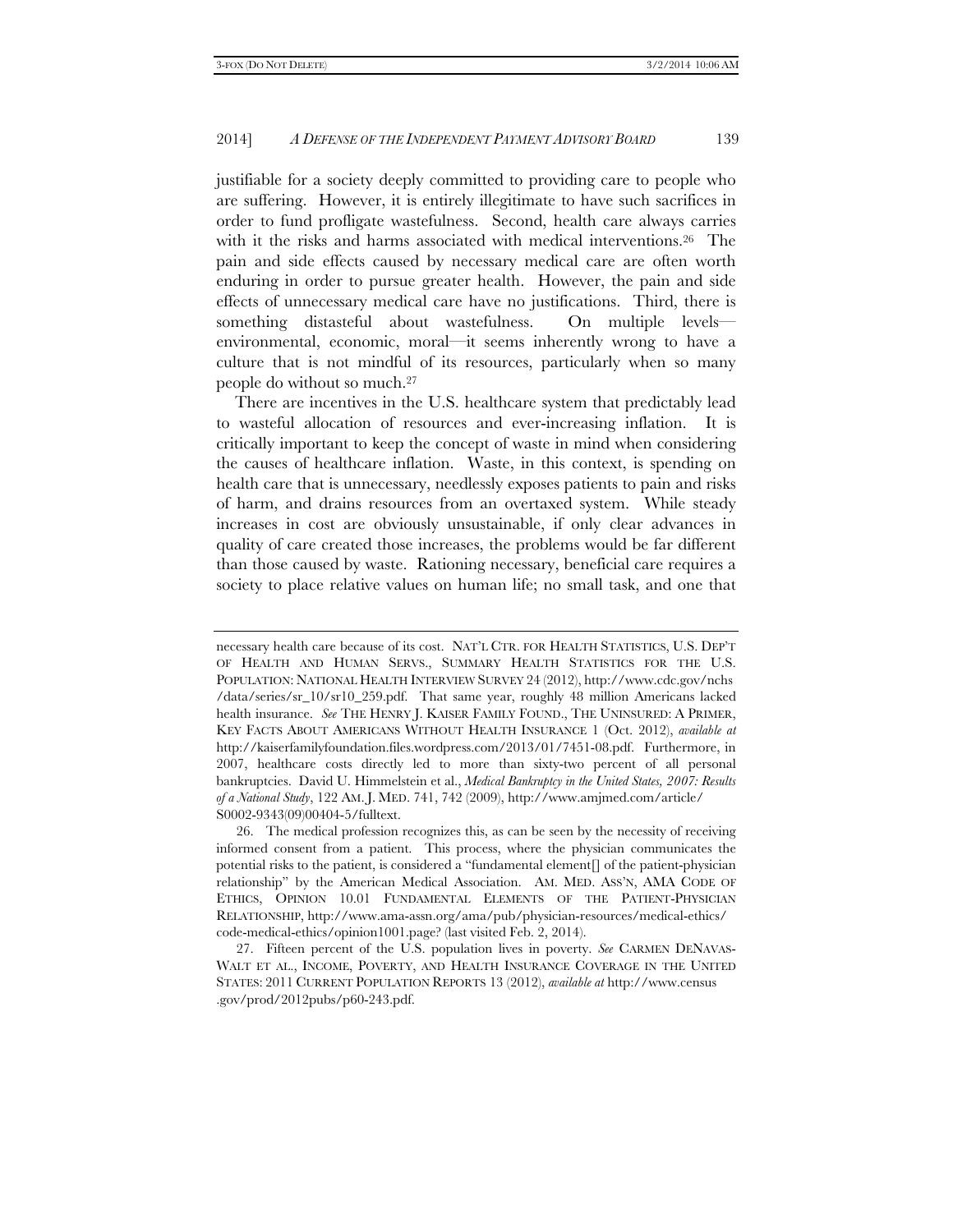justifiable for a society deeply committed to providing care to people who are suffering. However, it is entirely illegitimate to have such sacrifices in order to fund profligate wastefulness. Second, health care always carries with it the risks and harms associated with medical interventions.<sup>26</sup> The pain and side effects caused by necessary medical care are often worth enduring in order to pursue greater health. However, the pain and side effects of unnecessary medical care have no justifications. Third, there is something distasteful about wastefulness. On multiple levels environmental, economic, moral—it seems inherently wrong to have a culture that is not mindful of its resources, particularly when so many people do without so much.27

There are incentives in the U.S. healthcare system that predictably lead to wasteful allocation of resources and ever-increasing inflation. It is critically important to keep the concept of waste in mind when considering the causes of healthcare inflation. Waste, in this context, is spending on health care that is unnecessary, needlessly exposes patients to pain and risks of harm, and drains resources from an overtaxed system. While steady increases in cost are obviously unsustainable, if only clear advances in quality of care created those increases, the problems would be far different than those caused by waste. Rationing necessary, beneficial care requires a society to place relative values on human life; no small task, and one that

necessary health care because of its cost. NAT'L CTR. FOR HEALTH STATISTICS, U.S. DEP'T OF HEALTH AND HUMAN SERVS., SUMMARY HEALTH STATISTICS FOR THE U.S. POPULATION: NATIONAL HEALTH INTERVIEW SURVEY 24 (2012), http://www.cdc.gov/nchs /data/series/sr\_10/sr10\_259.pdf. That same year, roughly 48 million Americans lacked health insurance. *See* THE HENRY J. KAISER FAMILY FOUND., THE UNINSURED: A PRIMER, KEY FACTS ABOUT AMERICANS WITHOUT HEALTH INSURANCE 1 (Oct. 2012), *available at* http://kaiserfamilyfoundation.files.wordpress.com/2013/01/7451-08.pdf. Furthermore, in 2007, healthcare costs directly led to more than sixty-two percent of all personal bankruptcies. David U. Himmelstein et al., *Medical Bankruptcy in the United States, 2007: Results of a National Study*, 122 AM. J. MED. 741, 742 (2009), http://www.amjmed.com/article/ S0002-9343(09)00404-5/fulltext.

 <sup>26.</sup> The medical profession recognizes this, as can be seen by the necessity of receiving informed consent from a patient. This process, where the physician communicates the potential risks to the patient, is considered a "fundamental element[] of the patient-physician relationship" by the American Medical Association. AM. MED. ASS'N, AMA CODE OF ETHICS, OPINION 10.01 FUNDAMENTAL ELEMENTS OF THE PATIENT-PHYSICIAN RELATIONSHIP, http://www.ama-assn.org/ama/pub/physician-resources/medical-ethics/ code-medical-ethics/opinion1001.page? (last visited Feb. 2, 2014).

 <sup>27.</sup> Fifteen percent of the U.S. population lives in poverty. *See* CARMEN DENAVAS-WALT ET AL., INCOME, POVERTY, AND HEALTH INSURANCE COVERAGE IN THE UNITED STATES: 2011 CURRENT POPULATION REPORTS 13 (2012), *available at* http://www.census .gov/prod/2012pubs/p60-243.pdf.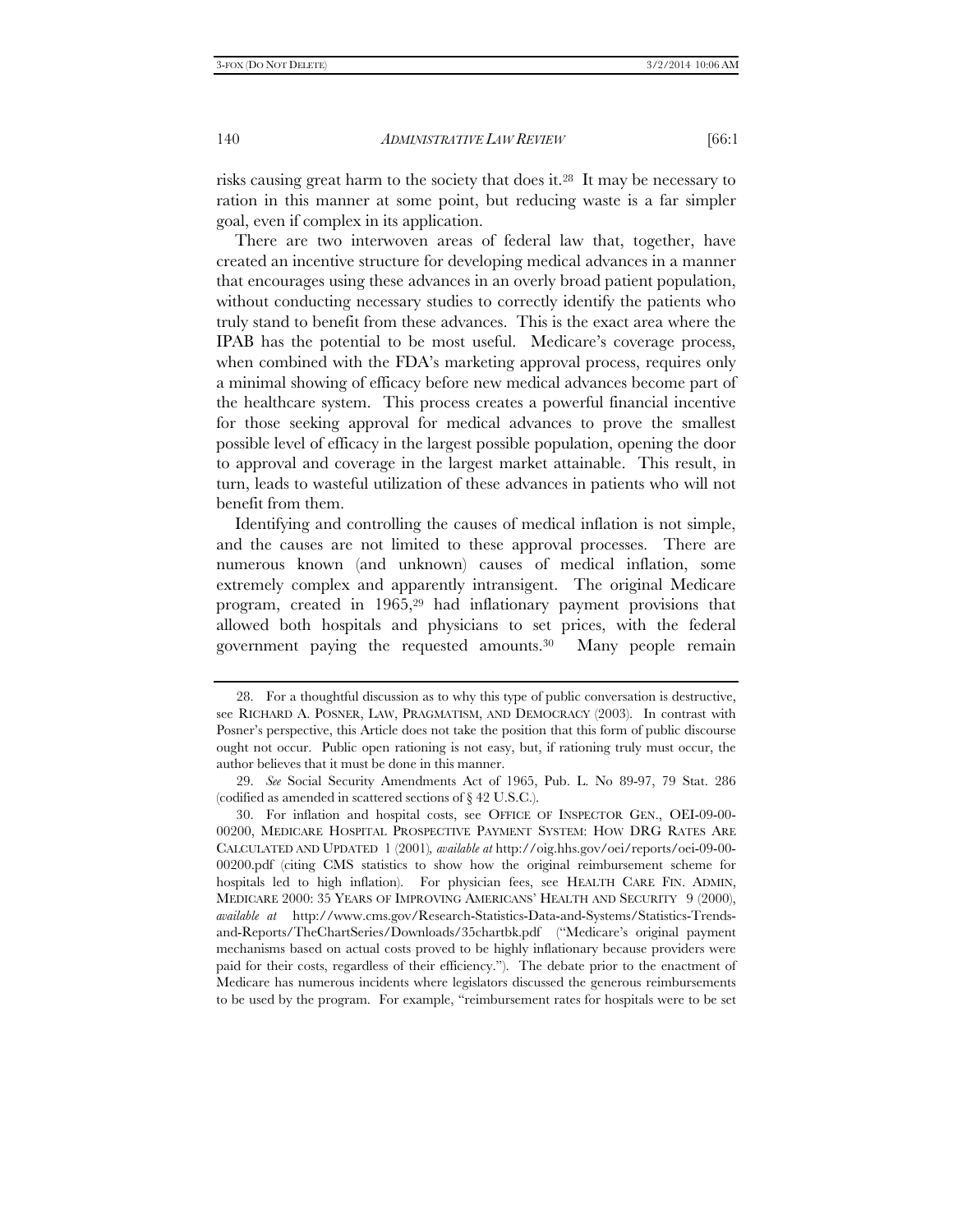risks causing great harm to the society that does it.28 It may be necessary to ration in this manner at some point, but reducing waste is a far simpler goal, even if complex in its application.

There are two interwoven areas of federal law that, together, have created an incentive structure for developing medical advances in a manner that encourages using these advances in an overly broad patient population, without conducting necessary studies to correctly identify the patients who truly stand to benefit from these advances. This is the exact area where the IPAB has the potential to be most useful. Medicare's coverage process, when combined with the FDA's marketing approval process, requires only a minimal showing of efficacy before new medical advances become part of the healthcare system. This process creates a powerful financial incentive for those seeking approval for medical advances to prove the smallest possible level of efficacy in the largest possible population, opening the door to approval and coverage in the largest market attainable. This result, in turn, leads to wasteful utilization of these advances in patients who will not benefit from them.

Identifying and controlling the causes of medical inflation is not simple, and the causes are not limited to these approval processes. There are numerous known (and unknown) causes of medical inflation, some extremely complex and apparently intransigent. The original Medicare program, created in 1965,29 had inflationary payment provisions that allowed both hospitals and physicians to set prices, with the federal government paying the requested amounts.30 Many people remain

 <sup>28.</sup> For a thoughtful discussion as to why this type of public conversation is destructive, see RICHARD A. POSNER, LAW, PRAGMATISM, AND DEMOCRACY (2003). In contrast with Posner's perspective, this Article does not take the position that this form of public discourse ought not occur. Public open rationing is not easy, but, if rationing truly must occur, the author believes that it must be done in this manner.

 <sup>29.</sup> *See* Social Security Amendments Act of 1965, Pub. L. No 89-97, 79 Stat. 286 (codified as amended in scattered sections of § 42 U.S.C.).

 <sup>30.</sup> For inflation and hospital costs, see OFFICE OF INSPECTOR GEN., OEI-09-00- 00200, MEDICARE HOSPITAL PROSPECTIVE PAYMENT SYSTEM: HOW DRG RATES ARE CALCULATED AND UPDATED 1 (2001)*, available at* http://oig.hhs.gov/oei/reports/oei-09-00- 00200.pdf (citing CMS statistics to show how the original reimbursement scheme for hospitals led to high inflation). For physician fees, see HEALTH CARE FIN. ADMIN, MEDICARE 2000: 35 YEARS OF IMPROVING AMERICANS' HEALTH AND SECURITY 9 (2000), *available at* http://www.cms.gov/Research-Statistics-Data-and-Systems/Statistics-Trendsand-Reports/TheChartSeries/Downloads/35chartbk.pdf ("Medicare's original payment mechanisms based on actual costs proved to be highly inflationary because providers were paid for their costs, regardless of their efficiency."). The debate prior to the enactment of Medicare has numerous incidents where legislators discussed the generous reimbursements to be used by the program. For example, "reimbursement rates for hospitals were to be set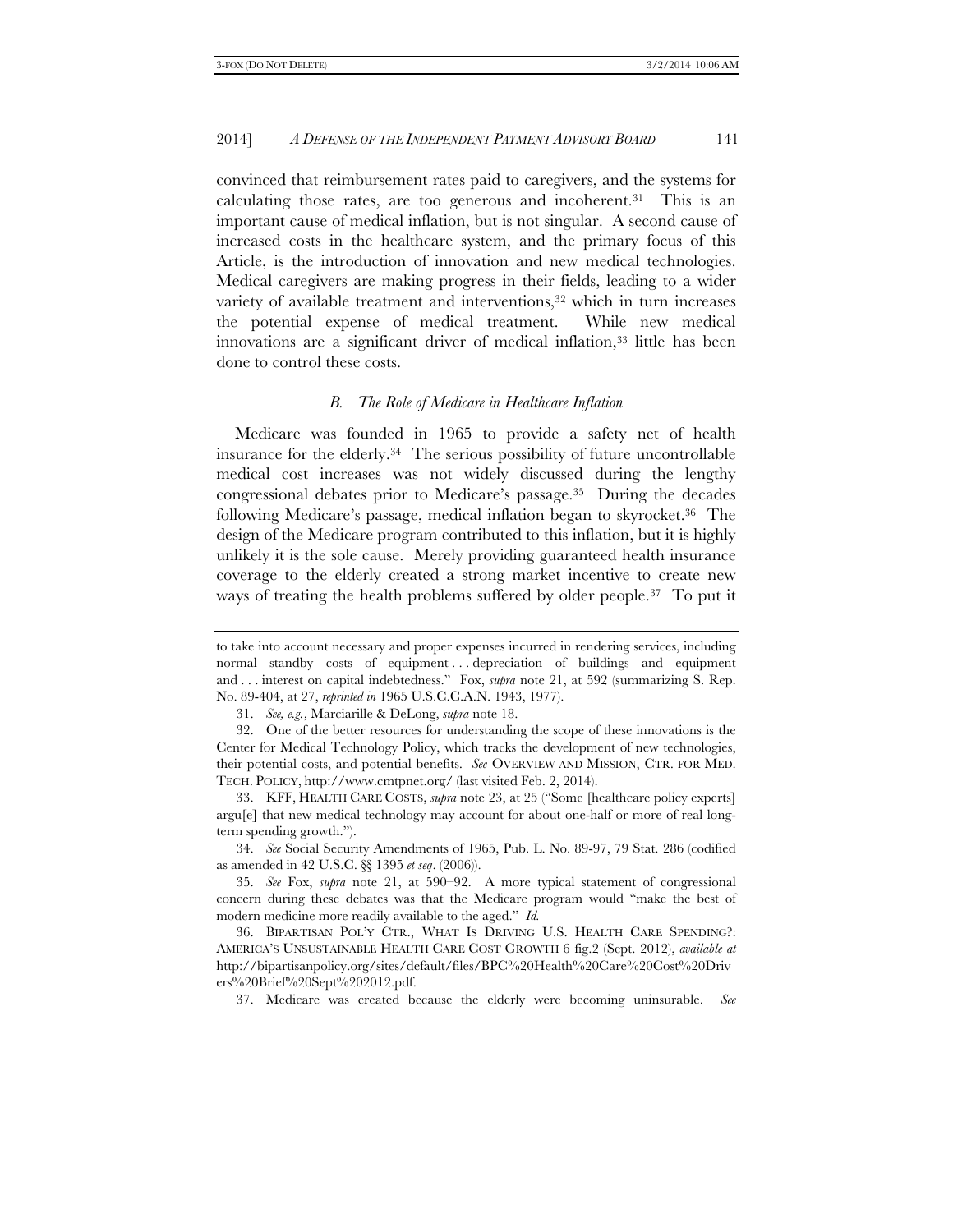convinced that reimbursement rates paid to caregivers, and the systems for calculating those rates, are too generous and incoherent.31 This is an important cause of medical inflation, but is not singular. A second cause of increased costs in the healthcare system, and the primary focus of this Article, is the introduction of innovation and new medical technologies. Medical caregivers are making progress in their fields, leading to a wider variety of available treatment and interventions,<sup>32</sup> which in turn increases the potential expense of medical treatment. While new medical innovations are a significant driver of medical inflation,<sup>33</sup> little has been done to control these costs.

#### *B. The Role of Medicare in Healthcare Inflation*

Medicare was founded in 1965 to provide a safety net of health insurance for the elderly.34 The serious possibility of future uncontrollable medical cost increases was not widely discussed during the lengthy congressional debates prior to Medicare's passage.35 During the decades following Medicare's passage, medical inflation began to skyrocket.36 The design of the Medicare program contributed to this inflation, but it is highly unlikely it is the sole cause. Merely providing guaranteed health insurance coverage to the elderly created a strong market incentive to create new ways of treating the health problems suffered by older people.<sup>37</sup> To put it

 34. *See* Social Security Amendments of 1965, Pub. L. No. 89-97, 79 Stat. 286 (codified as amended in 42 U.S.C. §§ 1395 *et seq*. (2006)).

37. Medicare was created because the elderly were becoming uninsurable. *See*

to take into account necessary and proper expenses incurred in rendering services, including normal standby costs of equipment . . . depreciation of buildings and equipment and . . . interest on capital indebtedness." Fox, *supra* note 21, at 592 (summarizing S. Rep. No. 89-404, at 27, *reprinted in* 1965 U.S.C.C.A.N. 1943, 1977).

 <sup>31.</sup> *See, e.g.*, Marciarille & DeLong, *supra* note 18.

 <sup>32.</sup> One of the better resources for understanding the scope of these innovations is the Center for Medical Technology Policy, which tracks the development of new technologies, their potential costs, and potential benefits. *See* OVERVIEW AND MISSION, CTR. FOR MED. TECH. POLICY, http://www.cmtpnet.org/ (last visited Feb. 2, 2014).

 <sup>33.</sup> KFF, HEALTH CARE COSTS, *supra* note 23, at 25 ("Some [healthcare policy experts] argu[e] that new medical technology may account for about one-half or more of real longterm spending growth.").

 <sup>35.</sup> *See* Fox, *supra* note 21, at 590–92. A more typical statement of congressional concern during these debates was that the Medicare program would "make the best of modern medicine more readily available to the aged." *Id.*

 <sup>36.</sup> BIPARTISAN POL'Y CTR., WHAT IS DRIVING U.S. HEALTH CARE SPENDING?: AMERICA'S UNSUSTAINABLE HEALTH CARE COST GROWTH 6 fig.2 (Sept. 2012), *available at* http://bipartisanpolicy.org/sites/default/files/BPC%20Health%20Care%20Cost%20Driv ers%20Brief%20Sept%202012.pdf.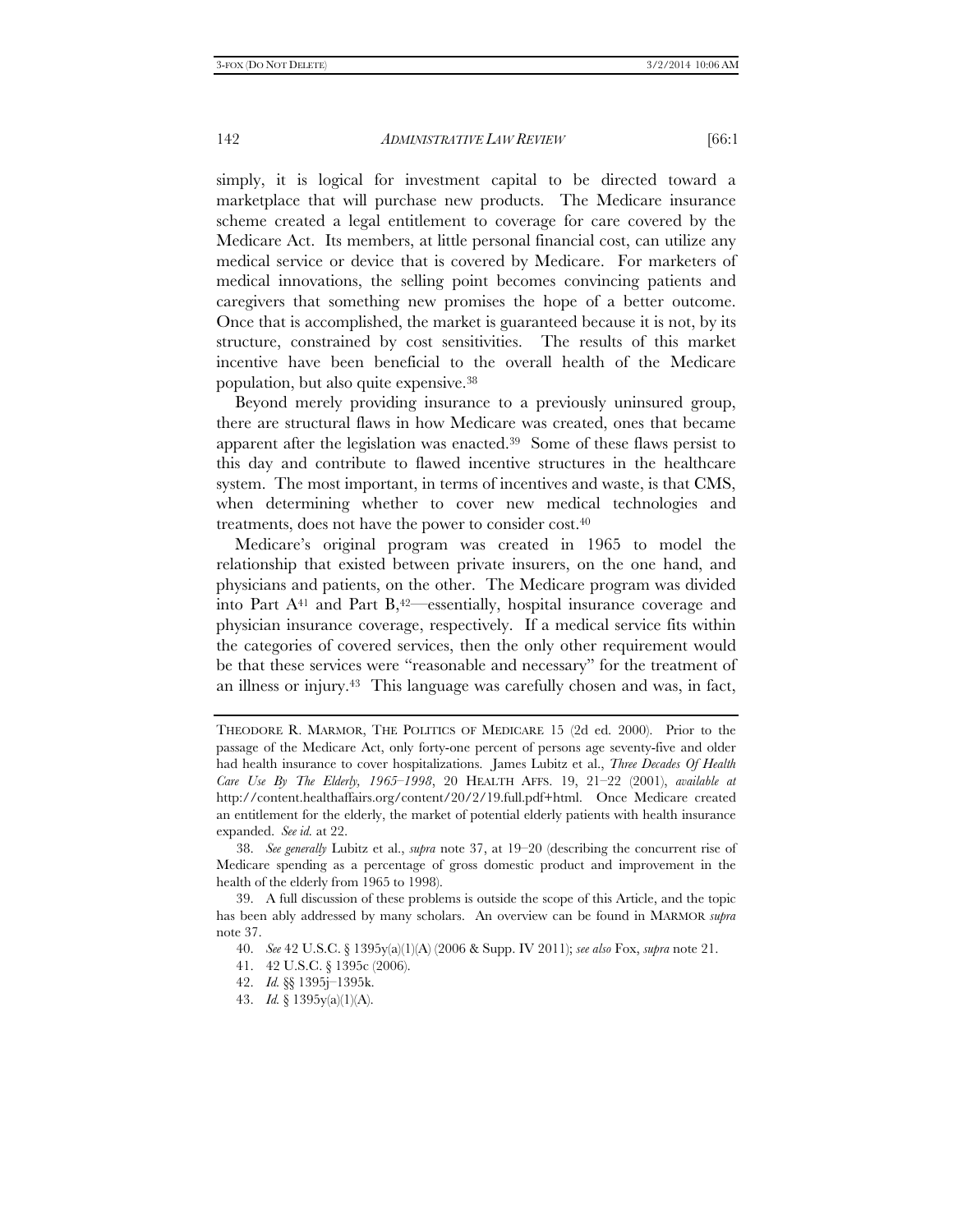simply, it is logical for investment capital to be directed toward a marketplace that will purchase new products. The Medicare insurance scheme created a legal entitlement to coverage for care covered by the Medicare Act. Its members, at little personal financial cost, can utilize any medical service or device that is covered by Medicare. For marketers of medical innovations, the selling point becomes convincing patients and caregivers that something new promises the hope of a better outcome. Once that is accomplished, the market is guaranteed because it is not, by its structure, constrained by cost sensitivities. The results of this market incentive have been beneficial to the overall health of the Medicare population, but also quite expensive.38

Beyond merely providing insurance to a previously uninsured group, there are structural flaws in how Medicare was created, ones that became apparent after the legislation was enacted.39 Some of these flaws persist to this day and contribute to flawed incentive structures in the healthcare system. The most important, in terms of incentives and waste, is that CMS, when determining whether to cover new medical technologies and treatments, does not have the power to consider cost.40

Medicare's original program was created in 1965 to model the relationship that existed between private insurers, on the one hand, and physicians and patients, on the other. The Medicare program was divided into Part  $A<sup>41</sup>$  and Part  $B<sub>1</sub><sup>42</sup>$  essentially, hospital insurance coverage and physician insurance coverage, respectively. If a medical service fits within the categories of covered services, then the only other requirement would be that these services were "reasonable and necessary" for the treatment of an illness or injury.43 This language was carefully chosen and was, in fact,

THEODORE R. MARMOR, THE POLITICS OF MEDICARE 15 (2d ed. 2000). Prior to the passage of the Medicare Act, only forty-one percent of persons age seventy-five and older had health insurance to cover hospitalizations. James Lubitz et al., *Three Decades Of Health Care Use By The Elderly, 1965–1998*, 20 HEALTH AFFS. 19, 21–22 (2001), *available at* http://content.healthaffairs.org/content/20/2/19.full.pdf+html. Once Medicare created an entitlement for the elderly, the market of potential elderly patients with health insurance expanded. *See id.* at 22.

 <sup>38.</sup> *See generally* Lubitz et al., *supra* note 37, at 19–20 (describing the concurrent rise of Medicare spending as a percentage of gross domestic product and improvement in the health of the elderly from 1965 to 1998).

 <sup>39.</sup> A full discussion of these problems is outside the scope of this Article, and the topic has been ably addressed by many scholars. An overview can be found in MARMOR *supra* note 37.

 <sup>40.</sup> *See* 42 U.S.C. § 1395y(a)(1)(A) (2006 & Supp. IV 2011); *see also* Fox, *supra* note 21.

 <sup>41. 42</sup> U.S.C. § 1395c (2006).

 <sup>42.</sup> *Id.* §§ 1395j–1395k.

 <sup>43.</sup> *Id.* § 1395y(a)(1)(A).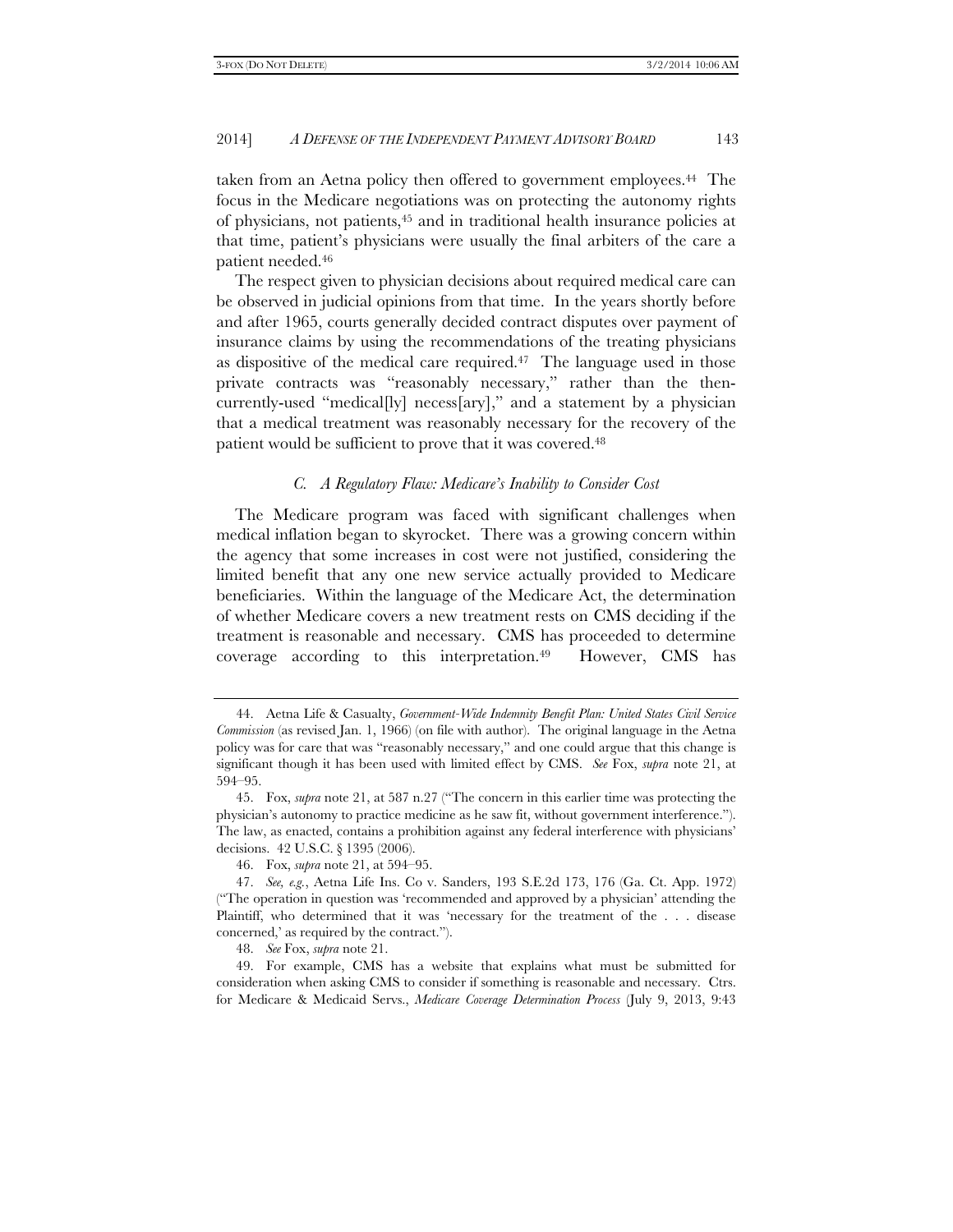taken from an Aetna policy then offered to government employees.44 The focus in the Medicare negotiations was on protecting the autonomy rights of physicians, not patients,45 and in traditional health insurance policies at that time, patient's physicians were usually the final arbiters of the care a patient needed.46

The respect given to physician decisions about required medical care can be observed in judicial opinions from that time. In the years shortly before and after 1965, courts generally decided contract disputes over payment of insurance claims by using the recommendations of the treating physicians as dispositive of the medical care required.47 The language used in those private contracts was "reasonably necessary," rather than the thencurrently-used "medical[ly] necess[ary]," and a statement by a physician that a medical treatment was reasonably necessary for the recovery of the patient would be sufficient to prove that it was covered.<sup>48</sup>

#### *C. A Regulatory Flaw: Medicare's Inability to Consider Cost*

The Medicare program was faced with significant challenges when medical inflation began to skyrocket. There was a growing concern within the agency that some increases in cost were not justified, considering the limited benefit that any one new service actually provided to Medicare beneficiaries. Within the language of the Medicare Act, the determination of whether Medicare covers a new treatment rests on CMS deciding if the treatment is reasonable and necessary. CMS has proceeded to determine coverage according to this interpretation.49 However, CMS has

 <sup>44.</sup> Aetna Life & Casualty, *Government-Wide Indemnity Benefit Plan: United States Civil Service Commission* (as revised Jan. 1, 1966) (on file with author). The original language in the Aetna policy was for care that was "reasonably necessary," and one could argue that this change is significant though it has been used with limited effect by CMS. *See* Fox, *supra* note 21, at 594–95.

 <sup>45.</sup> Fox, *supra* note 21, at 587 n.27 ("The concern in this earlier time was protecting the physician's autonomy to practice medicine as he saw fit, without government interference."). The law, as enacted, contains a prohibition against any federal interference with physicians' decisions. 42 U.S.C. § 1395 (2006).

 <sup>46.</sup> Fox, *supra* note 21, at 594–95.

 <sup>47.</sup> *See, e.g.*, Aetna Life Ins. Co v. Sanders, 193 S.E.2d 173, 176 (Ga. Ct. App. 1972) ("The operation in question was 'recommended and approved by a physician' attending the Plaintiff, who determined that it was 'necessary for the treatment of the . . . disease concerned,' as required by the contract.").

 <sup>48.</sup> *See* Fox, *supra* note 21.

 <sup>49.</sup> For example, CMS has a website that explains what must be submitted for consideration when asking CMS to consider if something is reasonable and necessary. Ctrs. for Medicare & Medicaid Servs., *Medicare Coverage Determination Process* (July 9, 2013, 9:43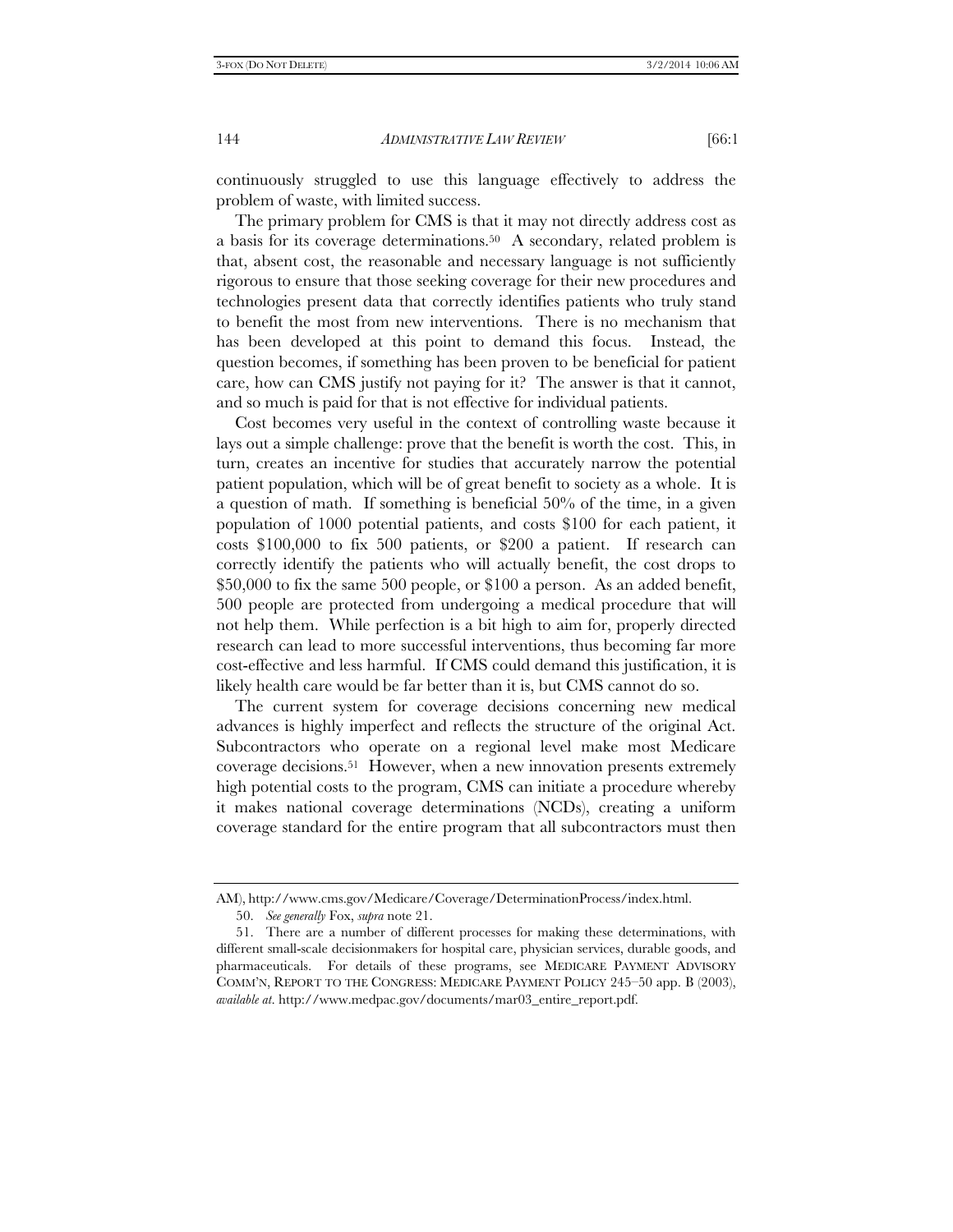continuously struggled to use this language effectively to address the problem of waste, with limited success.

The primary problem for CMS is that it may not directly address cost as a basis for its coverage determinations.<sup>50</sup> A secondary, related problem is that, absent cost, the reasonable and necessary language is not sufficiently rigorous to ensure that those seeking coverage for their new procedures and technologies present data that correctly identifies patients who truly stand to benefit the most from new interventions. There is no mechanism that has been developed at this point to demand this focus. Instead, the question becomes, if something has been proven to be beneficial for patient care, how can CMS justify not paying for it? The answer is that it cannot, and so much is paid for that is not effective for individual patients.

Cost becomes very useful in the context of controlling waste because it lays out a simple challenge: prove that the benefit is worth the cost. This, in turn, creates an incentive for studies that accurately narrow the potential patient population, which will be of great benefit to society as a whole. It is a question of math. If something is beneficial 50% of the time, in a given population of 1000 potential patients, and costs \$100 for each patient, it costs \$100,000 to fix 500 patients, or \$200 a patient. If research can correctly identify the patients who will actually benefit, the cost drops to \$50,000 to fix the same 500 people, or \$100 a person. As an added benefit, 500 people are protected from undergoing a medical procedure that will not help them. While perfection is a bit high to aim for, properly directed research can lead to more successful interventions, thus becoming far more cost-effective and less harmful. If CMS could demand this justification, it is likely health care would be far better than it is, but CMS cannot do so.

The current system for coverage decisions concerning new medical advances is highly imperfect and reflects the structure of the original Act. Subcontractors who operate on a regional level make most Medicare coverage decisions.51 However, when a new innovation presents extremely high potential costs to the program, CMS can initiate a procedure whereby it makes national coverage determinations (NCDs), creating a uniform coverage standard for the entire program that all subcontractors must then

AM), http://www.cms.gov/Medicare/Coverage/DeterminationProcess/index.html. 50. *See generally* Fox, *supra* note 21.

 <sup>51.</sup> There are a number of different processes for making these determinations, with different small-scale decisionmakers for hospital care, physician services, durable goods, and pharmaceuticals. For details of these programs, see MEDICARE PAYMENT ADVISORY COMM'N, REPORT TO THE CONGRESS: MEDICARE PAYMENT POLICY 245–50 app. B (2003), *available at*. http://www.medpac.gov/documents/mar03\_entire\_report.pdf.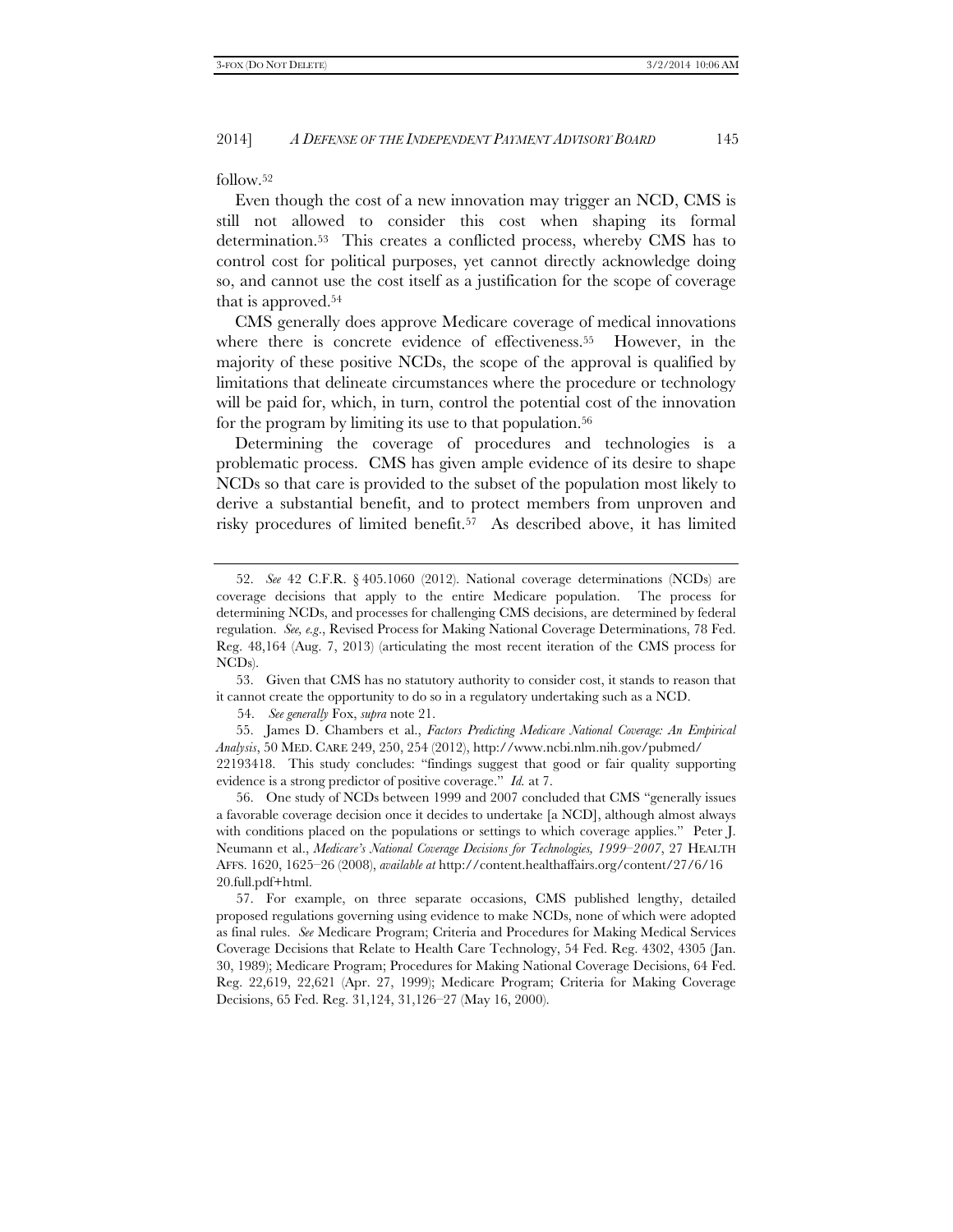follow.52

Even though the cost of a new innovation may trigger an NCD, CMS is still not allowed to consider this cost when shaping its formal determination.53 This creates a conflicted process, whereby CMS has to control cost for political purposes, yet cannot directly acknowledge doing so, and cannot use the cost itself as a justification for the scope of coverage that is approved.54

CMS generally does approve Medicare coverage of medical innovations where there is concrete evidence of effectiveness.<sup>55</sup> However, in the majority of these positive NCDs, the scope of the approval is qualified by limitations that delineate circumstances where the procedure or technology will be paid for, which, in turn, control the potential cost of the innovation for the program by limiting its use to that population.<sup>56</sup>

Determining the coverage of procedures and technologies is a problematic process. CMS has given ample evidence of its desire to shape NCDs so that care is provided to the subset of the population most likely to derive a substantial benefit, and to protect members from unproven and risky procedures of limited benefit.57 As described above, it has limited

 55. James D. Chambers et al., *Factors Predicting Medicare National Coverage: An Empirical Analysis*, 50 MED. CARE 249, 250, 254 (2012), http://www.ncbi.nlm.nih.gov/pubmed/

22193418. This study concludes: "findings suggest that good or fair quality supporting evidence is a strong predictor of positive coverage." *Id.* at 7.

 56. One study of NCDs between 1999 and 2007 concluded that CMS "generally issues a favorable coverage decision once it decides to undertake [a NCD], although almost always with conditions placed on the populations or settings to which coverage applies." Peter J. Neumann et al., *Medicare's National Coverage Decisions for Technologies, 1999–2007*, 27 HEALTH AFFS. 1620, 1625–26 (2008), *available at* http://content.healthaffairs.org/content/27/6/16 20.full.pdf+html.

 57. For example, on three separate occasions, CMS published lengthy, detailed proposed regulations governing using evidence to make NCDs, none of which were adopted as final rules. *See* Medicare Program; Criteria and Procedures for Making Medical Services Coverage Decisions that Relate to Health Care Technology, 54 Fed. Reg. 4302, 4305 (Jan. 30, 1989); Medicare Program; Procedures for Making National Coverage Decisions, 64 Fed. Reg. 22,619, 22,621 (Apr. 27, 1999); Medicare Program; Criteria for Making Coverage Decisions, 65 Fed. Reg. 31,124, 31,126–27 (May 16, 2000).

 <sup>52.</sup> *See* 42 C.F.R. § 405.1060 (2012). National coverage determinations (NCDs) are coverage decisions that apply to the entire Medicare population. The process for determining NCDs, and processes for challenging CMS decisions, are determined by federal regulation. *See, e.g*., Revised Process for Making National Coverage Determinations, 78 Fed. Reg. 48,164 (Aug. 7, 2013) (articulating the most recent iteration of the CMS process for NCDs).

 <sup>53.</sup> Given that CMS has no statutory authority to consider cost, it stands to reason that it cannot create the opportunity to do so in a regulatory undertaking such as a NCD.

<sup>54.</sup> *See generally* Fox, *supra* note 21.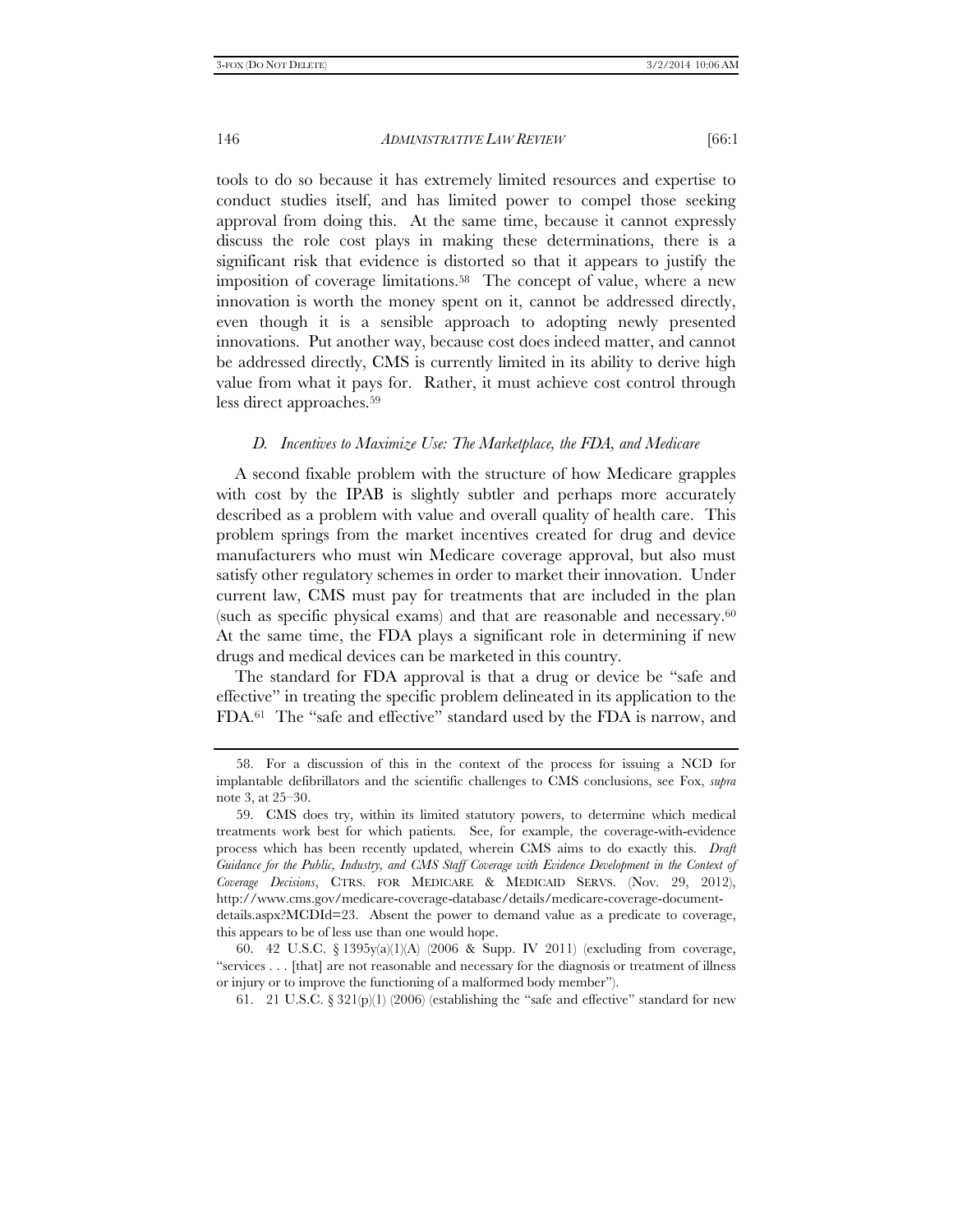tools to do so because it has extremely limited resources and expertise to conduct studies itself, and has limited power to compel those seeking approval from doing this. At the same time, because it cannot expressly discuss the role cost plays in making these determinations, there is a significant risk that evidence is distorted so that it appears to justify the imposition of coverage limitations.58 The concept of value, where a new innovation is worth the money spent on it, cannot be addressed directly, even though it is a sensible approach to adopting newly presented innovations. Put another way, because cost does indeed matter, and cannot be addressed directly, CMS is currently limited in its ability to derive high value from what it pays for. Rather, it must achieve cost control through less direct approaches.59

# *D. Incentives to Maximize Use: The Marketplace, the FDA, and Medicare*

A second fixable problem with the structure of how Medicare grapples with cost by the IPAB is slightly subtler and perhaps more accurately described as a problem with value and overall quality of health care. This problem springs from the market incentives created for drug and device manufacturers who must win Medicare coverage approval, but also must satisfy other regulatory schemes in order to market their innovation. Under current law, CMS must pay for treatments that are included in the plan (such as specific physical exams) and that are reasonable and necessary.60 At the same time, the FDA plays a significant role in determining if new drugs and medical devices can be marketed in this country.

The standard for FDA approval is that a drug or device be "safe and effective" in treating the specific problem delineated in its application to the FDA.61 The "safe and effective" standard used by the FDA is narrow, and

 <sup>58.</sup> For a discussion of this in the context of the process for issuing a NCD for implantable defibrillators and the scientific challenges to CMS conclusions, see Fox, *supra* note 3, at 25–30.

 <sup>59.</sup> CMS does try, within its limited statutory powers, to determine which medical treatments work best for which patients. See, for example, the coverage-with-evidence process which has been recently updated, wherein CMS aims to do exactly this. *Draft Guidance for the Public, Industry, and CMS Staff Coverage with Evidence Development in the Context of Coverage Decisions*, CTRS. FOR MEDICARE & MEDICAID SERVS. (Nov. 29, 2012), http://www.cms.gov/medicare-coverage-database/details/medicare-coverage-documentdetails.aspx?MCDId=23. Absent the power to demand value as a predicate to coverage, this appears to be of less use than one would hope.

 <sup>60. 42</sup> U.S.C. § 1395y(a)(1)(A) (2006 & Supp. IV 2011) (excluding from coverage, "services . . . [that] are not reasonable and necessary for the diagnosis or treatment of illness or injury or to improve the functioning of a malformed body member").

<sup>61. 21</sup> U.S.C. § 321(p)(1) (2006) (establishing the "safe and effective" standard for new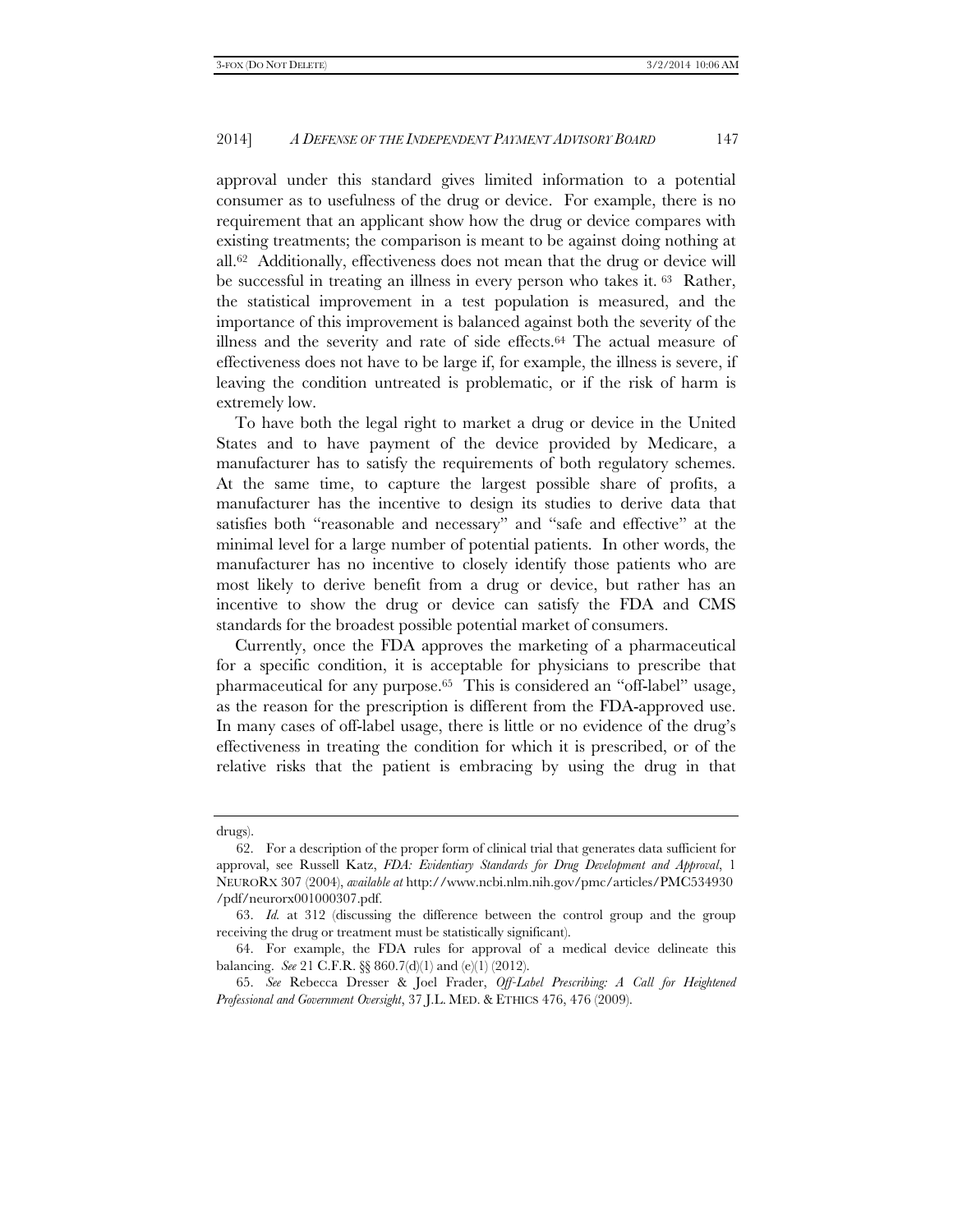approval under this standard gives limited information to a potential consumer as to usefulness of the drug or device. For example, there is no requirement that an applicant show how the drug or device compares with existing treatments; the comparison is meant to be against doing nothing at all.62 Additionally, effectiveness does not mean that the drug or device will be successful in treating an illness in every person who takes it. 63 Rather, the statistical improvement in a test population is measured, and the importance of this improvement is balanced against both the severity of the illness and the severity and rate of side effects.64 The actual measure of effectiveness does not have to be large if, for example, the illness is severe, if leaving the condition untreated is problematic, or if the risk of harm is extremely low.

To have both the legal right to market a drug or device in the United States and to have payment of the device provided by Medicare, a manufacturer has to satisfy the requirements of both regulatory schemes. At the same time, to capture the largest possible share of profits, a manufacturer has the incentive to design its studies to derive data that satisfies both "reasonable and necessary" and "safe and effective" at the minimal level for a large number of potential patients. In other words, the manufacturer has no incentive to closely identify those patients who are most likely to derive benefit from a drug or device, but rather has an incentive to show the drug or device can satisfy the FDA and CMS standards for the broadest possible potential market of consumers.

Currently, once the FDA approves the marketing of a pharmaceutical for a specific condition, it is acceptable for physicians to prescribe that pharmaceutical for any purpose.65 This is considered an "off-label" usage, as the reason for the prescription is different from the FDA-approved use. In many cases of off-label usage, there is little or no evidence of the drug's effectiveness in treating the condition for which it is prescribed, or of the relative risks that the patient is embracing by using the drug in that

drugs).

 <sup>62.</sup> For a description of the proper form of clinical trial that generates data sufficient for approval, see Russell Katz, *FDA: Evidentiary Standards for Drug Development and Approval*, 1 NEURORX 307 (2004), *available at* http://www.ncbi.nlm.nih.gov/pmc/articles/PMC534930 /pdf/neurorx001000307.pdf.

 <sup>63.</sup> *Id.* at 312 (discussing the difference between the control group and the group receiving the drug or treatment must be statistically significant).

 <sup>64.</sup> For example, the FDA rules for approval of a medical device delineate this balancing. *See* 21 C.F.R. §§ 860.7(d)(1) and (e)(1) (2012).

 <sup>65.</sup> *See* Rebecca Dresser & Joel Frader, *Off-Label Prescribing: A Call for Heightened Professional and Government Oversight*, 37 J.L. MED. & ETHICS 476, 476 (2009).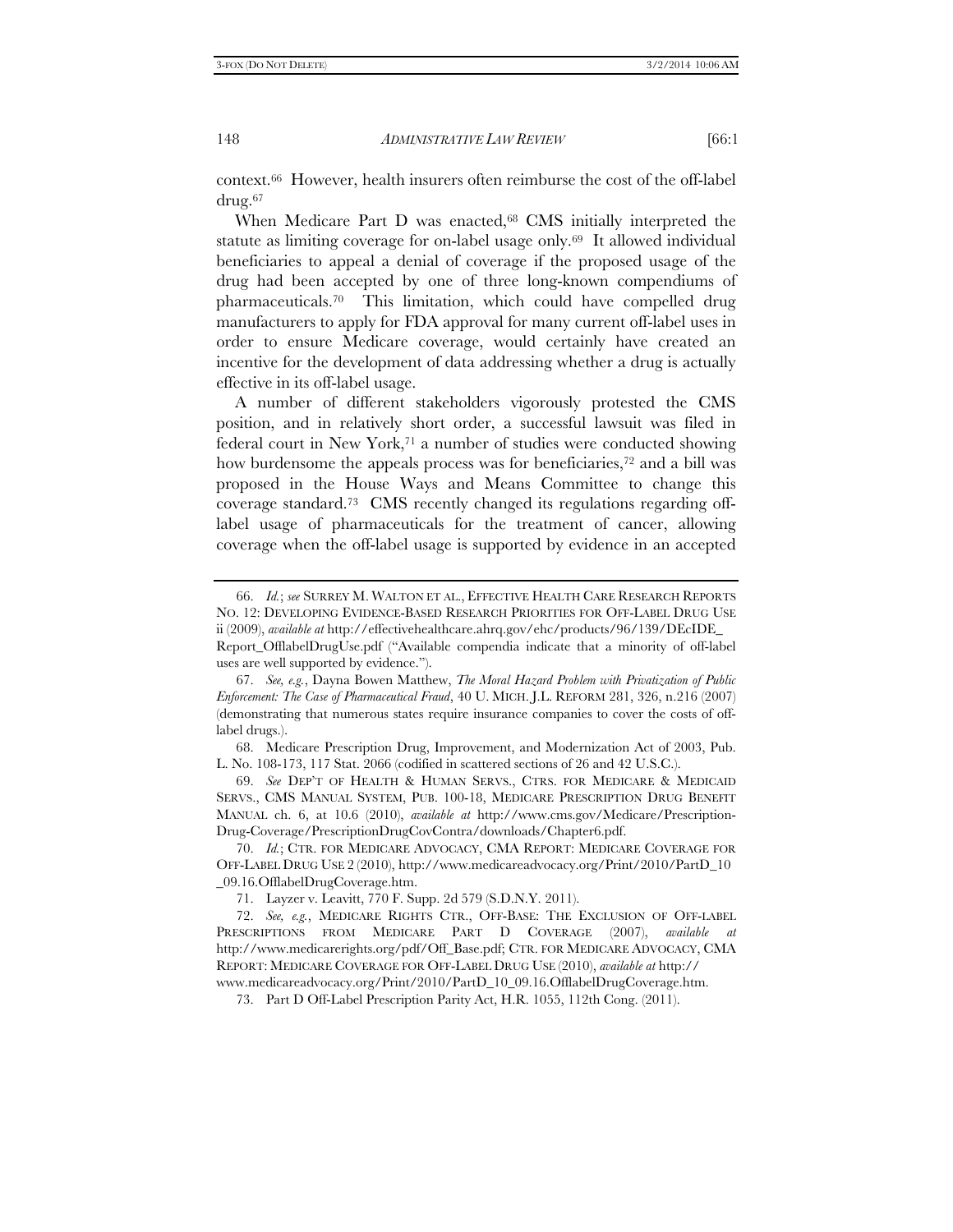context.66 However, health insurers often reimburse the cost of the off-label drug.67

When Medicare Part D was enacted,<sup>68</sup> CMS initially interpreted the statute as limiting coverage for on-label usage only.69 It allowed individual beneficiaries to appeal a denial of coverage if the proposed usage of the drug had been accepted by one of three long-known compendiums of pharmaceuticals.70 This limitation, which could have compelled drug manufacturers to apply for FDA approval for many current off-label uses in order to ensure Medicare coverage, would certainly have created an incentive for the development of data addressing whether a drug is actually effective in its off-label usage.

A number of different stakeholders vigorously protested the CMS position, and in relatively short order, a successful lawsuit was filed in federal court in New York,71 a number of studies were conducted showing how burdensome the appeals process was for beneficiaries,<sup>72</sup> and a bill was proposed in the House Ways and Means Committee to change this coverage standard.73 CMS recently changed its regulations regarding offlabel usage of pharmaceuticals for the treatment of cancer, allowing coverage when the off-label usage is supported by evidence in an accepted

 69. *See* DEP'T OF HEALTH & HUMAN SERVS., CTRS. FOR MEDICARE & MEDICAID SERVS., CMS MANUAL SYSTEM, PUB. 100-18, MEDICARE PRESCRIPTION DRUG BENEFIT MANUAL ch. 6, at 10.6 (2010), *available at* http://www.cms.gov/Medicare/Prescription-Drug-Coverage/PrescriptionDrugCovContra/downloads/Chapter6.pdf.

 70. *Id.*; CTR. FOR MEDICARE ADVOCACY, CMA REPORT: MEDICARE COVERAGE FOR OFF-LABEL DRUG USE 2 (2010), http://www.medicareadvocacy.org/Print/2010/PartD\_10 \_09.16.OfflabelDrugCoverage.htm.

71. Layzer v. Leavitt, 770 F. Supp. 2d 579 (S.D.N.Y. 2011).

 72. *See, e.g.*, MEDICARE RIGHTS CTR., OFF-BASE: THE EXCLUSION OF OFF-LABEL PRESCRIPTIONS FROM MEDICARE PART D COVERAGE (2007), *available at*  http://www.medicarerights.org/pdf/Off\_Base.pdf; CTR. FOR MEDICARE ADVOCACY, CMA REPORT: MEDICARE COVERAGE FOR OFF-LABEL DRUG USE (2010), *available at* http:// www.medicareadvocacy.org/Print/2010/PartD\_10\_09.16.OfflabelDrugCoverage.htm.

73. Part D Off-Label Prescription Parity Act, H.R. 1055, 112th Cong. (2011).

 <sup>66.</sup> *Id.*; *see* SURREY M. WALTON ET AL., EFFECTIVE HEALTH CARE RESEARCH REPORTS NO. 12: DEVELOPING EVIDENCE-BASED RESEARCH PRIORITIES FOR OFF-LABEL DRUG USE ii (2009), *available at* http://effectivehealthcare.ahrq.gov/ehc/products/96/139/DEcIDE\_

Report\_OfflabelDrugUse.pdf ("Available compendia indicate that a minority of off-label uses are well supported by evidence.").

 <sup>67.</sup> *See, e.g.*, Dayna Bowen Matthew, *The Moral Hazard Problem with Privatization of Public Enforcement: The Case of Pharmaceutical Fraud*, 40 U. MICH. J.L. REFORM 281, 326, n.216 (2007) (demonstrating that numerous states require insurance companies to cover the costs of offlabel drugs.).

 <sup>68.</sup> Medicare Prescription Drug, Improvement, and Modernization Act of 2003, Pub. L. No. 108-173, 117 Stat. 2066 (codified in scattered sections of 26 and 42 U.S.C.).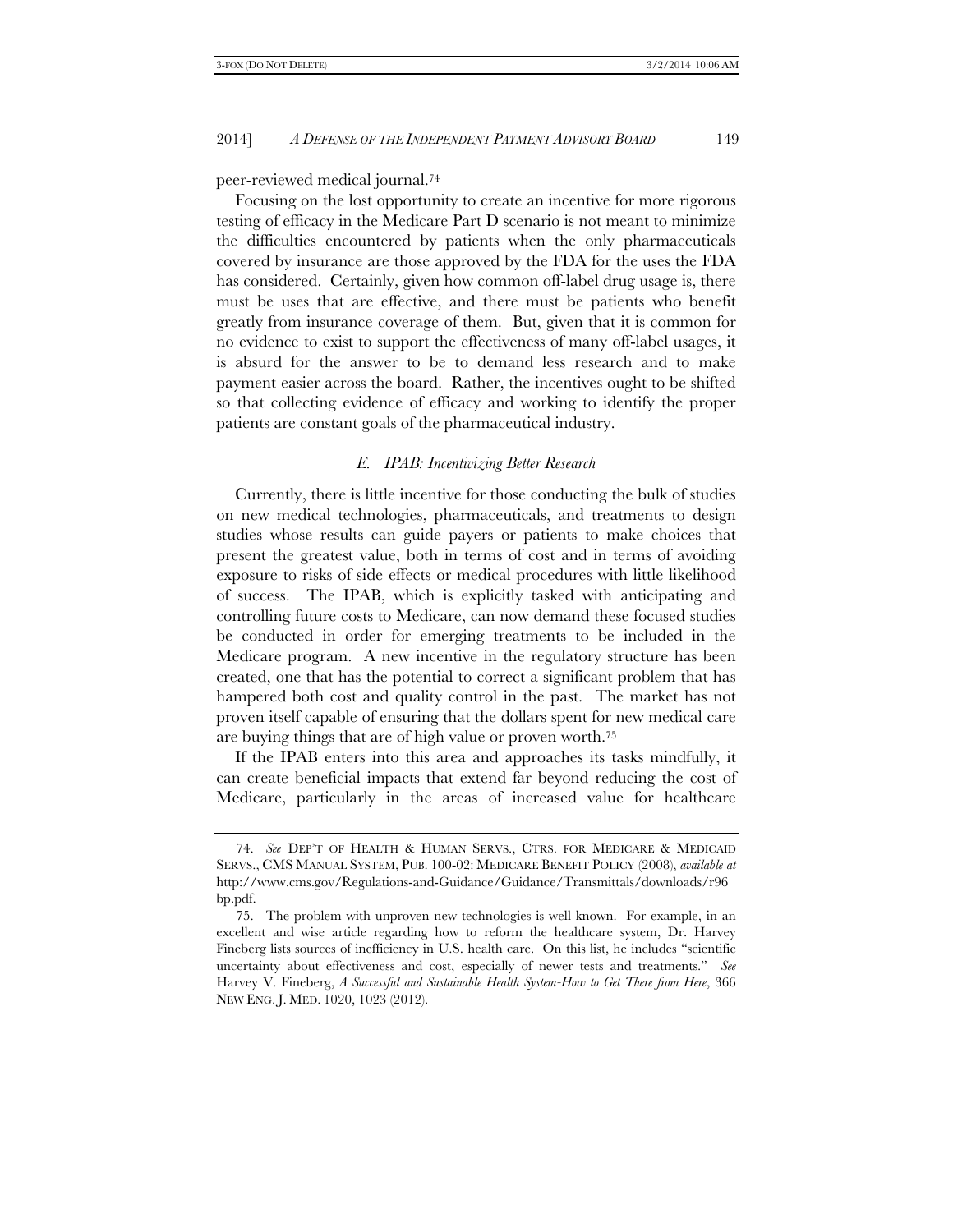peer-reviewed medical journal.74

Focusing on the lost opportunity to create an incentive for more rigorous testing of efficacy in the Medicare Part D scenario is not meant to minimize the difficulties encountered by patients when the only pharmaceuticals covered by insurance are those approved by the FDA for the uses the FDA has considered. Certainly, given how common off-label drug usage is, there must be uses that are effective, and there must be patients who benefit greatly from insurance coverage of them. But, given that it is common for no evidence to exist to support the effectiveness of many off-label usages, it is absurd for the answer to be to demand less research and to make payment easier across the board. Rather, the incentives ought to be shifted so that collecting evidence of efficacy and working to identify the proper patients are constant goals of the pharmaceutical industry.

# *E. IPAB: Incentivizing Better Research*

Currently, there is little incentive for those conducting the bulk of studies on new medical technologies, pharmaceuticals, and treatments to design studies whose results can guide payers or patients to make choices that present the greatest value, both in terms of cost and in terms of avoiding exposure to risks of side effects or medical procedures with little likelihood of success. The IPAB, which is explicitly tasked with anticipating and controlling future costs to Medicare, can now demand these focused studies be conducted in order for emerging treatments to be included in the Medicare program. A new incentive in the regulatory structure has been created, one that has the potential to correct a significant problem that has hampered both cost and quality control in the past. The market has not proven itself capable of ensuring that the dollars spent for new medical care are buying things that are of high value or proven worth.75

If the IPAB enters into this area and approaches its tasks mindfully, it can create beneficial impacts that extend far beyond reducing the cost of Medicare, particularly in the areas of increased value for healthcare

 <sup>74.</sup> *See* DEP'T OF HEALTH & HUMAN SERVS., CTRS. FOR MEDICARE & MEDICAID SERVS., CMS MANUAL SYSTEM, PUB. 100-02: MEDICARE BENEFIT POLICY (2008), *available at* http://www.cms.gov/Regulations-and-Guidance/Guidance/Transmittals/downloads/r96 bp.pdf.

 <sup>75.</sup> The problem with unproven new technologies is well known. For example, in an excellent and wise article regarding how to reform the healthcare system, Dr. Harvey Fineberg lists sources of inefficiency in U.S. health care. On this list, he includes "scientific uncertainty about effectiveness and cost, especially of newer tests and treatments." *See* Harvey V. Fineberg, *A Successful and Sustainable Health System-How to Get There from Here*, 366 NEW ENG. J. MED. 1020, 1023 (2012).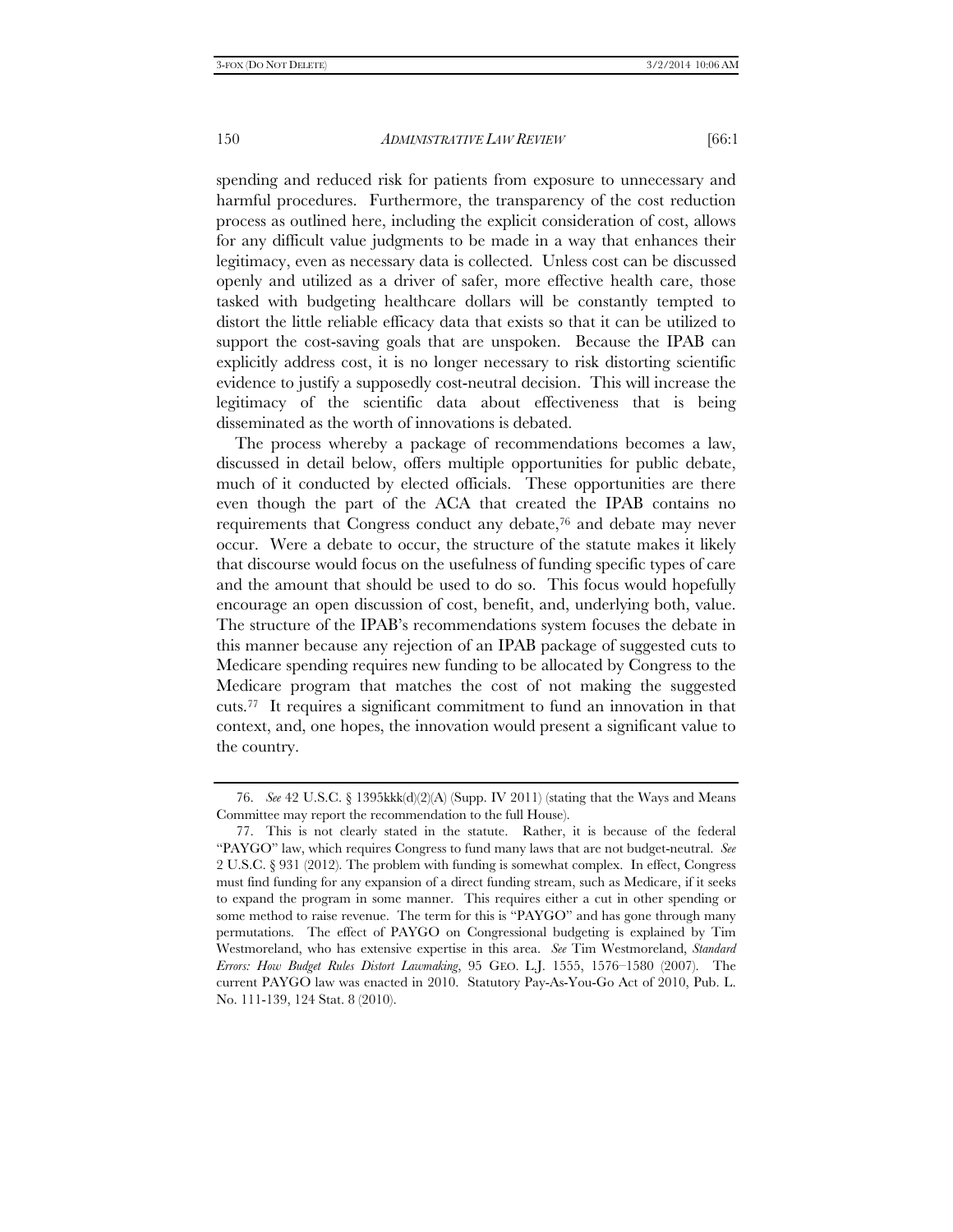spending and reduced risk for patients from exposure to unnecessary and harmful procedures. Furthermore, the transparency of the cost reduction process as outlined here, including the explicit consideration of cost, allows for any difficult value judgments to be made in a way that enhances their legitimacy, even as necessary data is collected. Unless cost can be discussed openly and utilized as a driver of safer, more effective health care, those tasked with budgeting healthcare dollars will be constantly tempted to distort the little reliable efficacy data that exists so that it can be utilized to support the cost-saving goals that are unspoken. Because the IPAB can explicitly address cost, it is no longer necessary to risk distorting scientific evidence to justify a supposedly cost-neutral decision. This will increase the legitimacy of the scientific data about effectiveness that is being disseminated as the worth of innovations is debated.

The process whereby a package of recommendations becomes a law, discussed in detail below, offers multiple opportunities for public debate, much of it conducted by elected officials. These opportunities are there even though the part of the ACA that created the IPAB contains no requirements that Congress conduct any debate,76 and debate may never occur. Were a debate to occur, the structure of the statute makes it likely that discourse would focus on the usefulness of funding specific types of care and the amount that should be used to do so. This focus would hopefully encourage an open discussion of cost, benefit, and, underlying both, value. The structure of the IPAB's recommendations system focuses the debate in this manner because any rejection of an IPAB package of suggested cuts to Medicare spending requires new funding to be allocated by Congress to the Medicare program that matches the cost of not making the suggested cuts.77 It requires a significant commitment to fund an innovation in that context, and, one hopes, the innovation would present a significant value to the country.

 <sup>76.</sup> *See* 42 U.S.C. § 1395kkk(d)(2)(A) (Supp. IV 2011) (stating that the Ways and Means Committee may report the recommendation to the full House).

 <sup>77.</sup> This is not clearly stated in the statute. Rather, it is because of the federal "PAYGO" law, which requires Congress to fund many laws that are not budget-neutral. *See*  2 U.S.C. § 931 (2012). The problem with funding is somewhat complex. In effect, Congress must find funding for any expansion of a direct funding stream, such as Medicare, if it seeks to expand the program in some manner. This requires either a cut in other spending or some method to raise revenue. The term for this is "PAYGO" and has gone through many permutations. The effect of PAYGO on Congressional budgeting is explained by Tim Westmoreland, who has extensive expertise in this area. *See* Tim Westmoreland, *Standard Errors: How Budget Rules Distort Lawmaking*, 95 GEO. L.J. 1555, 1576–1580 (2007). The current PAYGO law was enacted in 2010. Statutory Pay-As-You-Go Act of 2010, Pub. L. No. 111-139, 124 Stat. 8 (2010).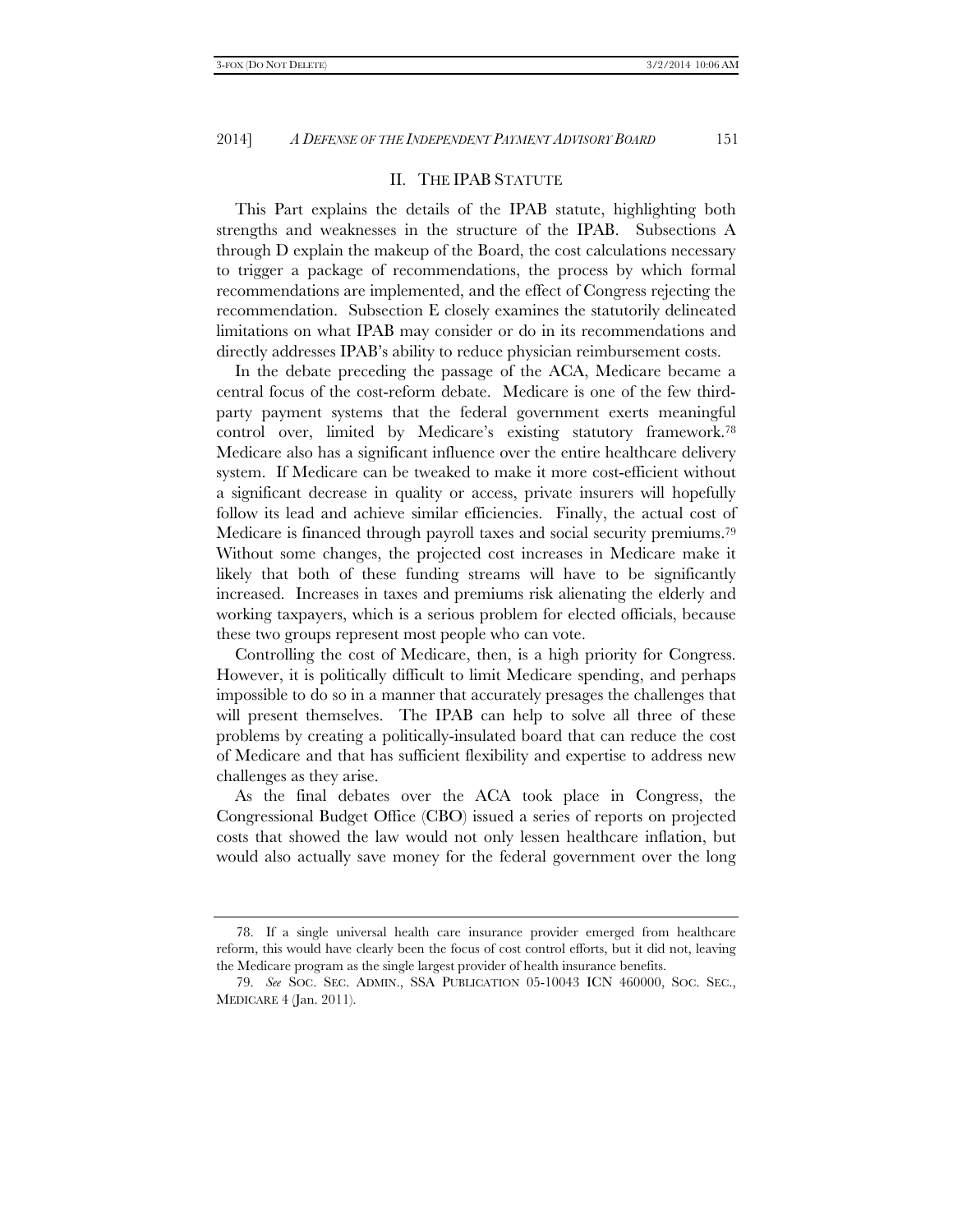# II. THE IPAB STATUTE

This Part explains the details of the IPAB statute, highlighting both strengths and weaknesses in the structure of the IPAB. Subsections A through D explain the makeup of the Board, the cost calculations necessary to trigger a package of recommendations, the process by which formal recommendations are implemented, and the effect of Congress rejecting the recommendation. Subsection E closely examines the statutorily delineated limitations on what IPAB may consider or do in its recommendations and directly addresses IPAB's ability to reduce physician reimbursement costs.

In the debate preceding the passage of the ACA, Medicare became a central focus of the cost-reform debate. Medicare is one of the few thirdparty payment systems that the federal government exerts meaningful control over, limited by Medicare's existing statutory framework.78 Medicare also has a significant influence over the entire healthcare delivery system. If Medicare can be tweaked to make it more cost-efficient without a significant decrease in quality or access, private insurers will hopefully follow its lead and achieve similar efficiencies. Finally, the actual cost of Medicare is financed through payroll taxes and social security premiums.79 Without some changes, the projected cost increases in Medicare make it likely that both of these funding streams will have to be significantly increased. Increases in taxes and premiums risk alienating the elderly and working taxpayers, which is a serious problem for elected officials, because these two groups represent most people who can vote.

Controlling the cost of Medicare, then, is a high priority for Congress. However, it is politically difficult to limit Medicare spending, and perhaps impossible to do so in a manner that accurately presages the challenges that will present themselves. The IPAB can help to solve all three of these problems by creating a politically-insulated board that can reduce the cost of Medicare and that has sufficient flexibility and expertise to address new challenges as they arise.

As the final debates over the ACA took place in Congress, the Congressional Budget Office (CBO) issued a series of reports on projected costs that showed the law would not only lessen healthcare inflation, but would also actually save money for the federal government over the long

 <sup>78.</sup> If a single universal health care insurance provider emerged from healthcare reform, this would have clearly been the focus of cost control efforts, but it did not, leaving the Medicare program as the single largest provider of health insurance benefits.

 <sup>79.</sup> *See* SOC. SEC. ADMIN., SSA PUBLICATION 05-10043 ICN 460000, SOC. SEC., MEDICARE 4 (Jan. 2011).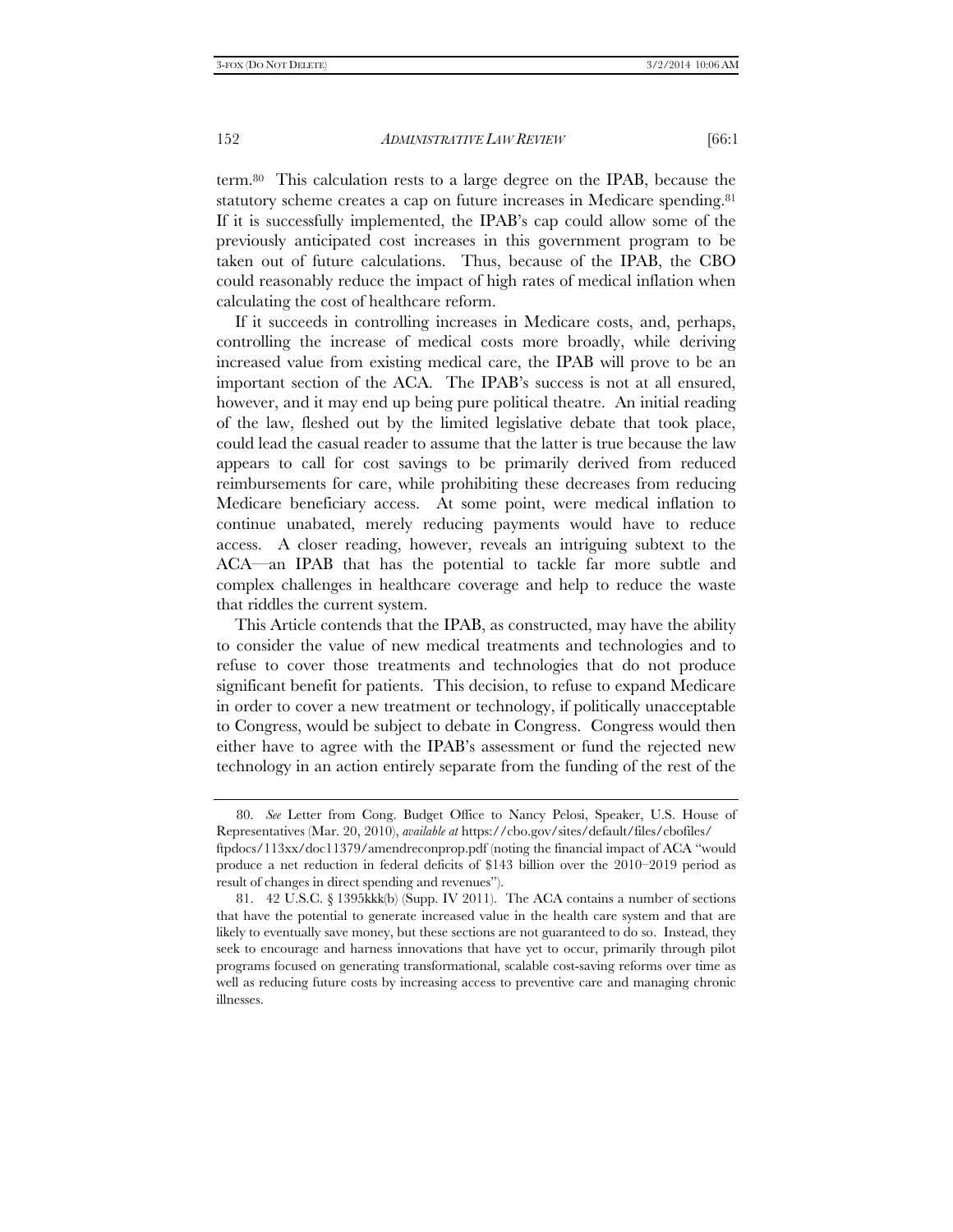term.80 This calculation rests to a large degree on the IPAB, because the statutory scheme creates a cap on future increases in Medicare spending.<sup>81</sup> If it is successfully implemented, the IPAB's cap could allow some of the previously anticipated cost increases in this government program to be taken out of future calculations. Thus, because of the IPAB, the CBO could reasonably reduce the impact of high rates of medical inflation when calculating the cost of healthcare reform.

If it succeeds in controlling increases in Medicare costs, and, perhaps, controlling the increase of medical costs more broadly, while deriving increased value from existing medical care, the IPAB will prove to be an important section of the ACA. The IPAB's success is not at all ensured, however, and it may end up being pure political theatre. An initial reading of the law, fleshed out by the limited legislative debate that took place, could lead the casual reader to assume that the latter is true because the law appears to call for cost savings to be primarily derived from reduced reimbursements for care, while prohibiting these decreases from reducing Medicare beneficiary access. At some point, were medical inflation to continue unabated, merely reducing payments would have to reduce access. A closer reading, however, reveals an intriguing subtext to the ACA—an IPAB that has the potential to tackle far more subtle and complex challenges in healthcare coverage and help to reduce the waste that riddles the current system.

This Article contends that the IPAB, as constructed, may have the ability to consider the value of new medical treatments and technologies and to refuse to cover those treatments and technologies that do not produce significant benefit for patients. This decision, to refuse to expand Medicare in order to cover a new treatment or technology, if politically unacceptable to Congress, would be subject to debate in Congress. Congress would then either have to agree with the IPAB's assessment or fund the rejected new technology in an action entirely separate from the funding of the rest of the

 <sup>80.</sup> *See* Letter from Cong. Budget Office to Nancy Pelosi, Speaker, U.S. House of Representatives (Mar. 20, 2010), *available at* https://cbo.gov/sites/default/files/cbofiles/ ftpdocs/113xx/doc11379/amendreconprop.pdf (noting the financial impact of ACA "would

produce a net reduction in federal deficits of \$143 billion over the 2010–2019 period as result of changes in direct spending and revenues").

 <sup>81. 42</sup> U.S.C. § 1395kkk(b) (Supp. IV 2011). The ACA contains a number of sections that have the potential to generate increased value in the health care system and that are likely to eventually save money, but these sections are not guaranteed to do so. Instead, they seek to encourage and harness innovations that have yet to occur, primarily through pilot programs focused on generating transformational, scalable cost-saving reforms over time as well as reducing future costs by increasing access to preventive care and managing chronic illnesses.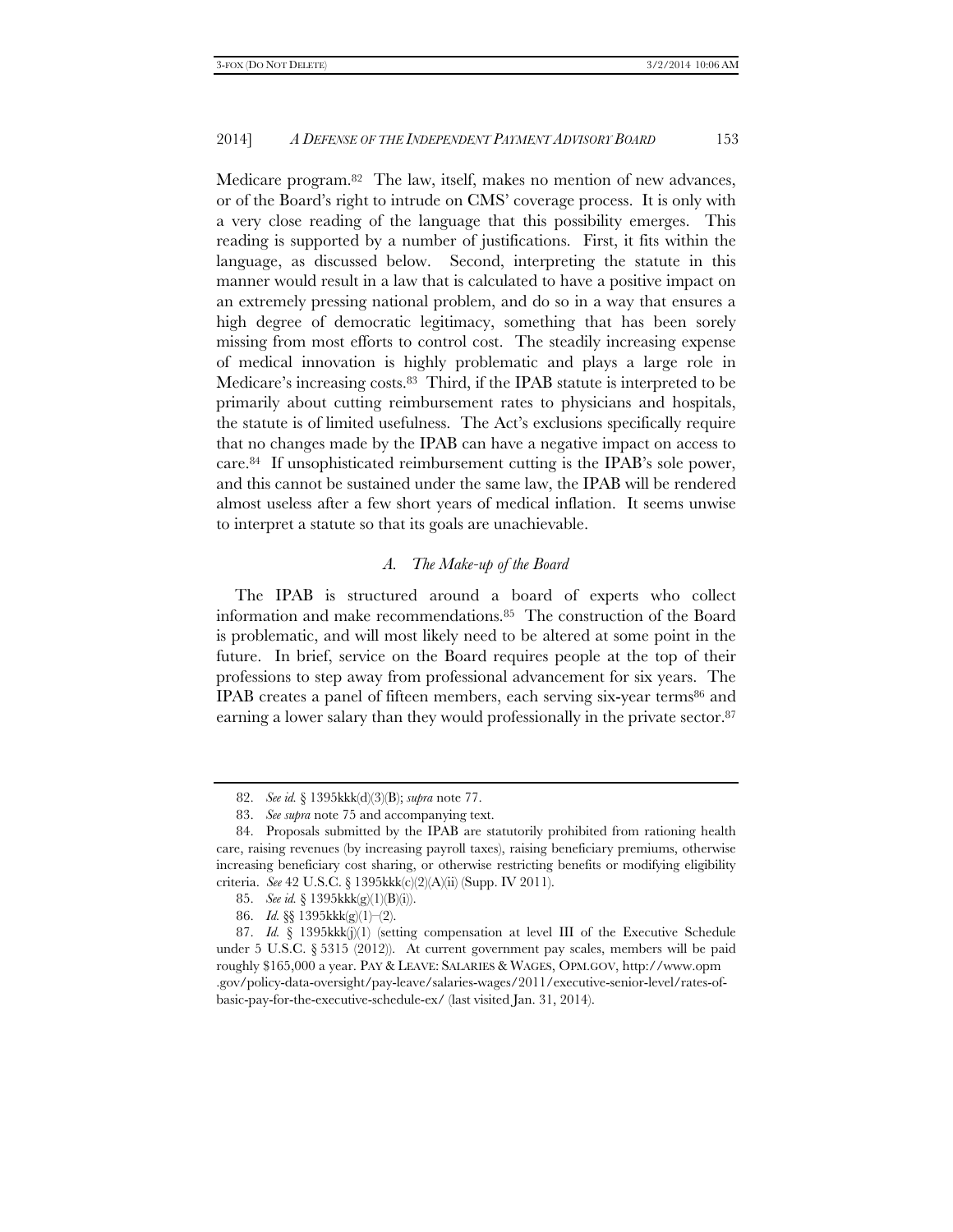Medicare program.82 The law, itself, makes no mention of new advances, or of the Board's right to intrude on CMS' coverage process. It is only with a very close reading of the language that this possibility emerges. This reading is supported by a number of justifications. First, it fits within the language, as discussed below. Second, interpreting the statute in this manner would result in a law that is calculated to have a positive impact on an extremely pressing national problem, and do so in a way that ensures a high degree of democratic legitimacy, something that has been sorely missing from most efforts to control cost. The steadily increasing expense of medical innovation is highly problematic and plays a large role in Medicare's increasing costs.83 Third, if the IPAB statute is interpreted to be primarily about cutting reimbursement rates to physicians and hospitals, the statute is of limited usefulness. The Act's exclusions specifically require that no changes made by the IPAB can have a negative impact on access to care.84 If unsophisticated reimbursement cutting is the IPAB's sole power, and this cannot be sustained under the same law, the IPAB will be rendered almost useless after a few short years of medical inflation. It seems unwise to interpret a statute so that its goals are unachievable.

# *A. The Make-up of the Board*

The IPAB is structured around a board of experts who collect information and make recommendations.85 The construction of the Board is problematic, and will most likely need to be altered at some point in the future. In brief, service on the Board requires people at the top of their professions to step away from professional advancement for six years. The IPAB creates a panel of fifteen members, each serving six-year terms86 and earning a lower salary than they would professionally in the private sector.<sup>87</sup>

 <sup>82.</sup> *See id.* § 1395kkk(d)(3)(B); *supra* note 77.

 <sup>83.</sup> *See supra* note 75 and accompanying text.

 <sup>84.</sup> Proposals submitted by the IPAB are statutorily prohibited from rationing health care, raising revenues (by increasing payroll taxes), raising beneficiary premiums, otherwise increasing beneficiary cost sharing, or otherwise restricting benefits or modifying eligibility criteria. *See* 42 U.S.C. § 1395kkk(c)(2)(A)(ii) (Supp. IV 2011).

 <sup>85.</sup> *See id.* § 1395kkk(g)(1)(B)(i)).

 <sup>86.</sup> *Id.* §§ 1395kkk(g)(1)–(2).

 <sup>87.</sup> *Id.* § 1395kkk(j)(1) (setting compensation at level III of the Executive Schedule under 5 U.S.C.  $\S 5315 (2012)$ . At current government pay scales, members will be paid roughly \$165,000 a year. PAY & LEAVE: SALARIES & WAGES, OPM.GOV, http://www.opm .gov/policy-data-oversight/pay-leave/salaries-wages/2011/executive-senior-level/rates-ofbasic-pay-for-the-executive-schedule-ex/ (last visited Jan. 31, 2014).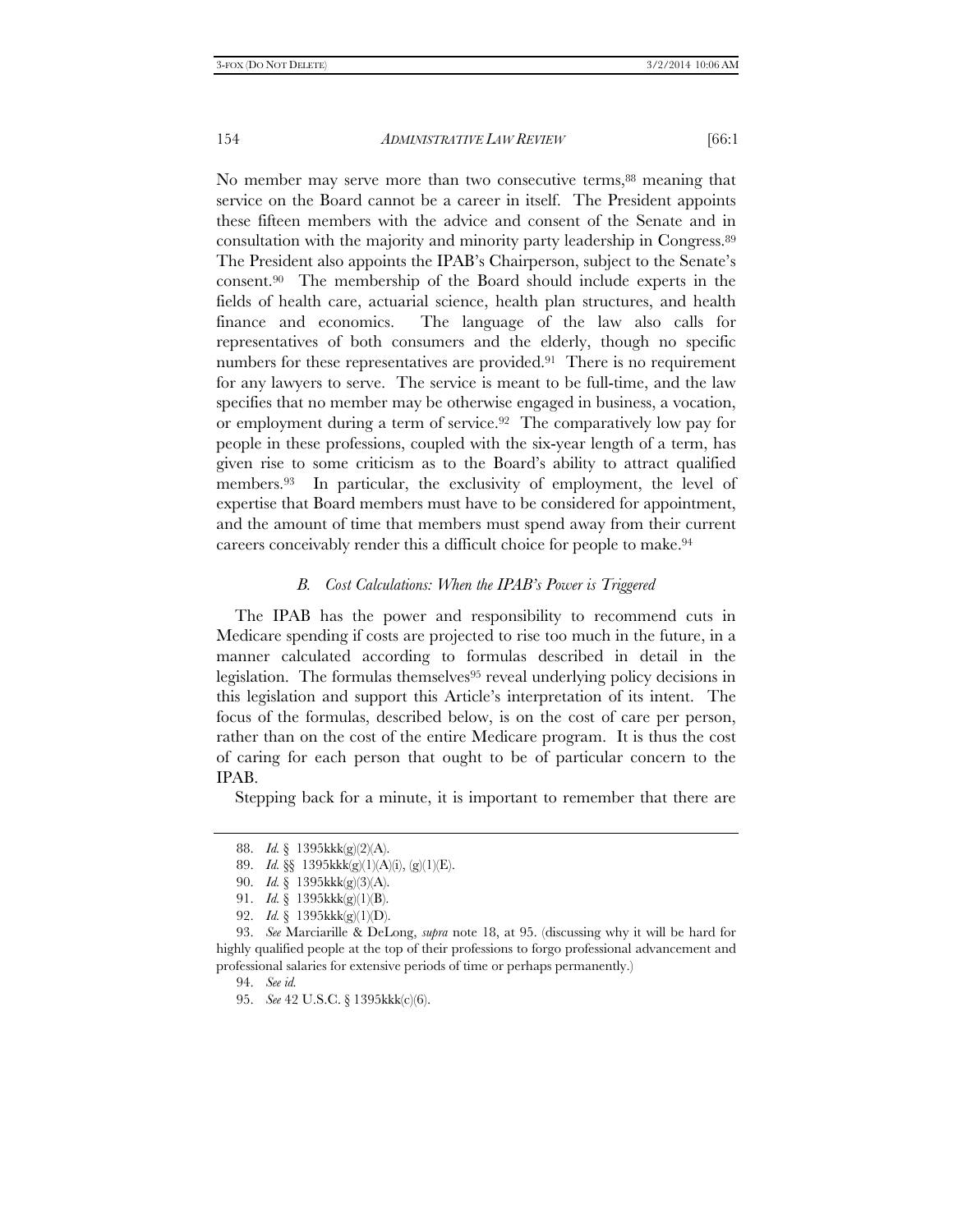No member may serve more than two consecutive terms,<sup>88</sup> meaning that service on the Board cannot be a career in itself. The President appoints these fifteen members with the advice and consent of the Senate and in consultation with the majority and minority party leadership in Congress.89 The President also appoints the IPAB's Chairperson, subject to the Senate's consent.90 The membership of the Board should include experts in the fields of health care, actuarial science, health plan structures, and health finance and economics. The language of the law also calls for representatives of both consumers and the elderly, though no specific numbers for these representatives are provided.<sup>91</sup> There is no requirement for any lawyers to serve. The service is meant to be full-time, and the law specifies that no member may be otherwise engaged in business, a vocation, or employment during a term of service.<sup>92</sup> The comparatively low pay for people in these professions, coupled with the six-year length of a term, has given rise to some criticism as to the Board's ability to attract qualified members.93 In particular, the exclusivity of employment, the level of expertise that Board members must have to be considered for appointment, and the amount of time that members must spend away from their current careers conceivably render this a difficult choice for people to make.94

#### *B. Cost Calculations: When the IPAB's Power is Triggered*

The IPAB has the power and responsibility to recommend cuts in Medicare spending if costs are projected to rise too much in the future, in a manner calculated according to formulas described in detail in the legislation. The formulas themselves<sup>95</sup> reveal underlying policy decisions in this legislation and support this Article's interpretation of its intent. The focus of the formulas, described below, is on the cost of care per person, rather than on the cost of the entire Medicare program. It is thus the cost of caring for each person that ought to be of particular concern to the IPAB.

Stepping back for a minute, it is important to remember that there are

 <sup>88.</sup> *Id.* § 1395kkk(g)(2)(A).

 <sup>89.</sup> *Id.* §§ 1395kkk(g)(1)(A)(i), (g)(1)(E).

 <sup>90.</sup> *Id.* § 1395kkk(g)(3)(A).

 <sup>91.</sup> *Id.* § 1395kkk(g)(1)(B).

 <sup>92.</sup> *Id.* § 1395kkk(g)(1)(D).

 <sup>93.</sup> *See* Marciarille & DeLong, *supra* note 18, at 95. (discussing why it will be hard for highly qualified people at the top of their professions to forgo professional advancement and professional salaries for extensive periods of time or perhaps permanently.)

 <sup>94.</sup> *See id.*

 <sup>95.</sup> *See* 42 U.S.C. § 1395kkk(c)(6).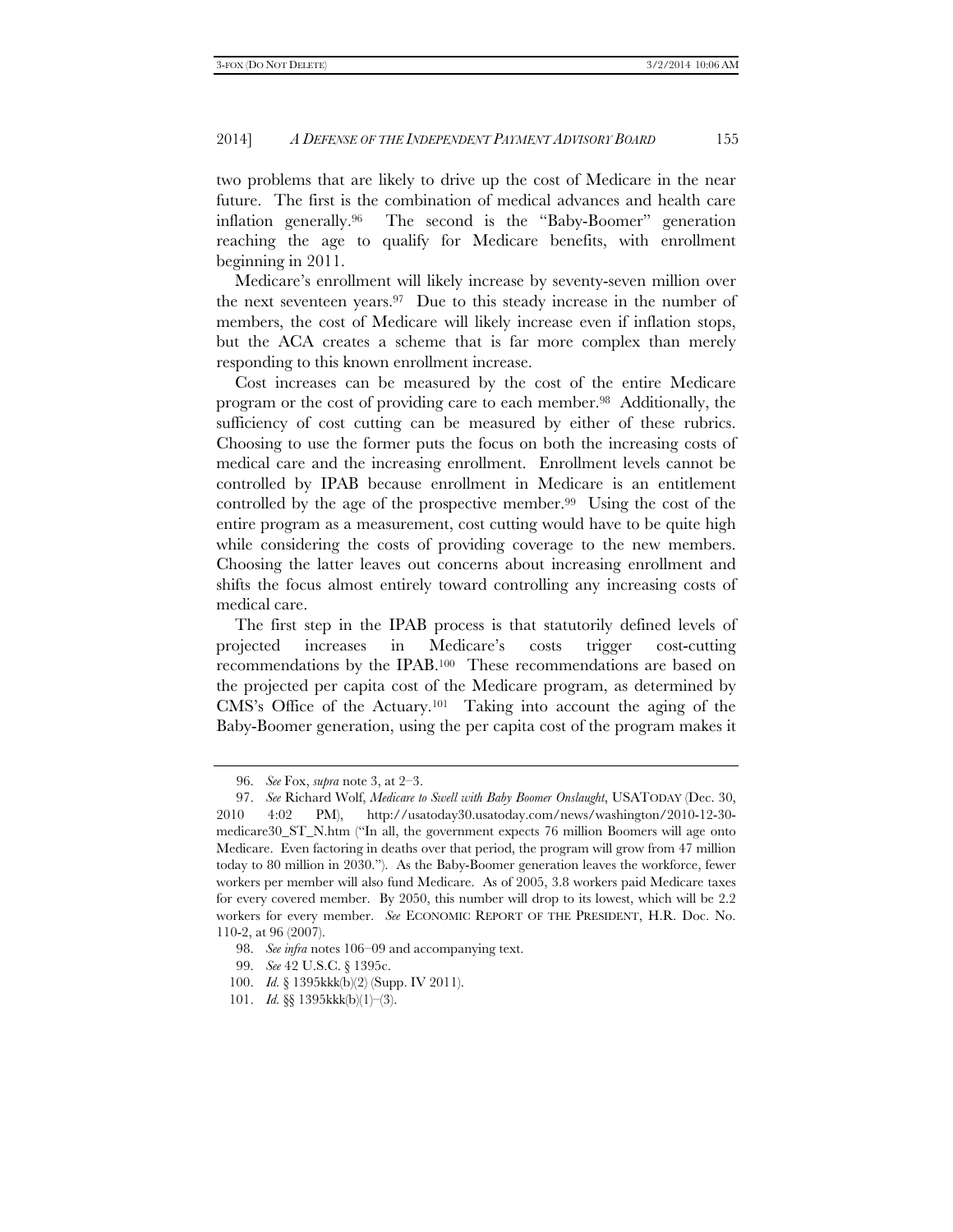two problems that are likely to drive up the cost of Medicare in the near future. The first is the combination of medical advances and health care inflation generally.96 The second is the "Baby-Boomer" generation reaching the age to qualify for Medicare benefits, with enrollment beginning in 2011.

Medicare's enrollment will likely increase by seventy-seven million over the next seventeen years.97 Due to this steady increase in the number of members, the cost of Medicare will likely increase even if inflation stops, but the ACA creates a scheme that is far more complex than merely responding to this known enrollment increase.

Cost increases can be measured by the cost of the entire Medicare program or the cost of providing care to each member.98 Additionally, the sufficiency of cost cutting can be measured by either of these rubrics. Choosing to use the former puts the focus on both the increasing costs of medical care and the increasing enrollment. Enrollment levels cannot be controlled by IPAB because enrollment in Medicare is an entitlement controlled by the age of the prospective member.99 Using the cost of the entire program as a measurement, cost cutting would have to be quite high while considering the costs of providing coverage to the new members. Choosing the latter leaves out concerns about increasing enrollment and shifts the focus almost entirely toward controlling any increasing costs of medical care.

The first step in the IPAB process is that statutorily defined levels of projected increases in Medicare's costs trigger cost-cutting recommendations by the IPAB.100 These recommendations are based on the projected per capita cost of the Medicare program, as determined by CMS's Office of the Actuary.101 Taking into account the aging of the Baby-Boomer generation, using the per capita cost of the program makes it

 <sup>96.</sup> *See* Fox, *supra* note 3, at 2–3.

 <sup>97.</sup> *See* Richard Wolf, *Medicare to Swell with Baby Boomer Onslaught*, USATODAY (Dec. 30, 2010 4:02 PM), http://usatoday30.usatoday.com/news/washington/2010-12-30 medicare30\_ST\_N.htm ("In all, the government expects 76 million Boomers will age onto Medicare. Even factoring in deaths over that period, the program will grow from 47 million today to 80 million in 2030."). As the Baby-Boomer generation leaves the workforce, fewer workers per member will also fund Medicare. As of 2005, 3.8 workers paid Medicare taxes for every covered member. By 2050, this number will drop to its lowest, which will be 2.2 workers for every member. *See* ECONOMIC REPORT OF THE PRESIDENT, H.R. Doc. No. 110-2, at 96 (2007).

 <sup>98.</sup> *See infra* notes 106–09 and accompanying text.

 <sup>99.</sup> *See* 42 U.S.C. § 1395c.

 <sup>100.</sup> *Id.* § 1395kkk(b)(2) (Supp. IV 2011).

 <sup>101.</sup> *Id.* §§ 1395kkk(b)(1)–(3).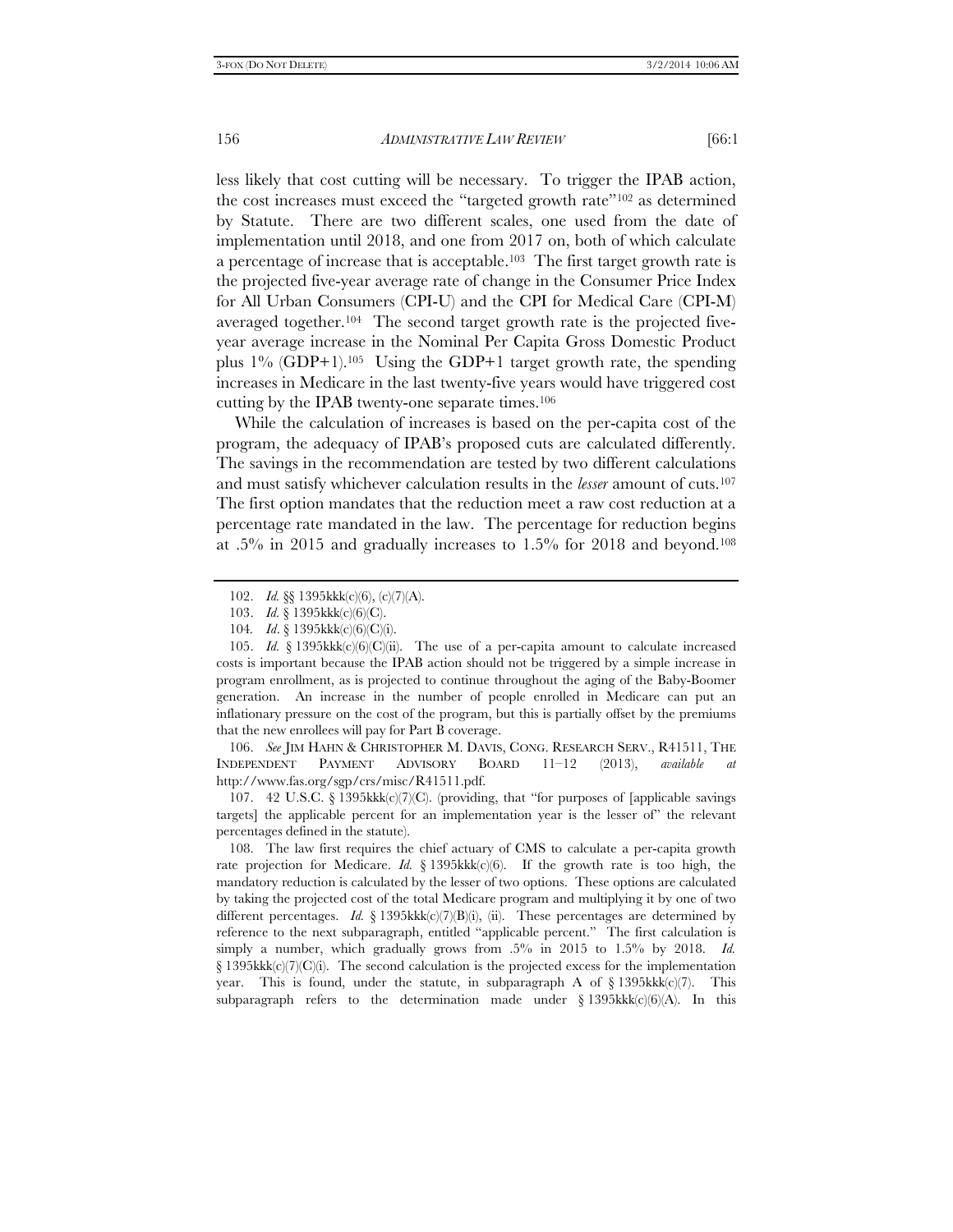less likely that cost cutting will be necessary. To trigger the IPAB action, the cost increases must exceed the "targeted growth rate"102 as determined by Statute. There are two different scales, one used from the date of implementation until 2018, and one from 2017 on, both of which calculate a percentage of increase that is acceptable.103 The first target growth rate is the projected five-year average rate of change in the Consumer Price Index for All Urban Consumers (CPI-U) and the CPI for Medical Care (CPI-M) averaged together.<sup>104</sup> The second target growth rate is the projected fiveyear average increase in the Nominal Per Capita Gross Domestic Product plus  $1\%$  (GDP+1).<sup>105</sup> Using the GDP+1 target growth rate, the spending increases in Medicare in the last twenty-five years would have triggered cost cutting by the IPAB twenty-one separate times.106

While the calculation of increases is based on the per-capita cost of the program, the adequacy of IPAB's proposed cuts are calculated differently. The savings in the recommendation are tested by two different calculations and must satisfy whichever calculation results in the *lesser* amount of cuts.107 The first option mandates that the reduction meet a raw cost reduction at a percentage rate mandated in the law. The percentage for reduction begins at .5% in 2015 and gradually increases to 1.5% for 2018 and beyond.108

 106. *See* JIM HAHN & CHRISTOPHER M. DAVIS, CONG. RESEARCH SERV., R41511, THE INDEPENDENT PAYMENT ADVISORY BOARD 11–12 (2013), *available at* http://www.fas.org/sgp/crs/misc/R41511.pdf.

 107. 42 U.S.C. § 1395kkk(c)(7)(C). (providing, that "for purposes of [applicable savings targets] the applicable percent for an implementation year is the lesser of" the relevant percentages defined in the statute).

 108. The law first requires the chief actuary of CMS to calculate a per-capita growth rate projection for Medicare. *Id.*  $\S$  1395kk $k(c)(6)$ . If the growth rate is too high, the mandatory reduction is calculated by the lesser of two options. These options are calculated by taking the projected cost of the total Medicare program and multiplying it by one of two different percentages. *Id.*  $\S$  1395kkk $(c)(7)(B)(i)$ , (ii). These percentages are determined by reference to the next subparagraph, entitled "applicable percent." The first calculation is simply a number, which gradually grows from .5% in 2015 to 1.5% by 2018. *Id.* § 1395kkk(c)(7)(C)(i). The second calculation is the projected excess for the implementation year. This is found, under the statute, in subparagraph A of §1395kkk(c)(7). This subparagraph refers to the determination made under  $\S 1395kkk(c)(6)(A)$ . In this

 <sup>102.</sup> *Id.* §§ 1395kkk(c)(6), (c)(7)(A).

 <sup>103.</sup> *Id.* § 1395kkk(c)(6)(C).

<sup>104</sup>*. Id*. § 1395kkk(c)(6)(C)(i).

<sup>105.</sup> *Id.* § 1395kkk(c)(6)(C)(ii). The use of a per-capita amount to calculate increased costs is important because the IPAB action should not be triggered by a simple increase in program enrollment, as is projected to continue throughout the aging of the Baby-Boomer generation. An increase in the number of people enrolled in Medicare can put an inflationary pressure on the cost of the program, but this is partially offset by the premiums that the new enrollees will pay for Part B coverage.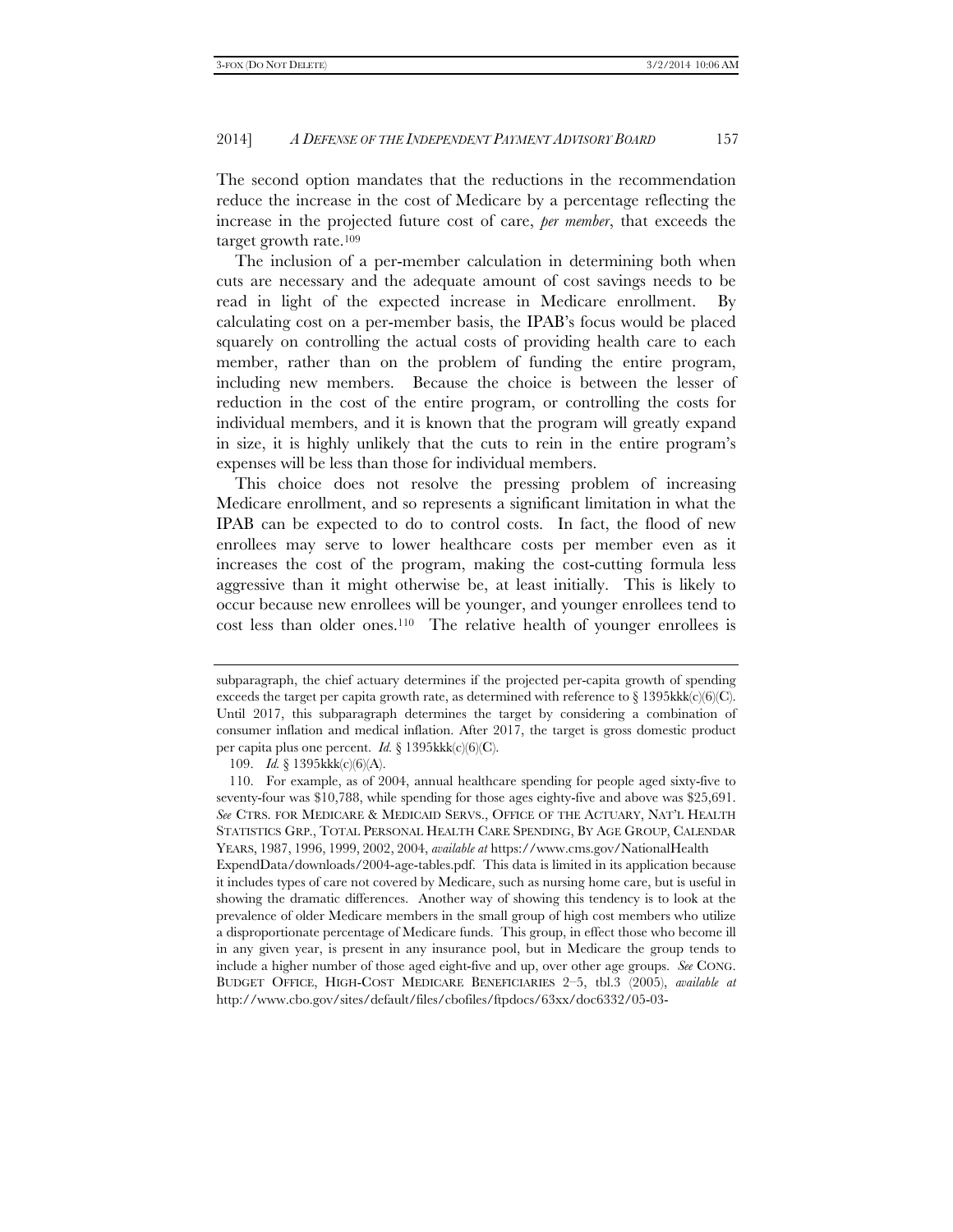The second option mandates that the reductions in the recommendation reduce the increase in the cost of Medicare by a percentage reflecting the increase in the projected future cost of care, *per member*, that exceeds the target growth rate.109

The inclusion of a per-member calculation in determining both when cuts are necessary and the adequate amount of cost savings needs to be read in light of the expected increase in Medicare enrollment. By calculating cost on a per-member basis, the IPAB's focus would be placed squarely on controlling the actual costs of providing health care to each member, rather than on the problem of funding the entire program, including new members. Because the choice is between the lesser of reduction in the cost of the entire program, or controlling the costs for individual members, and it is known that the program will greatly expand in size, it is highly unlikely that the cuts to rein in the entire program's expenses will be less than those for individual members.

This choice does not resolve the pressing problem of increasing Medicare enrollment, and so represents a significant limitation in what the IPAB can be expected to do to control costs. In fact, the flood of new enrollees may serve to lower healthcare costs per member even as it increases the cost of the program, making the cost-cutting formula less aggressive than it might otherwise be, at least initially. This is likely to occur because new enrollees will be younger, and younger enrollees tend to cost less than older ones.110 The relative health of younger enrollees is

109. *Id.* § 1395kkk(c)(6)(A).

subparagraph, the chief actuary determines if the projected per-capita growth of spending exceeds the target per capita growth rate, as determined with reference to  $\S 1395kkk(c)(6)(C)$ . Until 2017, this subparagraph determines the target by considering a combination of consumer inflation and medical inflation. After 2017, the target is gross domestic product per capita plus one percent. *Id.* § 1395kkk(c)(6)(C).

 <sup>110.</sup> For example, as of 2004, annual healthcare spending for people aged sixty-five to seventy-four was \$10,788, while spending for those ages eighty-five and above was \$25,691. *See* CTRS. FOR MEDICARE & MEDICAID SERVS., OFFICE OF THE ACTUARY, NAT'L HEALTH STATISTICS GRP., TOTAL PERSONAL HEALTH CARE SPENDING, BY AGE GROUP, CALENDAR YEARS, 1987, 1996, 1999, 2002, 2004, *available at* https://www.cms.gov/NationalHealth ExpendData/downloads/2004-age-tables.pdf. This data is limited in its application because it includes types of care not covered by Medicare, such as nursing home care, but is useful in showing the dramatic differences. Another way of showing this tendency is to look at the prevalence of older Medicare members in the small group of high cost members who utilize a disproportionate percentage of Medicare funds. This group, in effect those who become ill in any given year, is present in any insurance pool, but in Medicare the group tends to include a higher number of those aged eight-five and up, over other age groups. *See* CONG. BUDGET OFFICE, HIGH-COST MEDICARE BENEFICIARIES 2–5, tbl.3 (2005), *available at* http://www.cbo.gov/sites/default/files/cbofiles/ftpdocs/63xx/doc6332/05-03-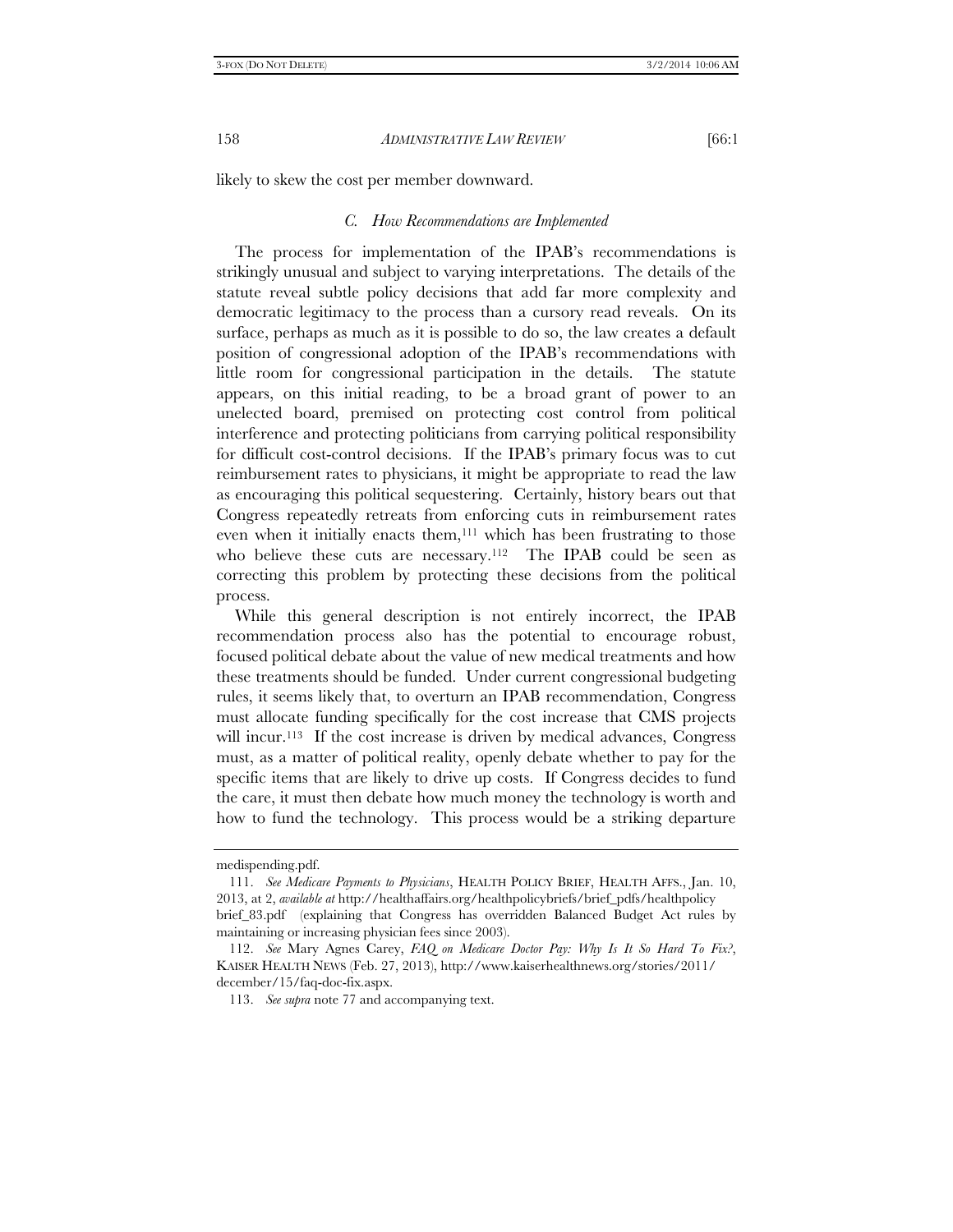likely to skew the cost per member downward.

#### *C. How Recommendations are Implemented*

The process for implementation of the IPAB's recommendations is strikingly unusual and subject to varying interpretations. The details of the statute reveal subtle policy decisions that add far more complexity and democratic legitimacy to the process than a cursory read reveals. On its surface, perhaps as much as it is possible to do so, the law creates a default position of congressional adoption of the IPAB's recommendations with little room for congressional participation in the details. The statute appears, on this initial reading, to be a broad grant of power to an unelected board, premised on protecting cost control from political interference and protecting politicians from carrying political responsibility for difficult cost-control decisions. If the IPAB's primary focus was to cut reimbursement rates to physicians, it might be appropriate to read the law as encouraging this political sequestering. Certainly, history bears out that Congress repeatedly retreats from enforcing cuts in reimbursement rates even when it initially enacts them,<sup>111</sup> which has been frustrating to those who believe these cuts are necessary.<sup>112</sup> The IPAB could be seen as correcting this problem by protecting these decisions from the political process.

While this general description is not entirely incorrect, the IPAB recommendation process also has the potential to encourage robust, focused political debate about the value of new medical treatments and how these treatments should be funded. Under current congressional budgeting rules, it seems likely that, to overturn an IPAB recommendation, Congress must allocate funding specifically for the cost increase that CMS projects will incur.<sup>113</sup> If the cost increase is driven by medical advances, Congress must, as a matter of political reality, openly debate whether to pay for the specific items that are likely to drive up costs. If Congress decides to fund the care, it must then debate how much money the technology is worth and how to fund the technology. This process would be a striking departure

medispending.pdf.

 <sup>111.</sup> *See Medicare Payments to Physicians*, HEALTH POLICY BRIEF, HEALTH AFFS., Jan. 10, 2013, at 2, *available at* http://healthaffairs.org/healthpolicybriefs/brief\_pdfs/healthpolicy brief\_83.pdf (explaining that Congress has overridden Balanced Budget Act rules by maintaining or increasing physician fees since 2003).

 <sup>112.</sup> *See* Mary Agnes Carey, *FAQ on Medicare Doctor Pay: Why Is It So Hard To Fix?*, KAISER HEALTH NEWS (Feb. 27, 2013), http://www.kaiserhealthnews.org/stories/2011/ december/15/faq-doc-fix.aspx.

 <sup>113.</sup> *See supra* note 77 and accompanying text.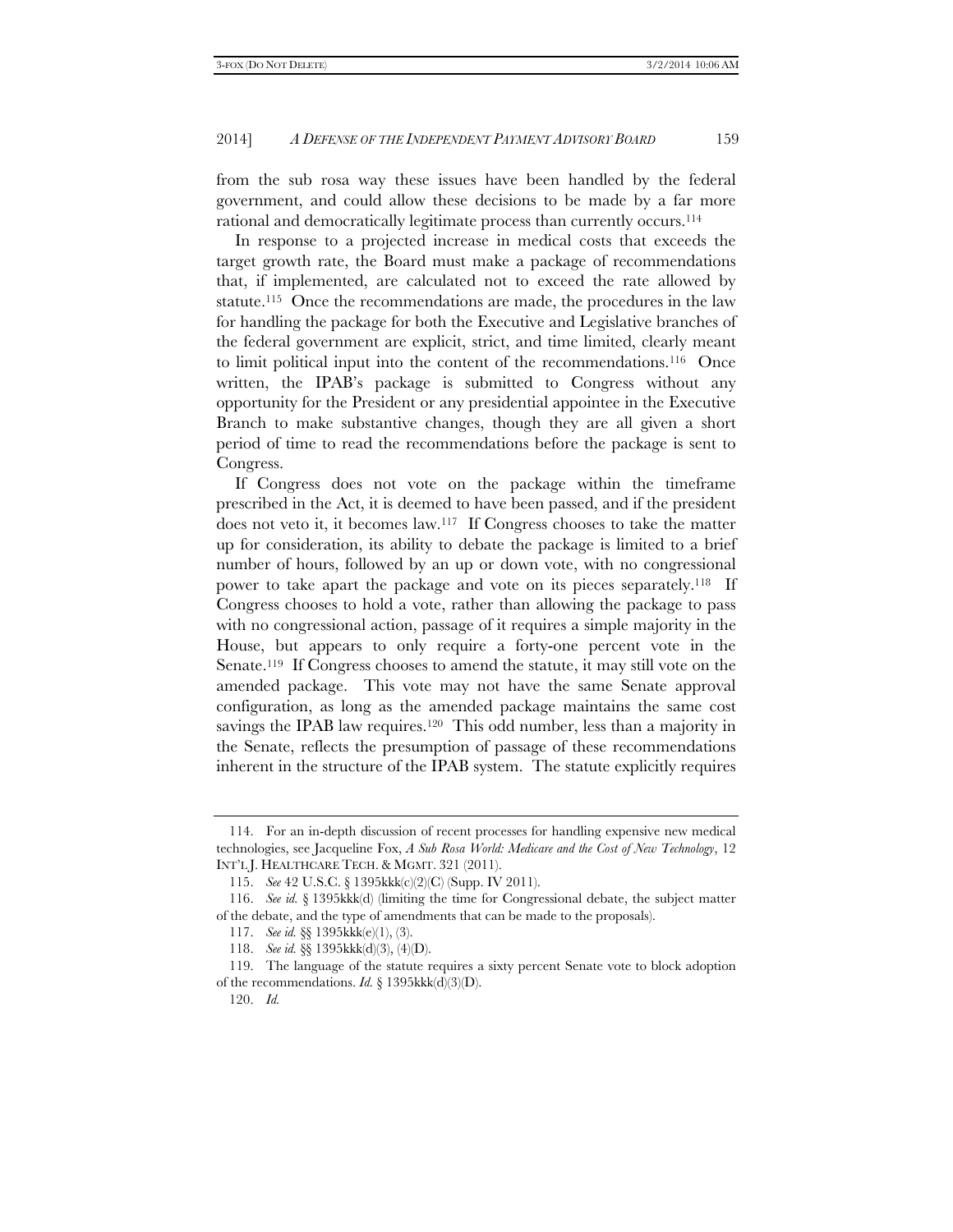from the sub rosa way these issues have been handled by the federal government, and could allow these decisions to be made by a far more rational and democratically legitimate process than currently occurs.114

In response to a projected increase in medical costs that exceeds the target growth rate, the Board must make a package of recommendations that, if implemented, are calculated not to exceed the rate allowed by statute.115 Once the recommendations are made, the procedures in the law for handling the package for both the Executive and Legislative branches of the federal government are explicit, strict, and time limited, clearly meant to limit political input into the content of the recommendations.116 Once written, the IPAB's package is submitted to Congress without any opportunity for the President or any presidential appointee in the Executive Branch to make substantive changes, though they are all given a short period of time to read the recommendations before the package is sent to Congress.

If Congress does not vote on the package within the timeframe prescribed in the Act, it is deemed to have been passed, and if the president does not veto it, it becomes law.117 If Congress chooses to take the matter up for consideration, its ability to debate the package is limited to a brief number of hours, followed by an up or down vote, with no congressional power to take apart the package and vote on its pieces separately.118 If Congress chooses to hold a vote, rather than allowing the package to pass with no congressional action, passage of it requires a simple majority in the House, but appears to only require a forty-one percent vote in the Senate.119 If Congress chooses to amend the statute, it may still vote on the amended package. This vote may not have the same Senate approval configuration, as long as the amended package maintains the same cost savings the IPAB law requires.<sup>120</sup> This odd number, less than a majority in the Senate, reflects the presumption of passage of these recommendations inherent in the structure of the IPAB system. The statute explicitly requires

 <sup>114.</sup> For an in-depth discussion of recent processes for handling expensive new medical technologies, see Jacqueline Fox, *A Sub Rosa World: Medicare and the Cost of New Technology*, 12 INT'L J. HEALTHCARE TECH. & MGMT. 321 (2011).

 <sup>115.</sup> *See* 42 U.S.C. § 1395kkk(c)(2)(C) (Supp. IV 2011).

 <sup>116.</sup> *See id.* § 1395kkk(d) (limiting the time for Congressional debate, the subject matter of the debate, and the type of amendments that can be made to the proposals).

 <sup>117.</sup> *See id.* §§ 1395kkk(e)(1), (3).

 <sup>118.</sup> *See id.* §§ 1395kkk(d)(3), (4)(D).

 <sup>119.</sup> The language of the statute requires a sixty percent Senate vote to block adoption of the recommendations. *Id.* § 1395kkk(d)(3)(D).

 <sup>120.</sup> *Id.*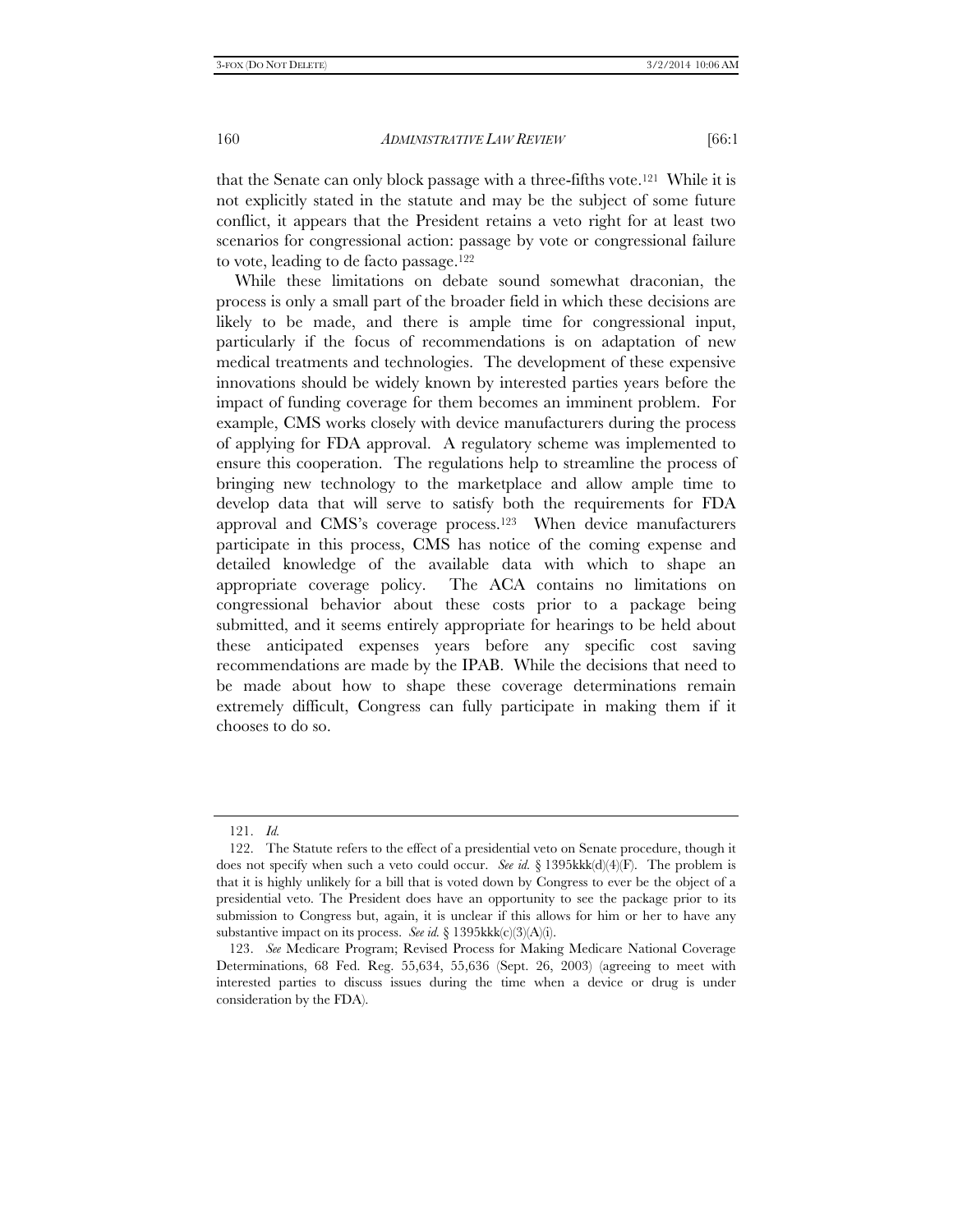that the Senate can only block passage with a three-fifths vote.121 While it is not explicitly stated in the statute and may be the subject of some future conflict, it appears that the President retains a veto right for at least two scenarios for congressional action: passage by vote or congressional failure to vote, leading to de facto passage.122

While these limitations on debate sound somewhat draconian, the process is only a small part of the broader field in which these decisions are likely to be made, and there is ample time for congressional input, particularly if the focus of recommendations is on adaptation of new medical treatments and technologies. The development of these expensive innovations should be widely known by interested parties years before the impact of funding coverage for them becomes an imminent problem. For example, CMS works closely with device manufacturers during the process of applying for FDA approval. A regulatory scheme was implemented to ensure this cooperation. The regulations help to streamline the process of bringing new technology to the marketplace and allow ample time to develop data that will serve to satisfy both the requirements for FDA approval and CMS's coverage process.123 When device manufacturers participate in this process, CMS has notice of the coming expense and detailed knowledge of the available data with which to shape an appropriate coverage policy. The ACA contains no limitations on congressional behavior about these costs prior to a package being submitted, and it seems entirely appropriate for hearings to be held about these anticipated expenses years before any specific cost saving recommendations are made by the IPAB. While the decisions that need to be made about how to shape these coverage determinations remain extremely difficult, Congress can fully participate in making them if it chooses to do so.

 <sup>121.</sup> *Id.* 

 <sup>122.</sup> The Statute refers to the effect of a presidential veto on Senate procedure, though it does not specify when such a veto could occur. *See id.* § 1395kkk(d)(4)(F). The problem is that it is highly unlikely for a bill that is voted down by Congress to ever be the object of a presidential veto. The President does have an opportunity to see the package prior to its submission to Congress but, again, it is unclear if this allows for him or her to have any substantive impact on its process. *See id.* § 1395kkk(c)(3)(A)(i).

 <sup>123.</sup> *See* Medicare Program; Revised Process for Making Medicare National Coverage Determinations, 68 Fed. Reg. 55,634, 55,636 (Sept. 26, 2003) (agreeing to meet with interested parties to discuss issues during the time when a device or drug is under consideration by the FDA).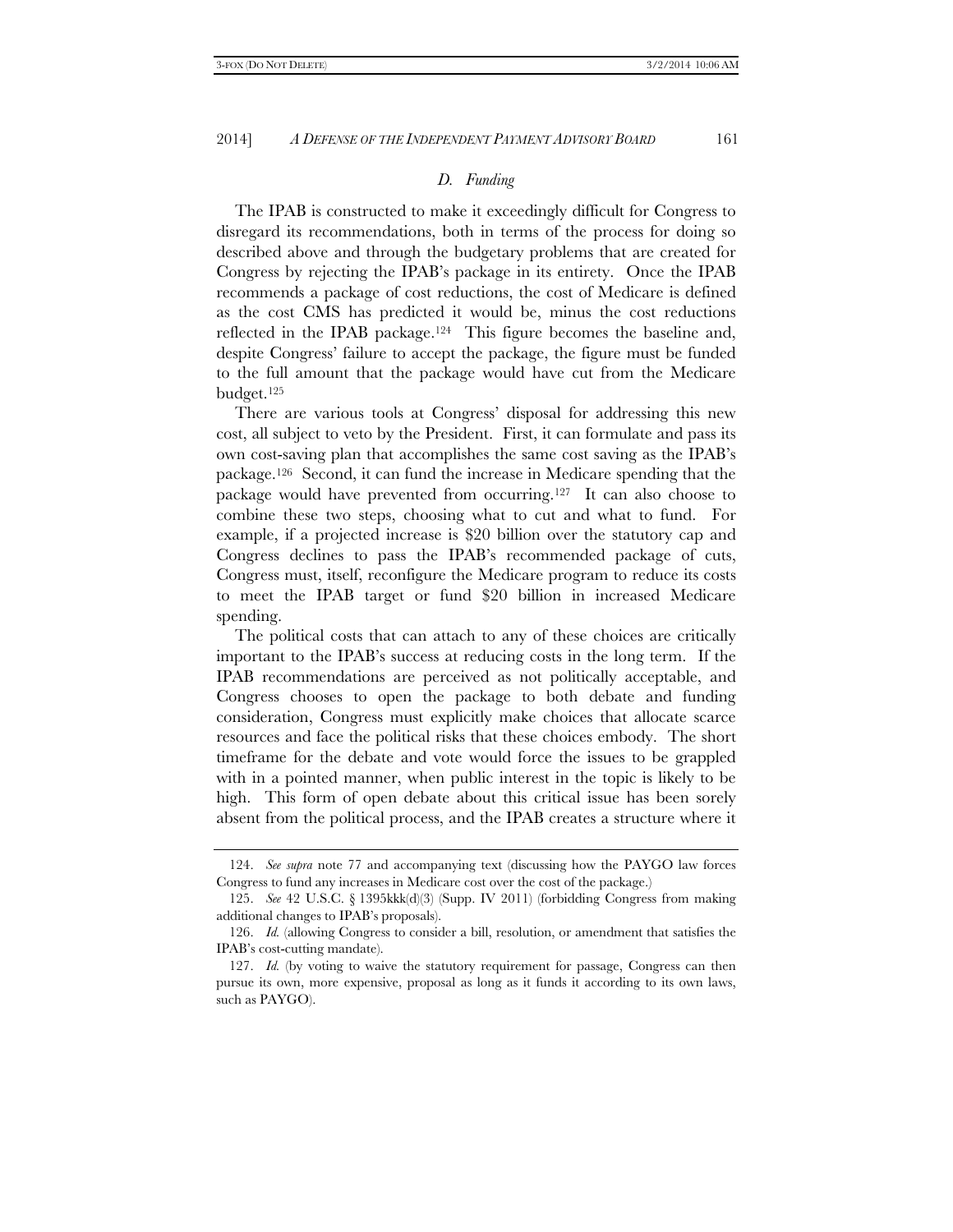#### *D. Funding*

The IPAB is constructed to make it exceedingly difficult for Congress to disregard its recommendations, both in terms of the process for doing so described above and through the budgetary problems that are created for Congress by rejecting the IPAB's package in its entirety. Once the IPAB recommends a package of cost reductions, the cost of Medicare is defined as the cost CMS has predicted it would be, minus the cost reductions reflected in the IPAB package.124 This figure becomes the baseline and, despite Congress' failure to accept the package, the figure must be funded to the full amount that the package would have cut from the Medicare budget.125

There are various tools at Congress' disposal for addressing this new cost, all subject to veto by the President. First, it can formulate and pass its own cost-saving plan that accomplishes the same cost saving as the IPAB's package.126 Second, it can fund the increase in Medicare spending that the package would have prevented from occurring.127 It can also choose to combine these two steps, choosing what to cut and what to fund. For example, if a projected increase is \$20 billion over the statutory cap and Congress declines to pass the IPAB's recommended package of cuts, Congress must, itself, reconfigure the Medicare program to reduce its costs to meet the IPAB target or fund \$20 billion in increased Medicare spending.

The political costs that can attach to any of these choices are critically important to the IPAB's success at reducing costs in the long term. If the IPAB recommendations are perceived as not politically acceptable, and Congress chooses to open the package to both debate and funding consideration, Congress must explicitly make choices that allocate scarce resources and face the political risks that these choices embody. The short timeframe for the debate and vote would force the issues to be grappled with in a pointed manner, when public interest in the topic is likely to be high. This form of open debate about this critical issue has been sorely absent from the political process, and the IPAB creates a structure where it

 <sup>124.</sup> *See supra* note 77 and accompanying text (discussing how the PAYGO law forces Congress to fund any increases in Medicare cost over the cost of the package.)

 <sup>125.</sup> *See* 42 U.S.C. § 1395kkk(d)(3) (Supp. IV 2011) (forbidding Congress from making additional changes to IPAB's proposals).

 <sup>126.</sup> *Id.* (allowing Congress to consider a bill, resolution, or amendment that satisfies the IPAB's cost-cutting mandate).

 <sup>127.</sup> *Id.* (by voting to waive the statutory requirement for passage, Congress can then pursue its own, more expensive, proposal as long as it funds it according to its own laws, such as PAYGO).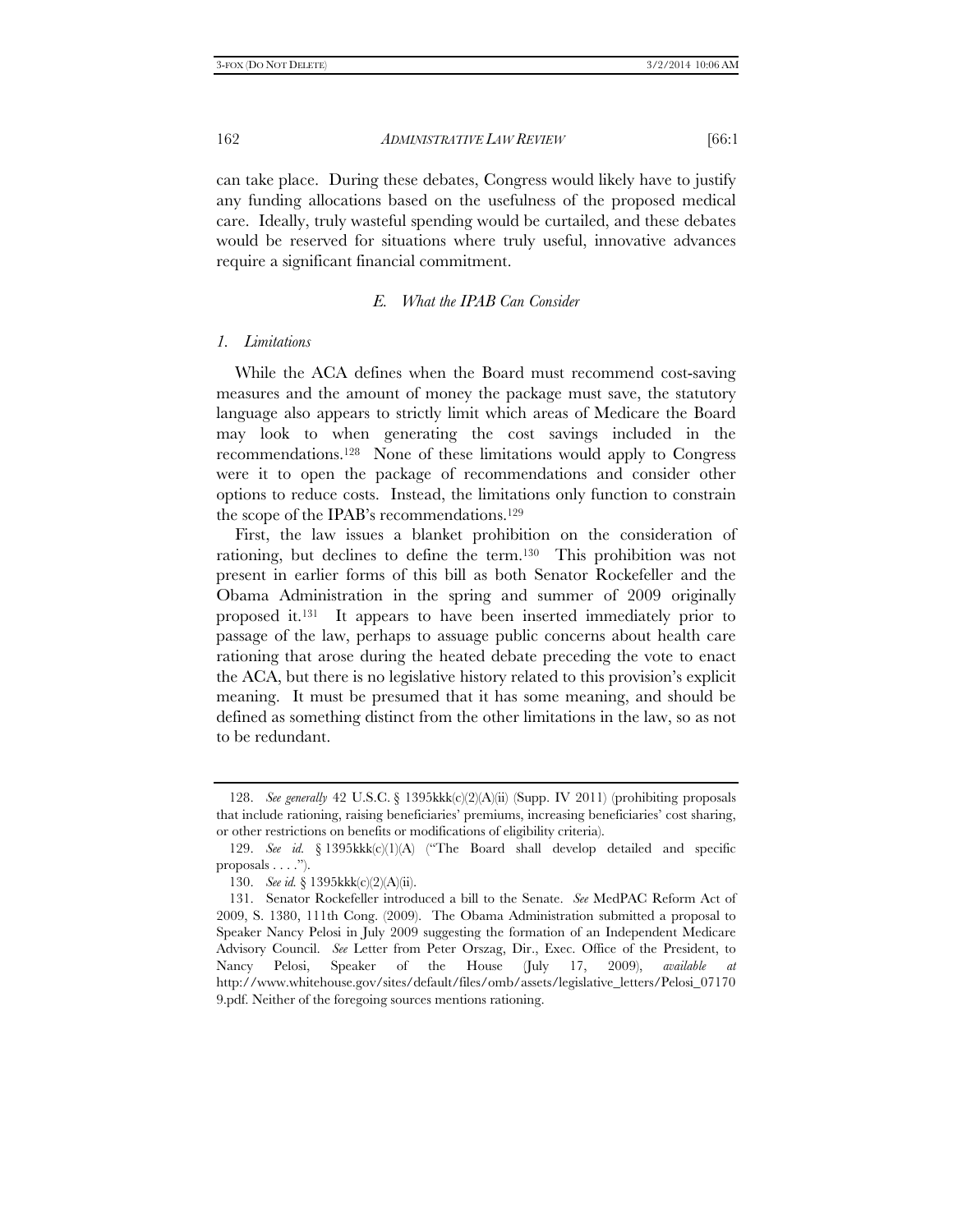can take place. During these debates, Congress would likely have to justify any funding allocations based on the usefulness of the proposed medical care. Ideally, truly wasteful spending would be curtailed, and these debates would be reserved for situations where truly useful, innovative advances require a significant financial commitment.

# *E. What the IPAB Can Consider*

#### *1. Limitations*

While the ACA defines when the Board must recommend cost-saving measures and the amount of money the package must save, the statutory language also appears to strictly limit which areas of Medicare the Board may look to when generating the cost savings included in the recommendations.128 None of these limitations would apply to Congress were it to open the package of recommendations and consider other options to reduce costs. Instead, the limitations only function to constrain the scope of the IPAB's recommendations.129

First, the law issues a blanket prohibition on the consideration of rationing, but declines to define the term.130 This prohibition was not present in earlier forms of this bill as both Senator Rockefeller and the Obama Administration in the spring and summer of 2009 originally proposed it.131 It appears to have been inserted immediately prior to passage of the law, perhaps to assuage public concerns about health care rationing that arose during the heated debate preceding the vote to enact the ACA, but there is no legislative history related to this provision's explicit meaning. It must be presumed that it has some meaning, and should be defined as something distinct from the other limitations in the law, so as not to be redundant.

 <sup>128.</sup> *See generally* 42 U.S.C. § 1395kkk(c)(2)(A)(ii) (Supp. IV 2011) (prohibiting proposals that include rationing, raising beneficiaries' premiums, increasing beneficiaries' cost sharing, or other restrictions on benefits or modifications of eligibility criteria).

 <sup>129.</sup> *See id.* § 1395kkk(c)(1)(A) ("The Board shall develop detailed and specific proposals . . . .").

 <sup>130.</sup> *See id.* § 1395kkk(c)(2)(A)(ii).

 <sup>131.</sup> Senator Rockefeller introduced a bill to the Senate. *See* MedPAC Reform Act of 2009, S. 1380, 111th Cong. (2009). The Obama Administration submitted a proposal to Speaker Nancy Pelosi in July 2009 suggesting the formation of an Independent Medicare Advisory Council. *See* Letter from Peter Orszag, Dir., Exec. Office of the President, to Nancy Pelosi, Speaker of the House (July 17, 2009), *available at* http://www.whitehouse.gov/sites/default/files/omb/assets/legislative\_letters/Pelosi\_07170 9.pdf. Neither of the foregoing sources mentions rationing.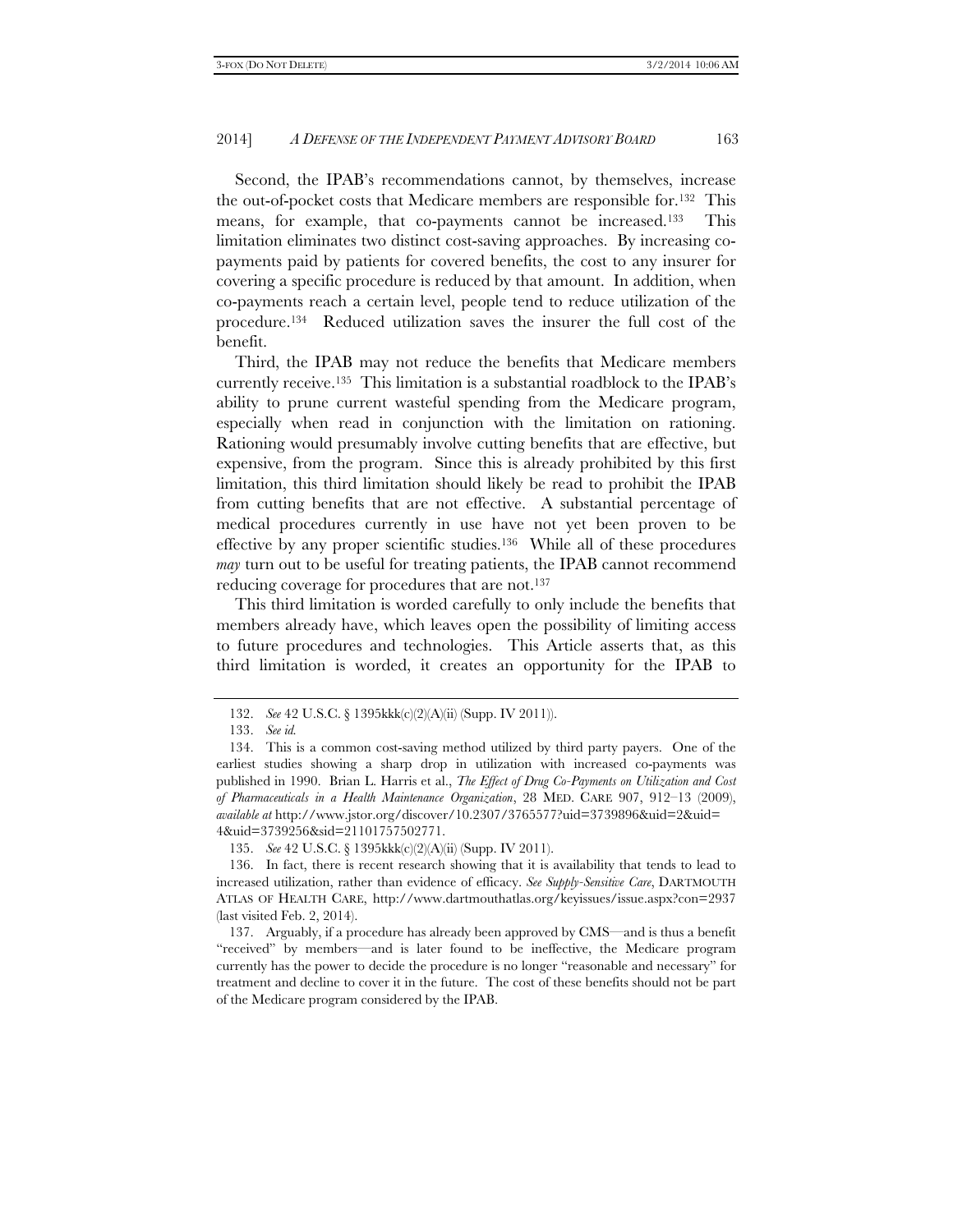Second, the IPAB's recommendations cannot, by themselves, increase the out-of-pocket costs that Medicare members are responsible for.132 This means, for example, that co-payments cannot be increased.133 This limitation eliminates two distinct cost-saving approaches. By increasing copayments paid by patients for covered benefits, the cost to any insurer for covering a specific procedure is reduced by that amount. In addition, when co-payments reach a certain level, people tend to reduce utilization of the procedure.134 Reduced utilization saves the insurer the full cost of the benefit.

Third, the IPAB may not reduce the benefits that Medicare members currently receive.135 This limitation is a substantial roadblock to the IPAB's ability to prune current wasteful spending from the Medicare program, especially when read in conjunction with the limitation on rationing. Rationing would presumably involve cutting benefits that are effective, but expensive, from the program. Since this is already prohibited by this first limitation, this third limitation should likely be read to prohibit the IPAB from cutting benefits that are not effective. A substantial percentage of medical procedures currently in use have not yet been proven to be effective by any proper scientific studies.136 While all of these procedures *may* turn out to be useful for treating patients, the IPAB cannot recommend reducing coverage for procedures that are not.137

This third limitation is worded carefully to only include the benefits that members already have, which leaves open the possibility of limiting access to future procedures and technologies. This Article asserts that, as this third limitation is worded, it creates an opportunity for the IPAB to

 <sup>132.</sup> *See* 42 U.S.C. § 1395kkk(c)(2)(A)(ii) (Supp. IV 2011)).

 <sup>133.</sup> *See id.*

 <sup>134.</sup> This is a common cost-saving method utilized by third party payers. One of the earliest studies showing a sharp drop in utilization with increased co-payments was published in 1990. Brian L. Harris et al., *The Effect of Drug Co-Payments on Utilization and Cost of Pharmaceuticals in a Health Maintenance Organization*, 28 MED. CARE 907, 912–13 (2009), *available at* http://www.jstor.org/discover/10.2307/3765577?uid=3739896&uid=2&uid= 4&uid=3739256&sid=21101757502771.

 <sup>135.</sup> *See* 42 U.S.C. § 1395kkk(c)(2)(A)(ii) (Supp. IV 2011).

 <sup>136.</sup> In fact, there is recent research showing that it is availability that tends to lead to increased utilization, rather than evidence of efficacy. *See Supply-Sensitive Care*, DARTMOUTH ATLAS OF HEALTH CARE, http://www.dartmouthatlas.org/keyissues/issue.aspx?con=2937 (last visited Feb. 2, 2014).

 <sup>137.</sup> Arguably, if a procedure has already been approved by CMS—and is thus a benefit "received" by members—and is later found to be ineffective, the Medicare program currently has the power to decide the procedure is no longer "reasonable and necessary" for treatment and decline to cover it in the future. The cost of these benefits should not be part of the Medicare program considered by the IPAB.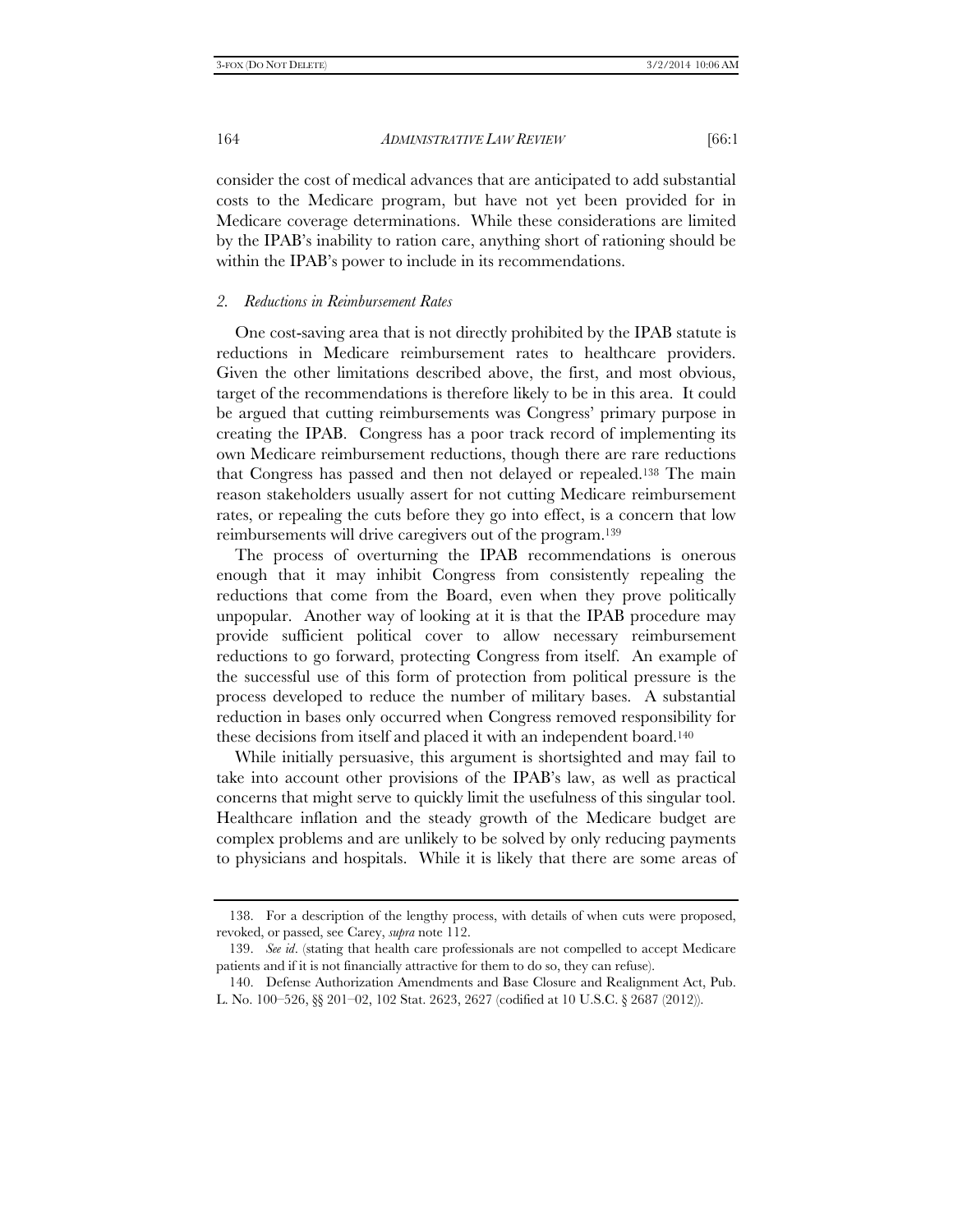consider the cost of medical advances that are anticipated to add substantial costs to the Medicare program, but have not yet been provided for in Medicare coverage determinations. While these considerations are limited by the IPAB's inability to ration care, anything short of rationing should be within the IPAB's power to include in its recommendations.

# *2. Reductions in Reimbursement Rates*

One cost-saving area that is not directly prohibited by the IPAB statute is reductions in Medicare reimbursement rates to healthcare providers. Given the other limitations described above, the first, and most obvious, target of the recommendations is therefore likely to be in this area. It could be argued that cutting reimbursements was Congress' primary purpose in creating the IPAB. Congress has a poor track record of implementing its own Medicare reimbursement reductions, though there are rare reductions that Congress has passed and then not delayed or repealed.138 The main reason stakeholders usually assert for not cutting Medicare reimbursement rates, or repealing the cuts before they go into effect, is a concern that low reimbursements will drive caregivers out of the program.139

The process of overturning the IPAB recommendations is onerous enough that it may inhibit Congress from consistently repealing the reductions that come from the Board, even when they prove politically unpopular. Another way of looking at it is that the IPAB procedure may provide sufficient political cover to allow necessary reimbursement reductions to go forward, protecting Congress from itself. An example of the successful use of this form of protection from political pressure is the process developed to reduce the number of military bases. A substantial reduction in bases only occurred when Congress removed responsibility for these decisions from itself and placed it with an independent board.140

While initially persuasive, this argument is shortsighted and may fail to take into account other provisions of the IPAB's law, as well as practical concerns that might serve to quickly limit the usefulness of this singular tool. Healthcare inflation and the steady growth of the Medicare budget are complex problems and are unlikely to be solved by only reducing payments to physicians and hospitals. While it is likely that there are some areas of

 <sup>138.</sup> For a description of the lengthy process, with details of when cuts were proposed, revoked, or passed, see Carey, *supra* note 112.

 <sup>139.</sup> *See id*. (stating that health care professionals are not compelled to accept Medicare patients and if it is not financially attractive for them to do so, they can refuse).

 <sup>140.</sup> Defense Authorization Amendments and Base Closure and Realignment Act, Pub. L. No. 100–526, §§ 201–02, 102 Stat. 2623, 2627 (codified at 10 U.S.C. § 2687 (2012)).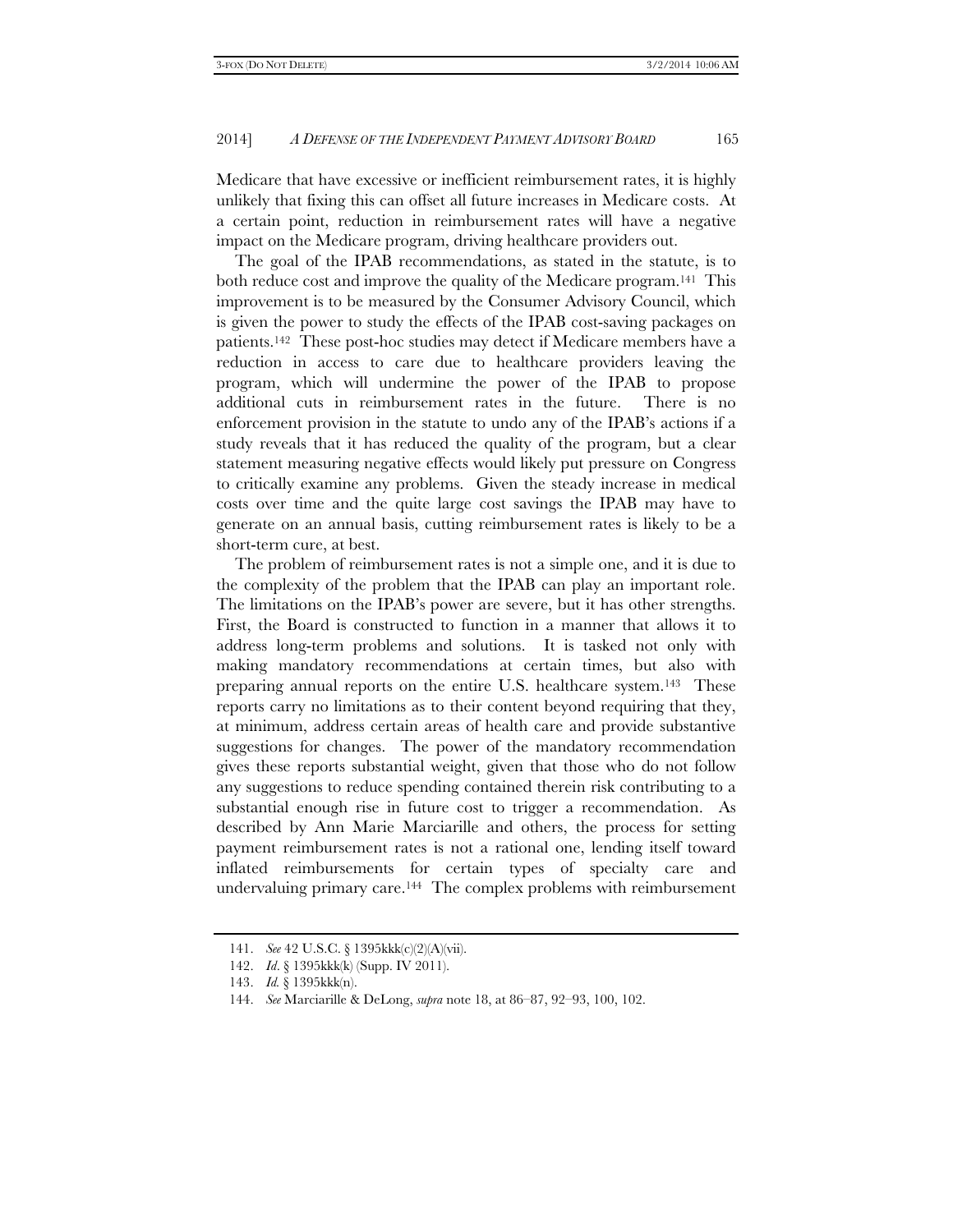Medicare that have excessive or inefficient reimbursement rates, it is highly unlikely that fixing this can offset all future increases in Medicare costs. At a certain point, reduction in reimbursement rates will have a negative impact on the Medicare program, driving healthcare providers out.

The goal of the IPAB recommendations, as stated in the statute, is to both reduce cost and improve the quality of the Medicare program.141 This improvement is to be measured by the Consumer Advisory Council, which is given the power to study the effects of the IPAB cost-saving packages on patients.142 These post-hoc studies may detect if Medicare members have a reduction in access to care due to healthcare providers leaving the program, which will undermine the power of the IPAB to propose additional cuts in reimbursement rates in the future. There is no enforcement provision in the statute to undo any of the IPAB's actions if a study reveals that it has reduced the quality of the program, but a clear statement measuring negative effects would likely put pressure on Congress to critically examine any problems. Given the steady increase in medical costs over time and the quite large cost savings the IPAB may have to generate on an annual basis, cutting reimbursement rates is likely to be a short-term cure, at best.

The problem of reimbursement rates is not a simple one, and it is due to the complexity of the problem that the IPAB can play an important role. The limitations on the IPAB's power are severe, but it has other strengths. First, the Board is constructed to function in a manner that allows it to address long-term problems and solutions. It is tasked not only with making mandatory recommendations at certain times, but also with preparing annual reports on the entire U.S. healthcare system.143 These reports carry no limitations as to their content beyond requiring that they, at minimum, address certain areas of health care and provide substantive suggestions for changes. The power of the mandatory recommendation gives these reports substantial weight, given that those who do not follow any suggestions to reduce spending contained therein risk contributing to a substantial enough rise in future cost to trigger a recommendation. As described by Ann Marie Marciarille and others, the process for setting payment reimbursement rates is not a rational one, lending itself toward inflated reimbursements for certain types of specialty care and undervaluing primary care.144 The complex problems with reimbursement

 <sup>141.</sup> *See* 42 U.S.C. § 1395kkk(c)(2)(A)(vii).

 <sup>142.</sup> *Id*. § 1395kkk(k) (Supp. IV 2011).

 <sup>143.</sup> *Id.* § 1395kkk(n).

 <sup>144.</sup> *See* Marciarille & DeLong, *supra* note 18, at 86–87, 92–93, 100, 102.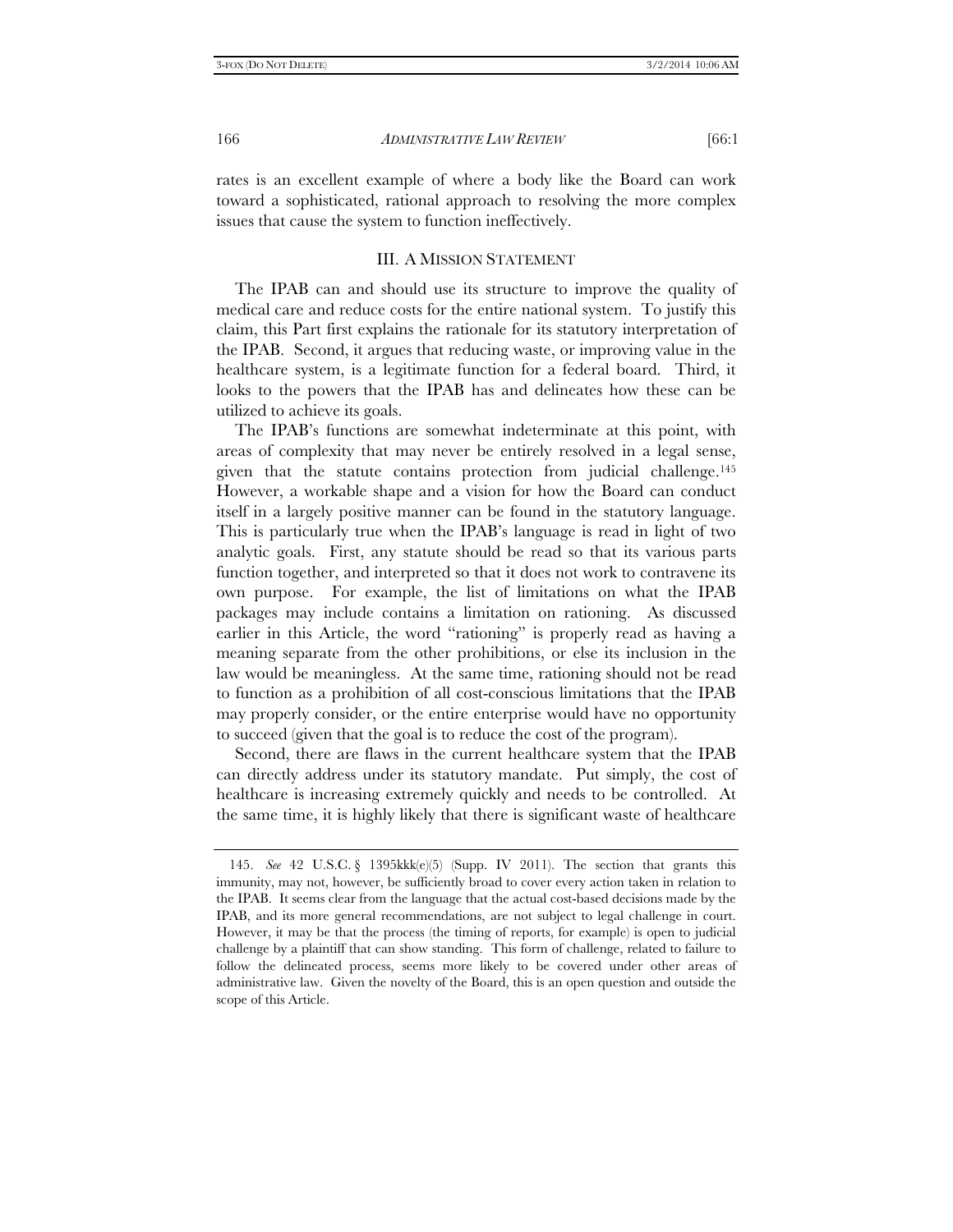rates is an excellent example of where a body like the Board can work toward a sophisticated, rational approach to resolving the more complex issues that cause the system to function ineffectively.

# III. A MISSION STATEMENT

The IPAB can and should use its structure to improve the quality of medical care and reduce costs for the entire national system. To justify this claim, this Part first explains the rationale for its statutory interpretation of the IPAB. Second, it argues that reducing waste, or improving value in the healthcare system, is a legitimate function for a federal board. Third, it looks to the powers that the IPAB has and delineates how these can be utilized to achieve its goals.

The IPAB's functions are somewhat indeterminate at this point, with areas of complexity that may never be entirely resolved in a legal sense, given that the statute contains protection from judicial challenge.145 However, a workable shape and a vision for how the Board can conduct itself in a largely positive manner can be found in the statutory language. This is particularly true when the IPAB's language is read in light of two analytic goals. First, any statute should be read so that its various parts function together, and interpreted so that it does not work to contravene its own purpose. For example, the list of limitations on what the IPAB packages may include contains a limitation on rationing. As discussed earlier in this Article, the word "rationing" is properly read as having a meaning separate from the other prohibitions, or else its inclusion in the law would be meaningless. At the same time, rationing should not be read to function as a prohibition of all cost-conscious limitations that the IPAB may properly consider, or the entire enterprise would have no opportunity to succeed (given that the goal is to reduce the cost of the program).

Second, there are flaws in the current healthcare system that the IPAB can directly address under its statutory mandate. Put simply, the cost of healthcare is increasing extremely quickly and needs to be controlled. At the same time, it is highly likely that there is significant waste of healthcare

 <sup>145.</sup> *See* 42 U.S.C. § 1395kkk(e)(5) (Supp. IV 2011). The section that grants this immunity, may not, however, be sufficiently broad to cover every action taken in relation to the IPAB. It seems clear from the language that the actual cost-based decisions made by the IPAB, and its more general recommendations, are not subject to legal challenge in court. However, it may be that the process (the timing of reports, for example) is open to judicial challenge by a plaintiff that can show standing. This form of challenge, related to failure to follow the delineated process, seems more likely to be covered under other areas of administrative law. Given the novelty of the Board, this is an open question and outside the scope of this Article.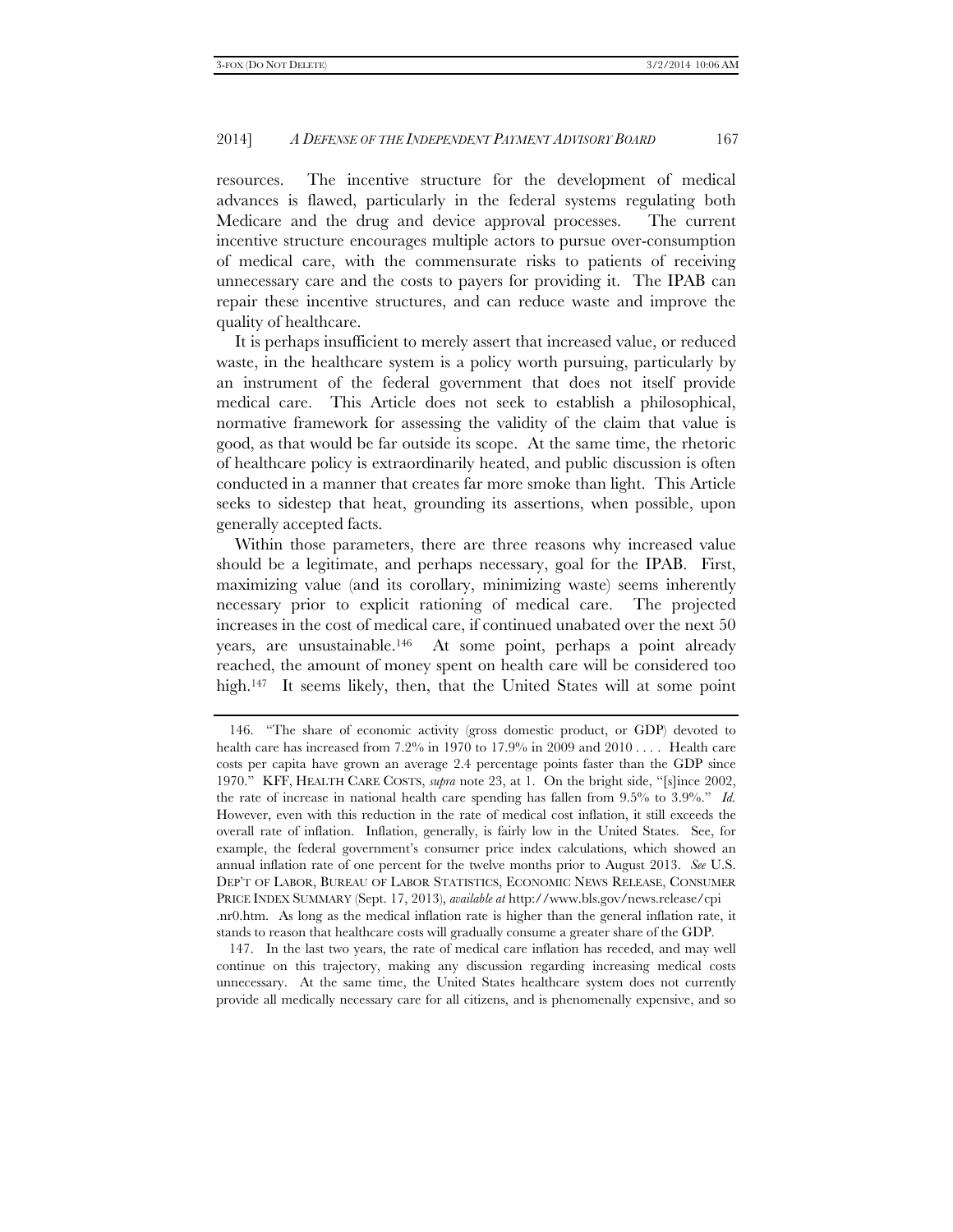resources. The incentive structure for the development of medical advances is flawed, particularly in the federal systems regulating both Medicare and the drug and device approval processes. The current incentive structure encourages multiple actors to pursue over-consumption of medical care, with the commensurate risks to patients of receiving unnecessary care and the costs to payers for providing it. The IPAB can repair these incentive structures, and can reduce waste and improve the quality of healthcare.

It is perhaps insufficient to merely assert that increased value, or reduced waste, in the healthcare system is a policy worth pursuing, particularly by an instrument of the federal government that does not itself provide medical care. This Article does not seek to establish a philosophical, normative framework for assessing the validity of the claim that value is good, as that would be far outside its scope. At the same time, the rhetoric of healthcare policy is extraordinarily heated, and public discussion is often conducted in a manner that creates far more smoke than light. This Article seeks to sidestep that heat, grounding its assertions, when possible, upon generally accepted facts.

Within those parameters, there are three reasons why increased value should be a legitimate, and perhaps necessary, goal for the IPAB. First, maximizing value (and its corollary, minimizing waste) seems inherently necessary prior to explicit rationing of medical care. The projected increases in the cost of medical care, if continued unabated over the next 50 years, are unsustainable.146 At some point, perhaps a point already reached, the amount of money spent on health care will be considered too high.<sup>147</sup> It seems likely, then, that the United States will at some point

 <sup>146. &</sup>quot;The share of economic activity (gross domestic product, or GDP) devoted to health care has increased from 7.2% in 1970 to 17.9% in 2009 and  $2010...$ . Health care costs per capita have grown an average 2.4 percentage points faster than the GDP since 1970." KFF, HEALTH CARE COSTS, *supra* note 23, at 1. On the bright side, "[s]ince 2002, the rate of increase in national health care spending has fallen from 9.5% to 3.9%." *Id.* However, even with this reduction in the rate of medical cost inflation, it still exceeds the overall rate of inflation. Inflation, generally, is fairly low in the United States. See, for example, the federal government's consumer price index calculations, which showed an annual inflation rate of one percent for the twelve months prior to August 2013. *See* U.S. DEP'T OF LABOR, BUREAU OF LABOR STATISTICS, ECONOMIC NEWS RELEASE, CONSUMER PRICE INDEX SUMMARY (Sept. 17, 2013), *available at* http://www.bls.gov/news.release/cpi .nr0.htm. As long as the medical inflation rate is higher than the general inflation rate, it stands to reason that healthcare costs will gradually consume a greater share of the GDP.

 <sup>147.</sup> In the last two years, the rate of medical care inflation has receded, and may well continue on this trajectory, making any discussion regarding increasing medical costs unnecessary. At the same time, the United States healthcare system does not currently provide all medically necessary care for all citizens, and is phenomenally expensive, and so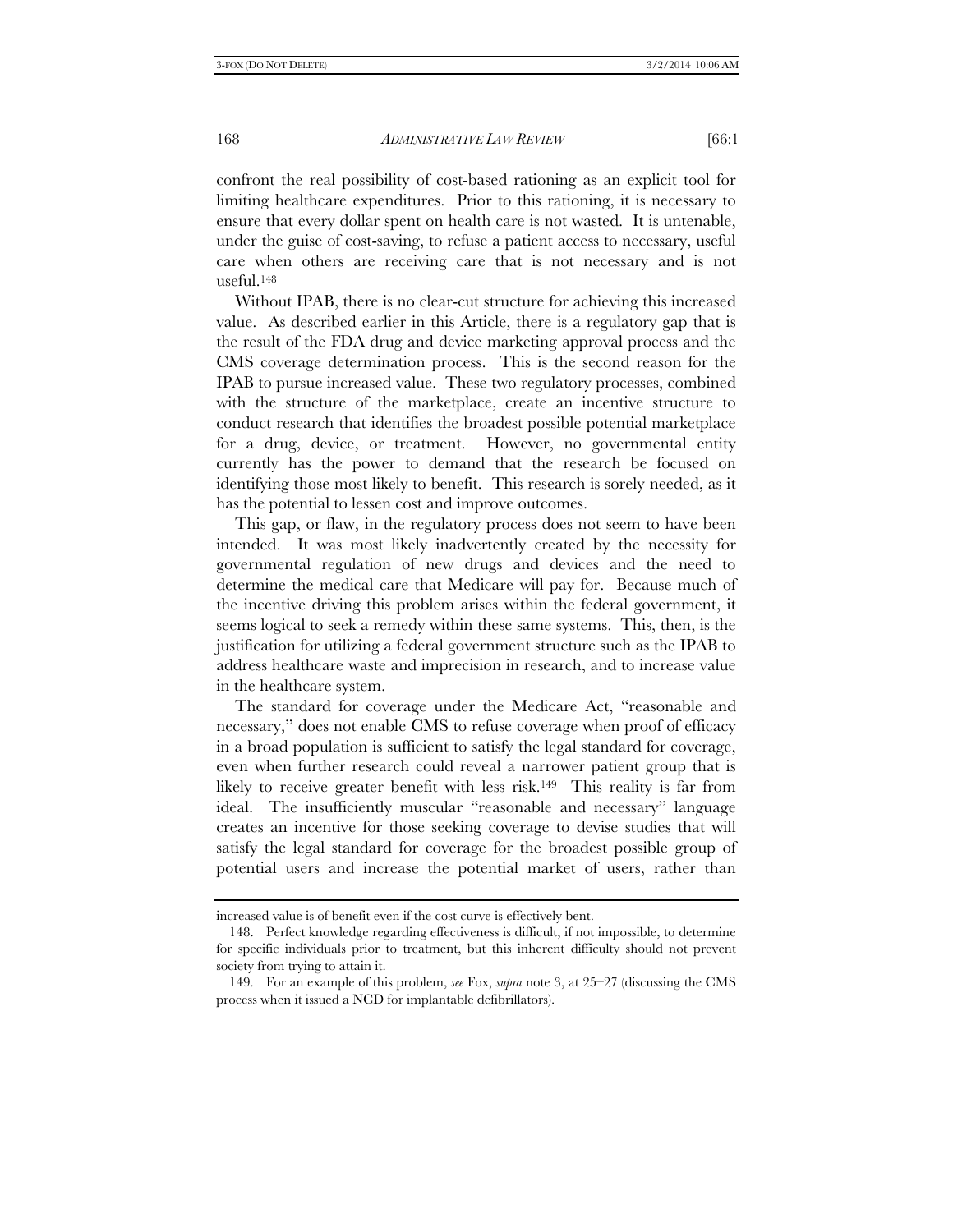confront the real possibility of cost-based rationing as an explicit tool for limiting healthcare expenditures. Prior to this rationing, it is necessary to ensure that every dollar spent on health care is not wasted. It is untenable, under the guise of cost-saving, to refuse a patient access to necessary, useful care when others are receiving care that is not necessary and is not useful.148

Without IPAB, there is no clear-cut structure for achieving this increased value. As described earlier in this Article, there is a regulatory gap that is the result of the FDA drug and device marketing approval process and the CMS coverage determination process. This is the second reason for the IPAB to pursue increased value. These two regulatory processes, combined with the structure of the marketplace, create an incentive structure to conduct research that identifies the broadest possible potential marketplace for a drug, device, or treatment. However, no governmental entity currently has the power to demand that the research be focused on identifying those most likely to benefit. This research is sorely needed, as it has the potential to lessen cost and improve outcomes.

This gap, or flaw, in the regulatory process does not seem to have been intended. It was most likely inadvertently created by the necessity for governmental regulation of new drugs and devices and the need to determine the medical care that Medicare will pay for. Because much of the incentive driving this problem arises within the federal government, it seems logical to seek a remedy within these same systems. This, then, is the justification for utilizing a federal government structure such as the IPAB to address healthcare waste and imprecision in research, and to increase value in the healthcare system.

The standard for coverage under the Medicare Act, "reasonable and necessary," does not enable CMS to refuse coverage when proof of efficacy in a broad population is sufficient to satisfy the legal standard for coverage, even when further research could reveal a narrower patient group that is likely to receive greater benefit with less risk.<sup>149</sup> This reality is far from ideal. The insufficiently muscular "reasonable and necessary" language creates an incentive for those seeking coverage to devise studies that will satisfy the legal standard for coverage for the broadest possible group of potential users and increase the potential market of users, rather than

increased value is of benefit even if the cost curve is effectively bent.

 <sup>148.</sup> Perfect knowledge regarding effectiveness is difficult, if not impossible, to determine for specific individuals prior to treatment, but this inherent difficulty should not prevent society from trying to attain it.

 <sup>149.</sup> For an example of this problem, *see* Fox, *supra* note 3, at 25–27 (discussing the CMS process when it issued a NCD for implantable defibrillators).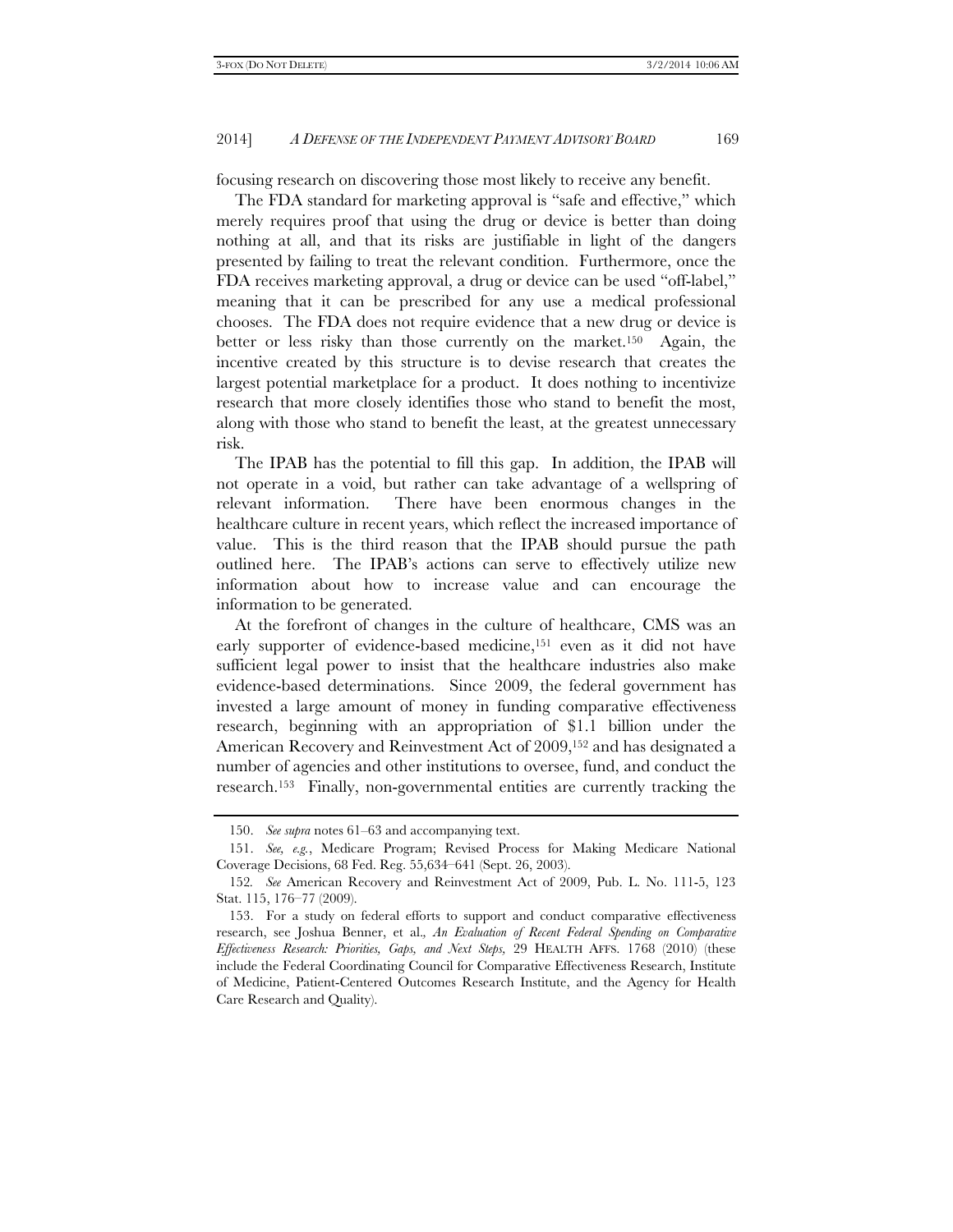focusing research on discovering those most likely to receive any benefit.

The FDA standard for marketing approval is "safe and effective," which merely requires proof that using the drug or device is better than doing nothing at all, and that its risks are justifiable in light of the dangers presented by failing to treat the relevant condition. Furthermore, once the FDA receives marketing approval, a drug or device can be used "off-label," meaning that it can be prescribed for any use a medical professional chooses. The FDA does not require evidence that a new drug or device is better or less risky than those currently on the market.150 Again, the incentive created by this structure is to devise research that creates the largest potential marketplace for a product. It does nothing to incentivize research that more closely identifies those who stand to benefit the most, along with those who stand to benefit the least, at the greatest unnecessary risk.

The IPAB has the potential to fill this gap. In addition, the IPAB will not operate in a void, but rather can take advantage of a wellspring of relevant information. There have been enormous changes in the healthcare culture in recent years, which reflect the increased importance of value. This is the third reason that the IPAB should pursue the path outlined here. The IPAB's actions can serve to effectively utilize new information about how to increase value and can encourage the information to be generated.

At the forefront of changes in the culture of healthcare, CMS was an early supporter of evidence-based medicine,<sup>151</sup> even as it did not have sufficient legal power to insist that the healthcare industries also make evidence-based determinations. Since 2009, the federal government has invested a large amount of money in funding comparative effectiveness research, beginning with an appropriation of \$1.1 billion under the American Recovery and Reinvestment Act of 2009,152 and has designated a number of agencies and other institutions to oversee, fund, and conduct the research.153 Finally, non-governmental entities are currently tracking the

 <sup>150.</sup> *See supra* notes 61–63 and accompanying text.

 <sup>151.</sup> *See, e.g.*, Medicare Program; Revised Process for Making Medicare National Coverage Decisions, 68 Fed. Reg. 55,634–641 (Sept. 26, 2003).

<sup>152</sup>*. See* American Recovery and Reinvestment Act of 2009, Pub. L. No. 111-5, 123 Stat. 115, 176–77 (2009).

 <sup>153.</sup> For a study on federal efforts to support and conduct comparative effectiveness research, see Joshua Benner, et al.*, An Evaluation of Recent Federal Spending on Comparative Effectiveness Research: Priorities, Gaps, and Next Steps,* 29 HEALTH AFFS. 1768 (2010) (these include the Federal Coordinating Council for Comparative Effectiveness Research, Institute of Medicine, Patient-Centered Outcomes Research Institute, and the Agency for Health Care Research and Quality).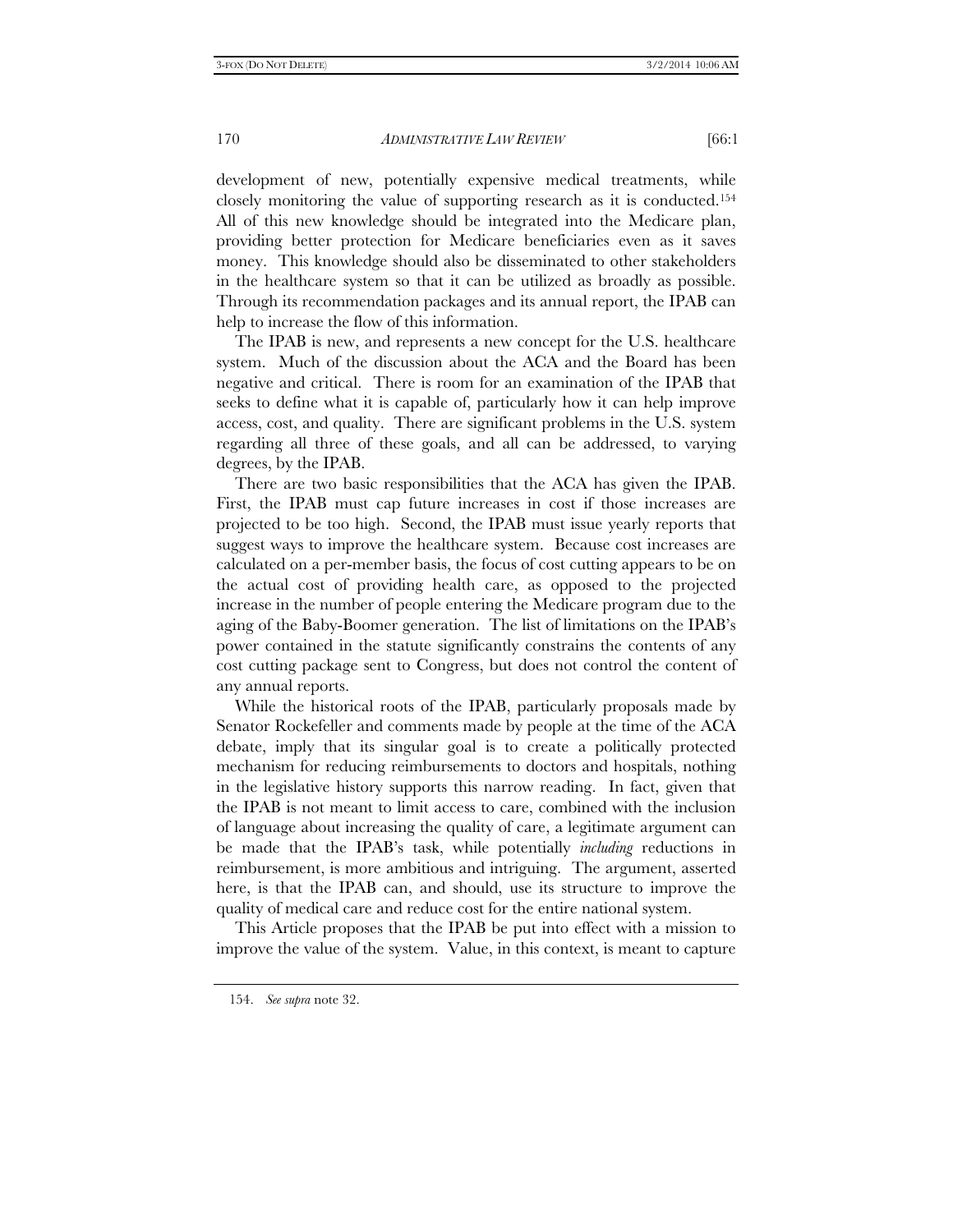development of new, potentially expensive medical treatments, while closely monitoring the value of supporting research as it is conducted.154 All of this new knowledge should be integrated into the Medicare plan, providing better protection for Medicare beneficiaries even as it saves money. This knowledge should also be disseminated to other stakeholders in the healthcare system so that it can be utilized as broadly as possible. Through its recommendation packages and its annual report, the IPAB can help to increase the flow of this information.

The IPAB is new, and represents a new concept for the U.S. healthcare system. Much of the discussion about the ACA and the Board has been negative and critical. There is room for an examination of the IPAB that seeks to define what it is capable of, particularly how it can help improve access, cost, and quality. There are significant problems in the U.S. system regarding all three of these goals, and all can be addressed, to varying degrees, by the IPAB.

There are two basic responsibilities that the ACA has given the IPAB. First, the IPAB must cap future increases in cost if those increases are projected to be too high. Second, the IPAB must issue yearly reports that suggest ways to improve the healthcare system. Because cost increases are calculated on a per-member basis, the focus of cost cutting appears to be on the actual cost of providing health care, as opposed to the projected increase in the number of people entering the Medicare program due to the aging of the Baby-Boomer generation. The list of limitations on the IPAB's power contained in the statute significantly constrains the contents of any cost cutting package sent to Congress, but does not control the content of any annual reports.

While the historical roots of the IPAB, particularly proposals made by Senator Rockefeller and comments made by people at the time of the ACA debate, imply that its singular goal is to create a politically protected mechanism for reducing reimbursements to doctors and hospitals, nothing in the legislative history supports this narrow reading. In fact, given that the IPAB is not meant to limit access to care, combined with the inclusion of language about increasing the quality of care, a legitimate argument can be made that the IPAB's task, while potentially *including* reductions in reimbursement, is more ambitious and intriguing. The argument, asserted here, is that the IPAB can, and should, use its structure to improve the quality of medical care and reduce cost for the entire national system.

This Article proposes that the IPAB be put into effect with a mission to improve the value of the system. Value, in this context, is meant to capture

 <sup>154.</sup> *See supra* note 32.